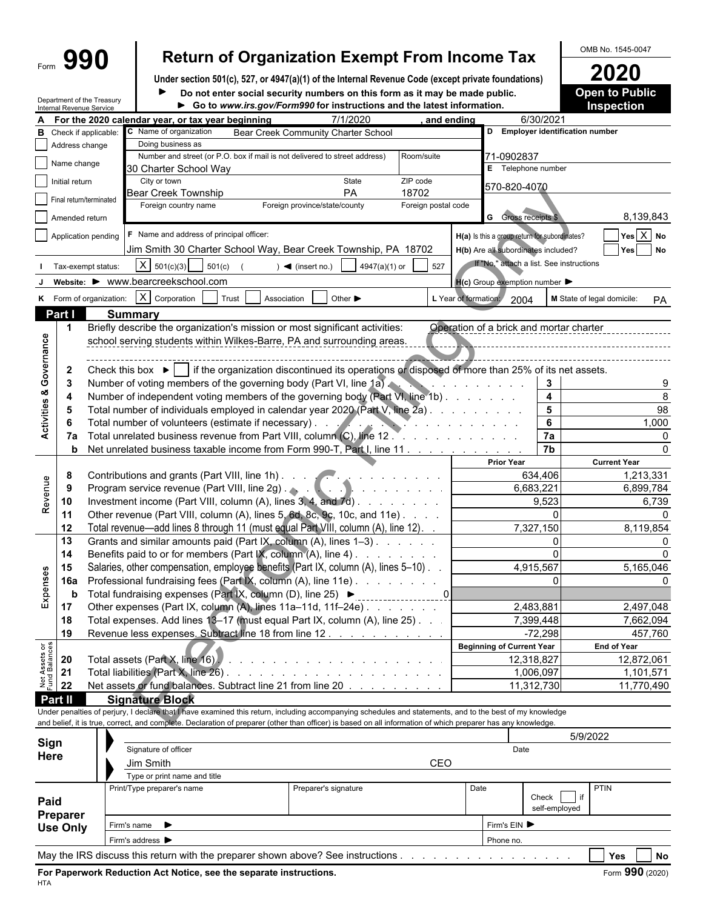Department of the Treasury

# Form  $\left\{\mathbf{990}\right\}$  Return of Organization Exempt From Income Tax  $\left\{\frac{\text{OMB No. }1545-0047}{2020} \right\}$

**Under section 501(c), 527, or 4947(a)(1) of the Internal Revenue Code (except private foundations) 2020**  $\blacktriangleright$ 

**Open to Public** 

| Do not enter social security numbers on this form as it may be made public. | <b>Open to Pub</b> |
|-----------------------------------------------------------------------------|--------------------|
| ► Go to www.irs.gov/Form990 for instructions and the latest information.    | <b>Inspection</b>  |

|                                | Internal Revenue Service      |                         |                                                                                                                                                                                                                                                                                                                          | ► Go to www.irs.gov/Form990 for instructions and the latest information.   |                             |                     |                      |                                                     |                         | inspection                              |
|--------------------------------|-------------------------------|-------------------------|--------------------------------------------------------------------------------------------------------------------------------------------------------------------------------------------------------------------------------------------------------------------------------------------------------------------------|----------------------------------------------------------------------------|-----------------------------|---------------------|----------------------|-----------------------------------------------------|-------------------------|-----------------------------------------|
|                                |                               |                         | For the 2020 calendar year, or tax year beginning                                                                                                                                                                                                                                                                        |                                                                            | 7/1/2020                    | and ending          |                      | 6/30/2021                                           |                         |                                         |
|                                | <b>B</b> Check if applicable: |                         | C Name of organization                                                                                                                                                                                                                                                                                                   | Bear Creek Community Charter School                                        |                             |                     |                      | D Employer identification number                    |                         |                                         |
|                                | Address change                |                         | Doing business as                                                                                                                                                                                                                                                                                                        |                                                                            |                             |                     |                      |                                                     |                         |                                         |
|                                | Name change                   |                         |                                                                                                                                                                                                                                                                                                                          | Number and street (or P.O. box if mail is not delivered to street address) |                             | Room/suite          |                      | 71-0902837                                          |                         |                                         |
|                                |                               |                         | 30 Charter School Way                                                                                                                                                                                                                                                                                                    |                                                                            |                             |                     |                      | E Telephone number                                  |                         |                                         |
|                                | Initial return                |                         | City or town                                                                                                                                                                                                                                                                                                             |                                                                            | State                       | ZIP code            |                      | 570-820-4070                                        |                         |                                         |
|                                | Final return/terminated       |                         | <b>Bear Creek Township</b>                                                                                                                                                                                                                                                                                               |                                                                            | PA                          | 18702               |                      |                                                     |                         |                                         |
|                                |                               |                         | Foreign country name                                                                                                                                                                                                                                                                                                     | Foreign province/state/county                                              |                             | Foreign postal code |                      |                                                     |                         |                                         |
|                                | Amended return                |                         |                                                                                                                                                                                                                                                                                                                          |                                                                            |                             |                     |                      | <b>G</b> Gross receipts \$                          |                         | 8,139,843                               |
|                                |                               | Application pending     | F Name and address of principal officer:                                                                                                                                                                                                                                                                                 |                                                                            |                             |                     |                      | H(a) Is this a group return for subordinates?       |                         | $Yes \boxed{X} No$                      |
|                                |                               |                         | Jim Smith 30 Charter School Way, Bear Creek Township, PA 18702                                                                                                                                                                                                                                                           |                                                                            |                             |                     |                      | H(b) Are all subordinates included?                 |                         | Yes No                                  |
|                                |                               | Tax-exempt status:      | $X   501(c)(3)$ 501(c)                                                                                                                                                                                                                                                                                                   | $) \blacktriangleleft$ (insert no.)                                        | 4947(a)(1) or               | 527                 |                      | If "No," attach a list. See instructions            |                         |                                         |
|                                |                               |                         |                                                                                                                                                                                                                                                                                                                          |                                                                            |                             |                     |                      |                                                     |                         |                                         |
|                                |                               |                         | website: ▶ www.bearcreekschool.com                                                                                                                                                                                                                                                                                       |                                                                            |                             |                     |                      | $H(c)$ Group exemption number $\blacktriangleright$ |                         |                                         |
|                                |                               | K Form of organization: | $X$ Corporation                                                                                                                                                                                                                                                                                                          | Trust<br>Association                                                       | Other $\blacktriangleright$ |                     | L Year of formation: | 2004                                                |                         | M State of legal domicile:<br><b>PA</b> |
|                                | Part I                        |                         | <b>Summary</b>                                                                                                                                                                                                                                                                                                           |                                                                            |                             |                     |                      |                                                     |                         |                                         |
|                                |                               |                         | Briefly describe the organization's mission or most significant activities:                                                                                                                                                                                                                                              |                                                                            |                             |                     |                      | Operation of a brick and mortar charter             |                         |                                         |
|                                |                               |                         | school serving students within Wilkes-Barre, PA and surrounding areas.                                                                                                                                                                                                                                                   |                                                                            |                             |                     |                      |                                                     |                         |                                         |
|                                |                               |                         |                                                                                                                                                                                                                                                                                                                          |                                                                            |                             |                     |                      |                                                     |                         |                                         |
| Governance                     | $\mathbf{2}$                  |                         | Check this box $\blacktriangleright$   if the organization discontinued its operations or disposed of more than 25% of its net assets.                                                                                                                                                                                   |                                                                            |                             |                     |                      |                                                     |                         |                                         |
|                                |                               |                         | Number of voting members of the governing body (Part VI, line 1a).                                                                                                                                                                                                                                                       |                                                                            |                             |                     |                      |                                                     | 3                       |                                         |
|                                |                               |                         |                                                                                                                                                                                                                                                                                                                          |                                                                            |                             |                     |                      | and the company of the company of                   |                         | 8                                       |
|                                |                               |                         | Number of independent voting members of the governing body (Part VI, line 1b)                                                                                                                                                                                                                                            |                                                                            |                             |                     |                      |                                                     | $\overline{\mathbf{4}}$ |                                         |
| Activities &                   |                               |                         | Total number of individuals employed in calendar year 2020 (Part V, line 2a)                                                                                                                                                                                                                                             |                                                                            |                             |                     |                      |                                                     | 5                       | 98                                      |
|                                |                               |                         | Total number of volunteers (estimate if necessary). The state of the state of volunteers (estimate if necessary).                                                                                                                                                                                                        |                                                                            |                             |                     |                      |                                                     | 6                       | 1,000                                   |
|                                | 7a                            |                         |                                                                                                                                                                                                                                                                                                                          |                                                                            |                             |                     |                      |                                                     | 7a                      | $\Omega$                                |
|                                | b                             |                         | Net unrelated business taxable income from Form 990-T, Part I, line 11                                                                                                                                                                                                                                                   |                                                                            |                             |                     |                      |                                                     | 7 <sub>b</sub>          |                                         |
|                                |                               |                         |                                                                                                                                                                                                                                                                                                                          |                                                                            |                             |                     |                      | <b>Prior Year</b>                                   |                         | <b>Current Year</b>                     |
|                                | 8                             |                         | Contributions and grants (Part VIII, line 1h)                                                                                                                                                                                                                                                                            |                                                                            |                             |                     |                      | 634,406                                             |                         | 1,213,331                               |
|                                | 9                             |                         |                                                                                                                                                                                                                                                                                                                          |                                                                            |                             |                     |                      | 6,683,221                                           |                         | 6,899,784                               |
| Revenue                        | 10                            |                         | Investment income (Part VIII, column (A), lines 3, 4, and 7d)                                                                                                                                                                                                                                                            |                                                                            |                             |                     |                      | 9,523                                               |                         | 6,739                                   |
|                                | 11                            |                         | Other revenue (Part VIII, column (A), lines 5, 6d, 8c, 9c, 10c, and 11e)                                                                                                                                                                                                                                                 |                                                                            |                             |                     |                      |                                                     |                         |                                         |
|                                | 12                            |                         | Total revenue—add lines 8 through 11 (must equal Part VIII, column (A), line 12).                                                                                                                                                                                                                                        |                                                                            |                             |                     |                      | 7,327,150                                           |                         | 8,119,854                               |
|                                | 13                            |                         | Grants and similar amounts paid (Part IX, column (A), lines 1-3)                                                                                                                                                                                                                                                         |                                                                            |                             |                     |                      |                                                     |                         |                                         |
|                                | 14                            |                         | Benefits paid to or for members (Part IX, column (A), line 4)                                                                                                                                                                                                                                                            |                                                                            |                             |                     |                      |                                                     | $\Omega$                |                                         |
|                                | 15                            |                         | Salaries, other compensation, employee benefits (Part IX, column (A), lines 5-10).                                                                                                                                                                                                                                       |                                                                            |                             |                     |                      | 4,915,567                                           |                         | 5,165,046                               |
| Expenses                       | <b>16a</b>                    |                         | Professional fundraising fees (Part IX, column (A), line 11e)                                                                                                                                                                                                                                                            |                                                                            |                             |                     |                      |                                                     |                         |                                         |
|                                | b                             |                         | Total fundraising expenses (Part IX, column (D), line 25) ▶                                                                                                                                                                                                                                                              |                                                                            |                             |                     |                      |                                                     |                         |                                         |
|                                | 17                            |                         | Other expenses (Part IX, column (A), lines 11a-11d, 11f-24e)                                                                                                                                                                                                                                                             |                                                                            |                             |                     |                      | 2,483,881                                           |                         | 2,497,048                               |
|                                | 18                            |                         | Total expenses. Add lines 13-17 (must equal Part IX, column (A), line 25). .                                                                                                                                                                                                                                             |                                                                            |                             |                     |                      | 7,399,448                                           |                         | 7,662,094                               |
|                                | 19                            |                         | Revenue less expenses. Subtract line 18 from line 12.                                                                                                                                                                                                                                                                    |                                                                            |                             |                     |                      | $-72,298$                                           |                         | 457,760                                 |
|                                |                               |                         |                                                                                                                                                                                                                                                                                                                          |                                                                            |                             |                     |                      | <b>Beginning of Current Year</b>                    |                         | <b>End of Year</b>                      |
|                                | 20                            |                         |                                                                                                                                                                                                                                                                                                                          |                                                                            |                             |                     |                      | 12,318,827                                          |                         | 12,872,061                              |
| Net Assets or<br>Fund Balances | 21                            |                         |                                                                                                                                                                                                                                                                                                                          |                                                                            |                             |                     |                      | 1,006,097                                           |                         | 1,101,571                               |
|                                |                               |                         |                                                                                                                                                                                                                                                                                                                          |                                                                            |                             |                     |                      |                                                     |                         |                                         |
|                                | 22                            |                         | Net assets or fund balances. Subtract line 21 from line 20                                                                                                                                                                                                                                                               |                                                                            |                             |                     |                      | 11,312,730                                          |                         | 11,770,490                              |
|                                | Part II                       |                         | <b>Signature Block</b>                                                                                                                                                                                                                                                                                                   |                                                                            |                             |                     |                      |                                                     |                         |                                         |
|                                |                               |                         | Under penalties of perjury, I declare that I have examined this return, including accompanying schedules and statements, and to the best of my knowledge<br>and belief, it is true, correct, and complete. Declaration of preparer (other than officer) is based on all information of which preparer has any knowledge. |                                                                            |                             |                     |                      |                                                     |                         |                                         |
|                                |                               |                         |                                                                                                                                                                                                                                                                                                                          |                                                                            |                             |                     |                      |                                                     |                         |                                         |
|                                | Sign                          |                         |                                                                                                                                                                                                                                                                                                                          |                                                                            |                             |                     |                      |                                                     |                         | 5/9/2022                                |
|                                |                               |                         | Signature of officer                                                                                                                                                                                                                                                                                                     |                                                                            |                             |                     |                      | Date                                                |                         |                                         |

| <b>Here</b>                 | Signature of oncer                                                                                                                                                                                                                    |                      | Dale |            |                                   |             |               |
|-----------------------------|---------------------------------------------------------------------------------------------------------------------------------------------------------------------------------------------------------------------------------------|----------------------|------|------------|-----------------------------------|-------------|---------------|
|                             | Jim Smith                                                                                                                                                                                                                             |                      | CEO  |            |                                   |             |               |
|                             | Type or print name and title                                                                                                                                                                                                          |                      |      |            |                                   |             |               |
| Paid                        | Print/Type preparer's name                                                                                                                                                                                                            | Preparer's signature |      | Date       | $\cdot$<br>Check<br>self-employed | <b>PTIN</b> |               |
| Preparer<br><b>Use Only</b> | Firm's name $\blacktriangleright$                                                                                                                                                                                                     |                      |      | Firm's EIN |                                   |             |               |
|                             | Firm's address ▶                                                                                                                                                                                                                      |                      |      | Phone no.  |                                   |             |               |
|                             | $\mathbf{M}$ and $\mathbf{M}$ are the same of the same of the same of the same of the same of the same of the same of the same of the same of the same of the same of the same of the same of the same of the same of the same of the |                      |      |            |                                   | $ -$        | $\sim$ $\sim$ |

May the IRS discuss this return with the preparer shown above? See instructions . . . . . . . . . . . . . . . . . . . . . . . . . . . . . . . . . . . . . . . . . . **Yes No**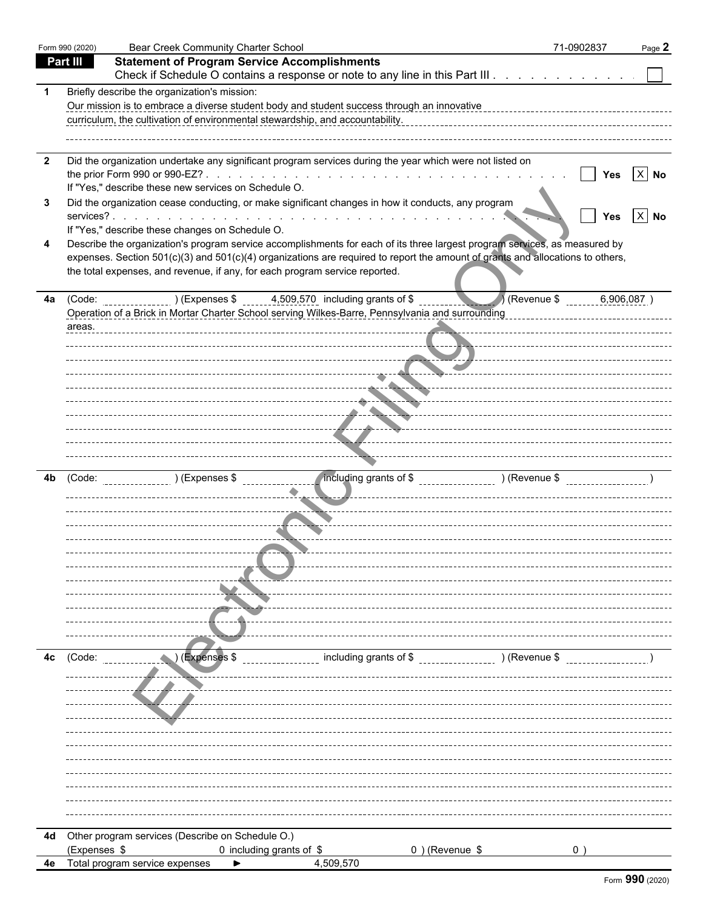|                | Form 990 (2020) | <b>Bear Creek Community Charter School</b>                                                                                     | 71-0902837 | Page 2                   |
|----------------|-----------------|--------------------------------------------------------------------------------------------------------------------------------|------------|--------------------------|
|                | <b>Part III</b> | <b>Statement of Program Service Accomplishments</b>                                                                            |            |                          |
|                |                 | Check if Schedule O contains a response or note to any line in this Part III                                                   |            |                          |
|                |                 | Briefly describe the organization's mission:                                                                                   |            |                          |
|                |                 | Our mission is to embrace a diverse student body and student success through an innovative                                     |            |                          |
|                |                 | curriculum, the cultivation of environmental stewardship, and accountability.                                                  |            |                          |
|                |                 |                                                                                                                                |            |                          |
| $\overline{2}$ |                 | Did the organization undertake any significant program services during the year which were not listed on                       |            |                          |
|                |                 |                                                                                                                                |            | $X$ No<br>Yes            |
|                |                 | If "Yes," describe these new services on Schedule O.                                                                           |            |                          |
|                |                 | Did the organization cease conducting, or make significant changes in how it conducts, any program                             |            |                          |
|                |                 | services?                                                                                                                      |            | $\ X\ $ No<br><b>Yes</b> |
|                |                 | If "Yes," describe these changes on Schedule O.                                                                                |            |                          |
|                |                 | Describe the organization's program service accomplishments for each of its three largest program services, as measured by     |            |                          |
|                |                 | expenses. Section 501(c)(3) and 501(c)(4) organizations are required to report the amount of grants and allocations to others, |            |                          |
|                |                 | the total expenses, and revenue, if any, for each program service reported.                                                    |            |                          |
|                |                 |                                                                                                                                |            |                          |
| 4a             |                 | 4,509,570 including grants of \$<br>(Revenue \$<br>(Code: ) (Expenses \$                                                       |            | 6,906,087                |
|                |                 | Operation of a Brick in Mortar Charter School serving Wilkes-Barre, Pennsylvania and surrounding                               |            |                          |
|                | areas.          |                                                                                                                                |            |                          |
|                |                 |                                                                                                                                |            |                          |
|                |                 | <u>and</u> in                                                                                                                  |            |                          |
|                |                 | ----------------- <u>-</u> ---- <del>---</del> ----                                                                            |            |                          |
|                |                 |                                                                                                                                |            |                          |
|                |                 | -----                                                                                                                          |            |                          |
|                |                 | المحالف                                                                                                                        |            |                          |
|                |                 |                                                                                                                                |            |                          |
|                |                 |                                                                                                                                |            |                          |
|                |                 |                                                                                                                                |            |                          |
| 4b             | (Code:          | /including grants of \$ __________________ ) (Revenue \$ _________________                                                     |            |                          |
|                |                 |                                                                                                                                |            |                          |
|                |                 |                                                                                                                                |            |                          |
|                |                 |                                                                                                                                |            |                          |
|                |                 |                                                                                                                                |            |                          |
|                |                 |                                                                                                                                |            |                          |
|                |                 |                                                                                                                                |            |                          |
|                |                 |                                                                                                                                |            |                          |
|                |                 |                                                                                                                                |            |                          |
|                |                 |                                                                                                                                |            |                          |
|                |                 |                                                                                                                                |            |                          |
|                |                 |                                                                                                                                |            |                          |
| 4c             | (Code:          | (Expenses \$<br>including grants of \$<br>) (Revenue \$                                                                        |            |                          |
|                |                 |                                                                                                                                |            |                          |
|                |                 |                                                                                                                                |            |                          |
|                |                 |                                                                                                                                |            |                          |
|                |                 |                                                                                                                                |            |                          |
|                |                 |                                                                                                                                |            |                          |
|                |                 |                                                                                                                                |            |                          |
|                |                 |                                                                                                                                |            |                          |
|                |                 |                                                                                                                                |            |                          |
|                |                 |                                                                                                                                |            |                          |
|                |                 |                                                                                                                                |            |                          |
|                |                 |                                                                                                                                |            |                          |
|                |                 |                                                                                                                                |            |                          |
|                |                 | 4d Other program services (Describe on Schedule O.)                                                                            |            |                          |
|                | (Expenses \$    | $0$ ) (Revenue \$<br>0 including grants of \$                                                                                  | 0          |                          |
|                |                 | 4,509,570<br>4e Total program service expenses<br>▶                                                                            |            |                          |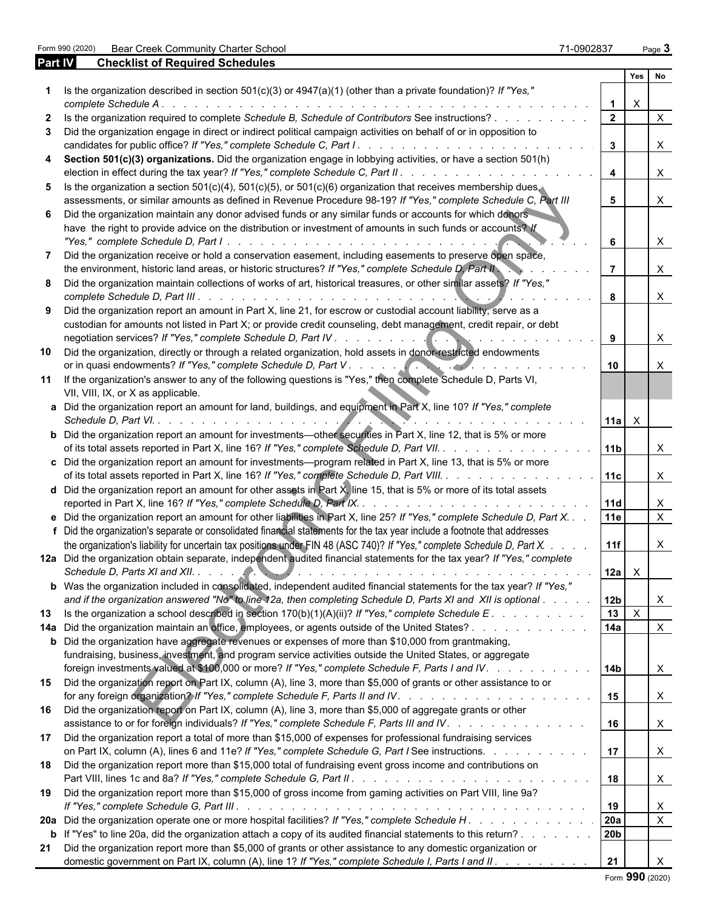Form 990 (2020) Bear Creek Community Charter School 71-0902837 Page **3**

| Part IV | <b>Checklist of Required Schedules</b>                                                                                                                                                                                                                                                                                                                                                                                               |                         |               |                           |  |
|---------|--------------------------------------------------------------------------------------------------------------------------------------------------------------------------------------------------------------------------------------------------------------------------------------------------------------------------------------------------------------------------------------------------------------------------------------|-------------------------|---------------|---------------------------|--|
|         |                                                                                                                                                                                                                                                                                                                                                                                                                                      |                         | Yes           | No                        |  |
|         | Is the organization described in section $501(c)(3)$ or $4947(a)(1)$ (other than a private foundation)? If "Yes,"<br>complete Schedule A.<br>de la caractería de la caractería de la caractería de la                                                                                                                                                                                                                                | -1                      | $\times$      |                           |  |
|         | Is the organization required to complete Schedule B, Schedule of Contributors See instructions?                                                                                                                                                                                                                                                                                                                                      | $\overline{2}$          |               | $\times$                  |  |
| 3       | Did the organization engage in direct or indirect political campaign activities on behalf of or in opposition to<br>candidates for public office? If "Yes," complete Schedule C, Part I. .<br>de la característica de la característica                                                                                                                                                                                              | $\mathbf{3}$            |               | $\times$                  |  |
| 4       | Section 501(c)(3) organizations. Did the organization engage in lobbying activities, or have a section 501(h)<br>election in effect during the tax year? If "Yes," complete Schedule C, Part II. .<br>and the contract of the contract of the contract of the contract of the contract of the contract of the contract of the contract of the contract of the contract of the contract of the contract of the contract of the contra | $\overline{\mathbf{4}}$ |               | $\times$                  |  |
|         | 5 Is the organization a section 501(c)(4), 501(c)(5), or 501(c)(6) organization that receives membership dues,<br>assessments, or similar amounts as defined in Revenue Procedure 98-19? If "Yes," complete Schedule C, Part III                                                                                                                                                                                                     | 5 <sup>5</sup>          |               | $\times$                  |  |
|         | 6 Did the organization maintain any donor advised funds or any similar funds or accounts for which donors                                                                                                                                                                                                                                                                                                                            |                         |               |                           |  |
|         | have the right to provide advice on the distribution or investment of amounts in such funds or accounts? If                                                                                                                                                                                                                                                                                                                          | 6                       |               | X                         |  |
| 7       | Did the organization receive or hold a conservation easement, including easements to preserve open space,<br>the environment, historic land areas, or historic structures? If "Yes," complete Schedule D, Part II                                                                                                                                                                                                                    |                         |               | $\times$                  |  |
|         | 8 Did the organization maintain collections of works of art, historical treasures, or other similar assets? If "Yes,"<br>complete Schedule D, Part III<br>de la caractería de la caractería de la caractería                                                                                                                                                                                                                         | 8                       |               | $\times$                  |  |
|         | 9 Did the organization report an amount in Part X, line 21, for escrow or custodial account liability, serve as a<br>custodian for amounts not listed in Part X; or provide credit counseling, debt management, credit repair, or debt                                                                                                                                                                                               |                         |               |                           |  |
|         |                                                                                                                                                                                                                                                                                                                                                                                                                                      | 9                       |               | X                         |  |
| 10      | Did the organization, directly or through a related organization, hold assets in donor-restricted endowments                                                                                                                                                                                                                                                                                                                         | 10                      |               | $\times$                  |  |
| 11      | If the organization's answer to any of the following questions is "Yes," then complete Schedule D, Parts VI,<br>VII, VIII, IX, or X as applicable.                                                                                                                                                                                                                                                                                   |                         |               |                           |  |
|         | a Did the organization report an amount for land, buildings, and equipment in Part X, line 10? If "Yes," complete<br>Schedule D, Part VI.                                                                                                                                                                                                                                                                                            | $11a$ $X$               |               |                           |  |
|         | <b>b</b> Did the organization report an amount for investments—other securities in Part X, line 12, that is 5% or more<br>of its total assets reported in Part X, line 16? If "Yes," complete Schedule D, Part VII.                                                                                                                                                                                                                  | 11b                     |               | $\times$                  |  |
|         | c Did the organization report an amount for investments-program related in Part X, line 13, that is 5% or more<br>of its total assets reported in Part X, line 16? If "Yes," complete Schedule D, Part VIII.                                                                                                                                                                                                                         | 11c                     |               | $\times$                  |  |
|         | d Did the organization report an amount for other assets in Part $X$ , line 15, that is 5% or more of its total assets<br>reported in Part X, line 16? If "Yes," complete Schedule D, Part IX. .                                                                                                                                                                                                                                     | 11d                     |               | $\mathsf{X}$              |  |
|         | e Did the organization report an amount for other liabilities in Part X, line 25? If "Yes," complete Schedule D, Part X. .<br>f Did the organization's separate or consolidated financial statements for the tax year include a footnote that addresses                                                                                                                                                                              | <b>11e</b>              |               | $\mathsf{x}$              |  |
|         | the organization's liability for uncertain tax positions under FIN 48 (ASC 740)? If "Yes," complete Schedule D, Part X.                                                                                                                                                                                                                                                                                                              | 11f                     |               | X                         |  |
|         | 12a Did the organization obtain separate, independent audited financial statements for the tax year? If "Yes," complete                                                                                                                                                                                                                                                                                                              |                         | 12a   X       |                           |  |
|         | b Was the organization included in consolidated, independent audited financial statements for the tax year? If "Yes,"<br>and if the organization answered "No" to line 12a, then completing Schedule D, Parts XI and XII is optional                                                                                                                                                                                                 | 12 <sub>b</sub>         |               | X                         |  |
| 13      | Is the organization a school described in section $170(b)(1)(A)(ii)$ ? If "Yes," complete Schedule E.                                                                                                                                                                                                                                                                                                                                |                         | $13$ $\times$ |                           |  |
|         | 14a Did the organization maintain an office, employees, or agents outside of the United States?                                                                                                                                                                                                                                                                                                                                      | 14a                     |               | X                         |  |
|         | <b>b</b> Did the organization have aggregate revenues or expenses of more than \$10,000 from grantmaking,<br>fundraising, business, investment, and program service activities outside the United States, or aggregate                                                                                                                                                                                                               |                         |               |                           |  |
|         | foreign investments valued at \$100,000 or more? If "Yes," complete Schedule F, Parts I and IV.<br>15 Did the organization report on Part IX, column (A), line 3, more than \$5,000 of grants or other assistance to or                                                                                                                                                                                                              | 14 <sub>b</sub>         |               | X                         |  |
| 16      | Did the organization report on Part IX, column (A), line 3, more than \$5,000 of aggregate grants or other                                                                                                                                                                                                                                                                                                                           | 15                      |               | $\mathsf{X}$              |  |
| 17      | assistance to or for foreign individuals? If "Yes," complete Schedule F, Parts III and IV.<br>Did the organization report a total of more than \$15,000 of expenses for professional fundraising services                                                                                                                                                                                                                            | 16                      |               | $\boldsymbol{\mathsf{X}}$ |  |
| 18      | on Part IX, column (A), lines 6 and 11e? If "Yes," complete Schedule G, Part I See instructions.<br>Did the organization report more than \$15,000 total of fundraising event gross income and contributions on                                                                                                                                                                                                                      | 17                      |               | $\mathsf{X}$              |  |
| 19      | Did the organization report more than \$15,000 of gross income from gaming activities on Part VIII, line 9a?                                                                                                                                                                                                                                                                                                                         | 18                      |               | $\boldsymbol{\mathsf{X}}$ |  |
|         |                                                                                                                                                                                                                                                                                                                                                                                                                                      | 19                      |               | X                         |  |
|         | 20a Did the organization operate one or more hospital facilities? If "Yes," complete Schedule H.<br><b>b</b> If "Yes" to line 20a, did the organization attach a copy of its audited financial statements to this return?                                                                                                                                                                                                            | 20a<br>20 <sub>b</sub>  |               | $\sf X$                   |  |
|         | 21 Did the organization report more than \$5,000 of grants or other assistance to any domestic organization or                                                                                                                                                                                                                                                                                                                       |                         |               |                           |  |
|         | domestic government on Part IX, column (A), line 1? If "Yes," complete Schedule I, Parts I and II.                                                                                                                                                                                                                                                                                                                                   | 21                      |               |                           |  |

Form **990** (2020)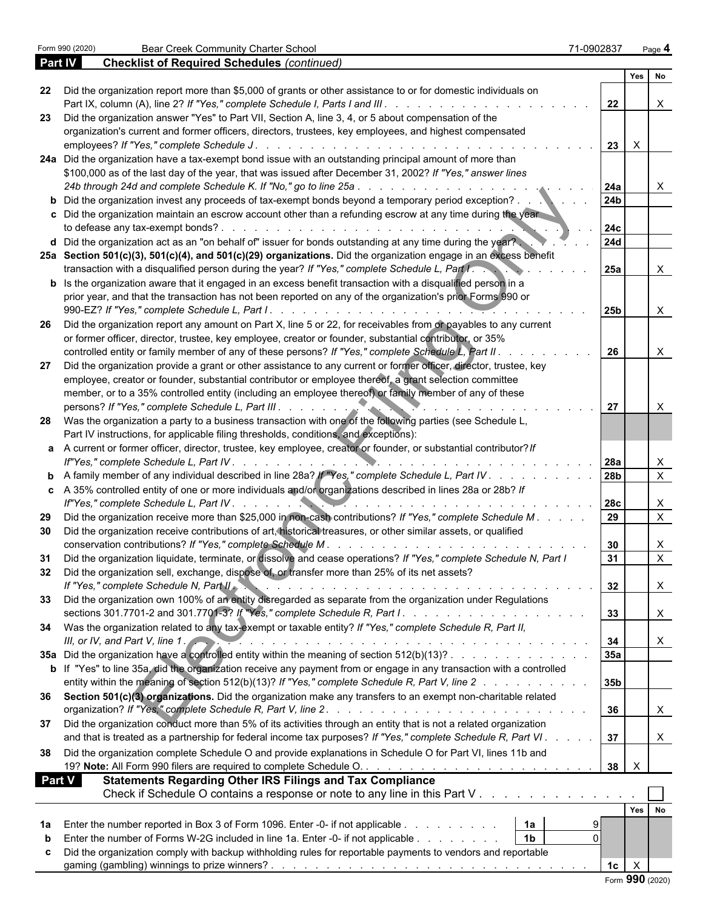| <b>Part IV</b> | <b>Checklist of Required Schedules (continued)</b>                                                                                                                                                                                              |                 |                 |                           |  |
|----------------|-------------------------------------------------------------------------------------------------------------------------------------------------------------------------------------------------------------------------------------------------|-----------------|-----------------|---------------------------|--|
|                |                                                                                                                                                                                                                                                 |                 | Yes             | No                        |  |
| 22             | Did the organization report more than \$5,000 of grants or other assistance to or for domestic individuals on                                                                                                                                   |                 |                 |                           |  |
|                | Part IX, column (A), line 2? If "Yes," complete Schedule I, Parts I and III. .<br>$\frac{1}{2}$ . $\frac{1}{2}$ . $\frac{1}{2}$ . $\frac{1}{2}$ . $\frac{1}{2}$ . $\frac{1}{2}$ . $\frac{1}{2}$ . $\frac{1}{2}$ . $\frac{1}{2}$ . $\frac{1}{2}$ | 22              |                 |                           |  |
| 23             | Did the organization answer "Yes" to Part VII, Section A, line 3, 4, or 5 about compensation of the                                                                                                                                             |                 |                 |                           |  |
|                | organization's current and former officers, directors, trustees, key employees, and highest compensated                                                                                                                                         |                 |                 |                           |  |
|                | employees? If "Yes," complete Schedule J.                                                                                                                                                                                                       | 23              | $\mathsf{X}$    |                           |  |
|                | 24a Did the organization have a tax-exempt bond issue with an outstanding principal amount of more than                                                                                                                                         |                 |                 |                           |  |
|                | \$100,000 as of the last day of the year, that was issued after December 31, 2002? If "Yes," answer lines                                                                                                                                       |                 |                 |                           |  |
|                | 24b through 24d and complete Schedule K. If "No," go to line 25a.                                                                                                                                                                               | 24a             |                 |                           |  |
|                | b Did the organization invest any proceeds of tax-exempt bonds beyond a temporary period exception?.                                                                                                                                            | 24 <sub>b</sub> |                 |                           |  |
|                | c Did the organization maintain an escrow account other than a refunding escrow at any time during the year                                                                                                                                     |                 |                 |                           |  |
|                | to defease any tax-exempt bonds?.<br>design and the contract of the contract of the contract of the contract of the contract of the contract of the                                                                                             | 24c             |                 |                           |  |
|                | d Did the organization act as an "on behalf of" issuer for bonds outstanding at any time during the year?                                                                                                                                       | <b>24d</b>      |                 |                           |  |
|                | 25a Section 501(c)(3), 501(c)(4), and 501(c)(29) organizations. Did the organization engage in an excess benefit                                                                                                                                |                 |                 |                           |  |
|                |                                                                                                                                                                                                                                                 |                 |                 |                           |  |
|                | transaction with a disqualified person during the year? If "Yes," complete Schedule L, Part I.                                                                                                                                                  | <b>25a</b>      |                 |                           |  |
|                | <b>b</b> Is the organization aware that it engaged in an excess benefit transaction with a disqualified person in a                                                                                                                             |                 |                 |                           |  |
|                | prior year, and that the transaction has not been reported on any of the organization's prior Forms 990 or                                                                                                                                      |                 |                 |                           |  |
|                |                                                                                                                                                                                                                                                 | <b>25b</b>      |                 | X                         |  |
| -26            | Did the organization report any amount on Part X, line 5 or 22, for receivables from or payables to any current                                                                                                                                 |                 |                 |                           |  |
|                | or former officer, director, trustee, key employee, creator or founder, substantial contributor, or 35%                                                                                                                                         |                 |                 |                           |  |
|                | controlled entity or family member of any of these persons? If "Yes," complete Schedule L, Part II.                                                                                                                                             | 26              |                 |                           |  |
| 27             | Did the organization provide a grant or other assistance to any current or former officer, director, trustee, key                                                                                                                               |                 |                 |                           |  |
|                | employee, creator or founder, substantial contributor or employee thereof, a grant selection committee                                                                                                                                          |                 |                 |                           |  |
|                | member, or to a 35% controlled entity (including an employee thereof) or family member of any of these                                                                                                                                          |                 |                 |                           |  |
|                | persons? If "Yes," complete Schedule L, Part III.                                                                                                                                                                                               | 27              |                 |                           |  |
| -28            | Was the organization a party to a business transaction with one of the following parties (see Schedule L,                                                                                                                                       |                 |                 |                           |  |
|                |                                                                                                                                                                                                                                                 |                 |                 |                           |  |
|                | Part IV instructions, for applicable filing thresholds, conditions, and exceptions):                                                                                                                                                            |                 |                 |                           |  |
|                | a A current or former officer, director, trustee, key employee, creator or founder, or substantial contributor? If                                                                                                                              |                 |                 |                           |  |
|                | If"Yes," complete Schedule L, Part IV. .<br>0.                                                                                                                                                                                                  | 28a             |                 | X                         |  |
|                | <b>b</b> A family member of any individual described in line 28a? If "Yes," complete Schedule L, Part IV                                                                                                                                        | <b>28b</b>      |                 | $\mathsf{X}$              |  |
|                | c A 35% controlled entity of one or more individuals and/or organizations described in lines 28a or 28b? If                                                                                                                                     |                 |                 |                           |  |
|                | If"Yes," complete Schedule L, Part IV                                                                                                                                                                                                           | <b>28c</b>      |                 | X                         |  |
| 29             | Did the organization receive more than \$25,000 in non-cash contributions? If "Yes," complete Schedule M. .                                                                                                                                     | 29              |                 | $\mathsf{X}$              |  |
| 30             | Did the organization receive contributions of art, historical treasures, or other similar assets, or qualified                                                                                                                                  |                 |                 |                           |  |
|                | conservation contributions? If "Yes," complete Schedule M.                                                                                                                                                                                      | 30              |                 |                           |  |
|                | 31 Did the organization liquidate, terminate, or dissolve and cease operations? If "Yes," complete Schedule N, Part I                                                                                                                           | 31              |                 | X                         |  |
|                | Did the organization sell, exchange, dispose of, or transfer more than 25% of its net assets?                                                                                                                                                   |                 |                 |                           |  |
|                | If "Yes," complete Schedule N, Part II<br>the contract of the contract of the contract of the contract of the contract of the contract of the contract of                                                                                       | 32              |                 | $\boldsymbol{X}$          |  |
|                |                                                                                                                                                                                                                                                 |                 |                 |                           |  |
|                | 33 Did the organization own 100% of an entity disregarded as separate from the organization under Regulations                                                                                                                                   |                 |                 |                           |  |
|                |                                                                                                                                                                                                                                                 | 33              |                 | X                         |  |
|                | 34 Was the organization related to any tax-exempt or taxable entity? If "Yes," complete Schedule R, Part II,                                                                                                                                    |                 |                 |                           |  |
|                | III, or IV, and Part V, line 1. A contract to the contract of the contract of the contract of the contract of                                                                                                                                   | 34              |                 | $\boldsymbol{\mathsf{X}}$ |  |
|                | 35a Did the organization have a controlled entity within the meaning of section 512(b)(13)?                                                                                                                                                     | 35a             |                 |                           |  |
|                | b If "Yes" to line 35a, did the organization receive any payment from or engage in any transaction with a controlled                                                                                                                            |                 |                 |                           |  |
|                | entity within the meaning of section 512(b)(13)? If "Yes," complete Schedule R, Part V, line 2                                                                                                                                                  | 35 <sub>b</sub> |                 |                           |  |
|                | 36 Section 501(c)(3) organizations. Did the organization make any transfers to an exempt non-charitable related                                                                                                                                 |                 |                 |                           |  |
|                |                                                                                                                                                                                                                                                 | 36              |                 |                           |  |
|                |                                                                                                                                                                                                                                                 |                 |                 | $\boldsymbol{\mathsf{X}}$ |  |
| 37             | Did the organization conduct more than 5% of its activities through an entity that is not a related organization                                                                                                                                |                 |                 |                           |  |
|                | and that is treated as a partnership for federal income tax purposes? If "Yes," complete Schedule R, Part VI.                                                                                                                                   | 37              |                 | $\boldsymbol{\mathsf{X}}$ |  |
| 38             | Did the organization complete Schedule O and provide explanations in Schedule O for Part VI, lines 11b and                                                                                                                                      |                 |                 |                           |  |
|                |                                                                                                                                                                                                                                                 | $38$ $\times$   |                 |                           |  |
| <b>Part V</b>  | <b>Statements Regarding Other IRS Filings and Tax Compliance</b>                                                                                                                                                                                |                 |                 |                           |  |
|                | Check if Schedule O contains a response or note to any line in this Part V                                                                                                                                                                      |                 |                 |                           |  |
|                |                                                                                                                                                                                                                                                 |                 |                 |                           |  |
|                |                                                                                                                                                                                                                                                 |                 |                 | Yes No                    |  |
| 1a             | 1a<br>Enter the number reported in Box 3 of Form 1096. Enter -0- if not applicable                                                                                                                                                              | 9               |                 |                           |  |
| b              | 1 <sub>b</sub><br>Enter the number of Forms W-2G included in line 1a. Enter -0- if not applicable                                                                                                                                               | $\Omega$        |                 |                           |  |
| С              | Did the organization comply with backup withholding rules for reportable payments to vendors and reportable                                                                                                                                     |                 |                 |                           |  |
|                |                                                                                                                                                                                                                                                 | 1c              | $\mathsf{X}$    |                           |  |
|                |                                                                                                                                                                                                                                                 |                 | Form 990 (2020) |                           |  |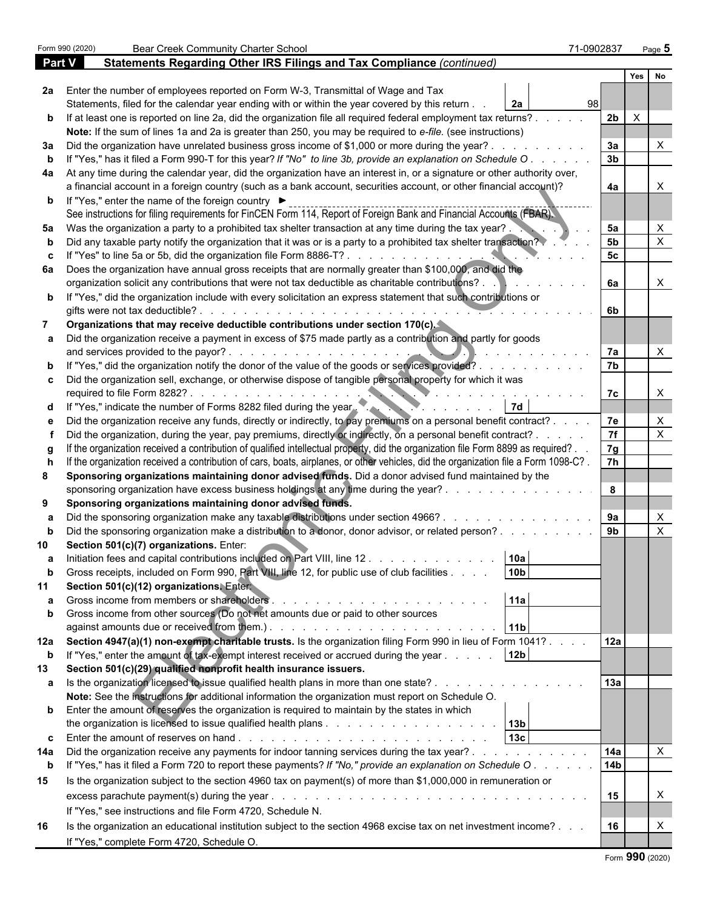|               | Form 990 (2020) | <b>Bear Creek Community Charter School</b>                                                                                                                                                                                                                            | 71-0902837 | Page 5                         |              |  |
|---------------|-----------------|-----------------------------------------------------------------------------------------------------------------------------------------------------------------------------------------------------------------------------------------------------------------------|------------|--------------------------------|--------------|--|
| <b>Part V</b> |                 | Statements Regarding Other IRS Filings and Tax Compliance (continued)                                                                                                                                                                                                 |            |                                |              |  |
|               |                 |                                                                                                                                                                                                                                                                       |            | Yes  <br>No                    |              |  |
|               |                 | 2a Enter the number of employees reported on Form W-3, Transmittal of Wage and Tax                                                                                                                                                                                    |            |                                |              |  |
|               |                 | Statements, filed for the calendar year ending with or within the year covered by this return.<br>2а                                                                                                                                                                  | 98         |                                |              |  |
|               |                 | b If at least one is reported on line 2a, did the organization file all required federal employment tax returns?.                                                                                                                                                     |            | 2 <sub>b</sub><br>$\mathsf{X}$ |              |  |
|               |                 | Note: If the sum of lines 1a and 2a is greater than 250, you may be required to e-file. (see instructions)                                                                                                                                                            |            |                                |              |  |
| За            |                 | Did the organization have unrelated business gross income of \$1,000 or more during the year?.                                                                                                                                                                        |            | 3a                             |              |  |
|               |                 | If "Yes," has it filed a Form 990-T for this year? If "No" to line 3b, provide an explanation on Schedule O                                                                                                                                                           |            | 3 <sub>b</sub>                 |              |  |
|               |                 | 4a At any time during the calendar year, did the organization have an interest in, or a signature or other authority over,                                                                                                                                            |            |                                |              |  |
|               |                 | a financial account in a foreign country (such as a bank account, securities account, or other financial account)?                                                                                                                                                    |            | 4a                             |              |  |
|               |                 | <b>b</b> If "Yes," enter the name of the foreign country ▶                                                                                                                                                                                                            |            |                                |              |  |
|               |                 | See instructions for filing requirements for FinCEN Form 114, Report of Foreign Bank and Financial Accounts (FBAR).                                                                                                                                                   |            |                                |              |  |
| 5a            |                 | Was the organization a party to a prohibited tax shelter transaction at any time during the tax year?                                                                                                                                                                 |            | 5a                             |              |  |
|               |                 | Did any taxable party notify the organization that it was or is a party to a prohibited tax shelter transaction?                                                                                                                                                      |            | 5 <sub>b</sub>                 |              |  |
|               |                 | "Yes" to line 5a or 5b, did the organization file Form 8886-T?.                                                                                                                                                                                                       |            | 5 <sub>c</sub>                 |              |  |
| 6а            |                 | Does the organization have annual gross receipts that are normally greater than \$100,000, and did the                                                                                                                                                                |            |                                |              |  |
|               |                 | organization solicit any contributions that were not tax deductible as charitable contributions?.                                                                                                                                                                     |            | 6a                             | X            |  |
|               |                 | <b>b</b> If "Yes," did the organization include with every solicitation an express statement that such contributions or                                                                                                                                               |            |                                |              |  |
|               |                 | gifts were not tax deductible?.<br>$\mathcal{L}$ . The set of the set of the set of the set of the set of the set of the set of the set of the set of the set of the set of the set of the set of the set of the set of the set of the set of the set of the set of t |            | 6b                             |              |  |
|               |                 | Organizations that may receive deductible contributions under section 170(c).                                                                                                                                                                                         |            |                                |              |  |
|               |                 | Did the organization receive a payment in excess of \$75 made partly as a contribution and partly for goods                                                                                                                                                           |            |                                |              |  |
|               |                 | and services provided to the payor?.                                                                                                                                                                                                                                  |            | 7a                             |              |  |
|               |                 | "Yes," did the organization notify the donor of the value of the goods or services provided?.                                                                                                                                                                         |            | 7b                             |              |  |
|               |                 | c Did the organization sell, exchange, or otherwise dispose of tangible personal property for which it was                                                                                                                                                            |            |                                |              |  |
|               |                 | required to file Form 8282?                                                                                                                                                                                                                                           |            | 7c                             | X            |  |
|               |                 | "Yes," indicate the number of Forms 8282 filed during the year.<br>7d                                                                                                                                                                                                 |            |                                |              |  |
|               |                 | Did the organization receive any funds, directly or indirectly, to pay premiums on a personal benefit contract?.                                                                                                                                                      |            | 7e                             | Χ            |  |
|               |                 | Did the organization, during the year, pay premiums, directly or indirectly, on a personal benefit contract? .                                                                                                                                                        |            | 7f                             |              |  |
|               |                 | If the organization received a contribution of qualified intellectual property, did the organization file Form 8899 as required?.                                                                                                                                     |            | 7g                             |              |  |
|               |                 | If the organization received a contribution of cars, boats, airplanes, or other vehicles, did the organization file a Form 1098-C?.                                                                                                                                   |            | 7h                             |              |  |
| 8             |                 | Sponsoring organizations maintaining donor advised funds. Did a donor advised fund maintained by the                                                                                                                                                                  |            |                                |              |  |
|               |                 | sponsoring organization have excess business holdings at any time during the year?                                                                                                                                                                                    |            | 8                              |              |  |
| 9             |                 | Sponsoring organizations maintaining donor advised funds.                                                                                                                                                                                                             |            |                                |              |  |
|               |                 | Did the sponsoring organization make any taxable distributions under section 4966?.                                                                                                                                                                                   |            | 9a                             |              |  |
|               |                 | Did the sponsoring organization make a distribution to a donor, donor advisor, or related person?                                                                                                                                                                     |            | 9 <sub>b</sub>                 |              |  |
|               |                 | Section 501(c)(7) organizations. Enter:                                                                                                                                                                                                                               |            |                                |              |  |
|               |                 | Initiation fees and capital contributions included on Part VIII, line 12.<br>10a                                                                                                                                                                                      |            |                                |              |  |
|               |                 | 10 <sub>b</sub><br>Gross receipts, included on Form 990, Part VIII, line 12, for public use of club facilities                                                                                                                                                        |            |                                |              |  |
| 11            |                 | Section 501(c)(12) organizations. Entert                                                                                                                                                                                                                              |            |                                |              |  |
|               |                 | 11a<br>Gross income from members or shareholders<br>and a straightful and a straight and a                                                                                                                                                                            |            |                                |              |  |
|               |                 | Gross income from other sources (Do not net amounts due or paid to other sources                                                                                                                                                                                      |            |                                |              |  |
|               |                 | 11 <sub>b</sub>                                                                                                                                                                                                                                                       |            |                                |              |  |
|               |                 | 12a Section 4947(a)(1) non-exempt charitable trusts. Is the organization filing Form 990 in lieu of Form 1041?.<br>If "Yes," enter the amount of tax-exempt interest received or accrued during the year                                                              |            | 12a                            |              |  |
| b             |                 | 12 <sub>b</sub>                                                                                                                                                                                                                                                       |            |                                |              |  |
| 13            |                 | Section 501(c)(29) qualified nonprofit health insurance issuers.                                                                                                                                                                                                      |            | 13a                            |              |  |
|               |                 | a Is the organization licensed to issue qualified health plans in more than one state?                                                                                                                                                                                |            |                                |              |  |
|               |                 | Note: See the instructions for additional information the organization must report on Schedule O.                                                                                                                                                                     |            |                                |              |  |
|               |                 | <b>b</b> Enter the amount of reserves the organization is required to maintain by the states in which                                                                                                                                                                 |            |                                |              |  |
|               |                 | 13 <sub>c</sub>                                                                                                                                                                                                                                                       |            |                                |              |  |
|               |                 | Did the organization receive any payments for indoor tanning services during the tax year?.                                                                                                                                                                           |            | 14a                            | $\mathsf{X}$ |  |
| 14a           |                 |                                                                                                                                                                                                                                                                       |            | 14 <sub>b</sub>                |              |  |
| $\mathbf b$   |                 | If "Yes," has it filed a Form 720 to report these payments? If "No," provide an explanation on Schedule O.                                                                                                                                                            |            |                                |              |  |
| 15            |                 | Is the organization subject to the section 4960 tax on payment(s) of more than \$1,000,000 in remuneration or                                                                                                                                                         |            |                                |              |  |
|               |                 |                                                                                                                                                                                                                                                                       |            | 15                             | X            |  |
|               |                 | If "Yes," see instructions and file Form 4720, Schedule N.                                                                                                                                                                                                            |            |                                |              |  |
| 16            |                 | Is the organization an educational institution subject to the section 4968 excise tax on net investment income?                                                                                                                                                       |            | 16                             |              |  |
|               |                 | If "Yes," complete Form 4720, Schedule O.                                                                                                                                                                                                                             |            |                                |              |  |
|               |                 |                                                                                                                                                                                                                                                                       |            |                                |              |  |

| Form 990 (2020) |  |  |
|-----------------|--|--|
|-----------------|--|--|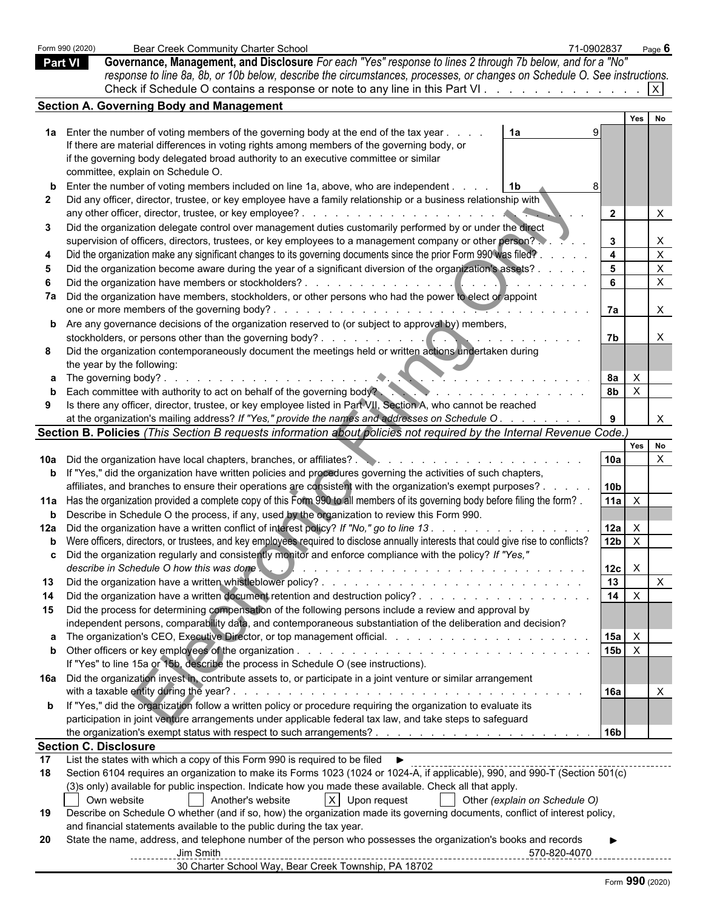|    | Form 990 (2020) | Bear Creek Community Charter School                                                                                                                                                                                                                                        | 71-0902837 |                                     | Page $6$                  |  |  |
|----|-----------------|----------------------------------------------------------------------------------------------------------------------------------------------------------------------------------------------------------------------------------------------------------------------------|------------|-------------------------------------|---------------------------|--|--|
|    | <b>Part VI</b>  | Governance, Management, and Disclosure For each "Yes" response to lines 2 through 7b below, and for a "No"                                                                                                                                                                 |            |                                     |                           |  |  |
|    |                 | response to line 8a, 8b, or 10b below, describe the circumstances, processes, or changes on Schedule O. See instructions.                                                                                                                                                  |            |                                     |                           |  |  |
|    |                 |                                                                                                                                                                                                                                                                            |            |                                     |                           |  |  |
|    |                 | <b>Section A. Governing Body and Management</b>                                                                                                                                                                                                                            |            |                                     |                           |  |  |
|    |                 |                                                                                                                                                                                                                                                                            |            | Yes                                 | No                        |  |  |
|    |                 | 1a Enter the number of voting members of the governing body at the end of the tax year<br>1a                                                                                                                                                                               |            |                                     |                           |  |  |
|    |                 | If there are material differences in voting rights among members of the governing body, or                                                                                                                                                                                 |            |                                     |                           |  |  |
|    |                 | if the governing body delegated broad authority to an executive committee or similar                                                                                                                                                                                       |            |                                     |                           |  |  |
|    |                 | committee, explain on Schedule O.                                                                                                                                                                                                                                          |            |                                     |                           |  |  |
|    |                 | Enter the number of voting members included on line 1a, above, who are independent.<br>  1b                                                                                                                                                                                |            |                                     |                           |  |  |
|    |                 | Did any officer, director, trustee, or key employee have a family relationship or a business relationship with                                                                                                                                                             |            |                                     |                           |  |  |
|    |                 |                                                                                                                                                                                                                                                                            |            | $\overline{2}$                      |                           |  |  |
| 3  |                 | Did the organization delegate control over management duties customarily performed by or under the direct                                                                                                                                                                  |            |                                     |                           |  |  |
|    |                 | supervision of officers, directors, trustees, or key employees to a management company or other person?                                                                                                                                                                    |            | $\mathbf{3}$                        |                           |  |  |
|    |                 | Did the organization make any significant changes to its governing documents since the prior Form 990 was filed?                                                                                                                                                           |            | $\overline{4}$                      | $\boldsymbol{\mathsf{X}}$ |  |  |
|    |                 | Did the organization become aware during the year of a significant diversion of the organization's assets?                                                                                                                                                                 |            | 5 <sup>1</sup>                      | $\times$                  |  |  |
|    |                 |                                                                                                                                                                                                                                                                            |            | 6                                   | $\mathsf{X}$              |  |  |
|    |                 | 7a Did the organization have members, stockholders, or other persons who had the power to elect or appoint                                                                                                                                                                 |            |                                     |                           |  |  |
|    |                 |                                                                                                                                                                                                                                                                            |            | 7a                                  |                           |  |  |
|    |                 | <b>b</b> Are any governance decisions of the organization reserved to (or subject to approval by) members,                                                                                                                                                                 |            |                                     |                           |  |  |
|    |                 | stockholders, or persons other than the governing body?.<br>. <b>.</b>                                                                                                                                                                                                     |            | 7b                                  |                           |  |  |
| 8  |                 | Did the organization contemporaneously document the meetings held or written actions undertaken during                                                                                                                                                                     |            |                                     |                           |  |  |
|    |                 | the year by the following:                                                                                                                                                                                                                                                 |            |                                     |                           |  |  |
|    |                 | <b>a</b> The governing body?.<br>and the state of the state of the state of                                                                                                                                                                                                |            | 8а<br>$\mathsf{X}$                  |                           |  |  |
|    |                 | Each committee with authority to act on behalf of the governing body?                                                                                                                                                                                                      |            | 8 <sub>b</sub><br>$\mathsf{X}$      |                           |  |  |
|    |                 | Is there any officer, director, trustee, or key employee listed in Part VII, Section A, who cannot be reached                                                                                                                                                              |            |                                     |                           |  |  |
|    |                 | at the organization's mailing address? If "Yes," provide the names and addresses on Schedule O.                                                                                                                                                                            |            |                                     | $\times$                  |  |  |
|    |                 | Section B. Policies (This Section B requests information about policies not required by the Internal Revenue Code.)                                                                                                                                                        |            |                                     |                           |  |  |
|    |                 |                                                                                                                                                                                                                                                                            |            | 10a                                 | Yes No<br>$\mathsf{X}$    |  |  |
|    |                 |                                                                                                                                                                                                                                                                            |            |                                     |                           |  |  |
|    |                 | <b>b</b> If "Yes," did the organization have written policies and procedures governing the activities of such chapters,<br>affiliates, and branches to ensure their operations are consistent with the organization's exempt purposes? .                                   |            | 10 <sub>b</sub>                     |                           |  |  |
|    |                 | 11a Has the organization provided a complete copy of this Form 990 to all members of its governing body before filing the form?.                                                                                                                                           |            | 11a<br>$\mathsf{X}$                 |                           |  |  |
|    |                 | <b>b</b> Describe in Schedule O the process, if any, used by the organization to review this Form 990.                                                                                                                                                                     |            |                                     |                           |  |  |
|    |                 | 12a Did the organization have a written conflict of interest policy? If "No," go to line 13.                                                                                                                                                                               |            | 12a<br>X,                           |                           |  |  |
|    |                 | <b>b</b> Were officers, directors, or trustees, and key employees required to disclose annually interests that could give rise to conflicts?                                                                                                                               |            | 12 <sub>b</sub><br>$\mathsf{X}$     |                           |  |  |
|    |                 | Did the organization regularly and consistently monitor and enforce compliance with the policy? If "Yes,"                                                                                                                                                                  |            |                                     |                           |  |  |
|    |                 | describe in Schedule O how this was done<br>and a complete discussion of the complete discussion of the complete state of the complete state of the complete state of the complete state of the complete state of the complete state of the complete state of the complete |            | $12c \times$                        |                           |  |  |
| 13 |                 |                                                                                                                                                                                                                                                                            |            | 13                                  | $\mathsf{X}$              |  |  |
| 14 |                 |                                                                                                                                                                                                                                                                            |            | $14 \mid X$                         |                           |  |  |
| 15 |                 | Did the process for determining compensation of the following persons include a review and approval by                                                                                                                                                                     |            |                                     |                           |  |  |
|    |                 | independent persons, comparability data, and contemporaneous substantiation of the deliberation and decision?                                                                                                                                                              |            |                                     |                           |  |  |
|    |                 |                                                                                                                                                                                                                                                                            |            | $15a$ $X$                           |                           |  |  |
|    |                 |                                                                                                                                                                                                                                                                            |            | $15b \overline{\phantom{a}} \times$ |                           |  |  |
|    |                 | If "Yes" to line 15a or 15b, describe the process in Schedule O (see instructions).                                                                                                                                                                                        |            |                                     |                           |  |  |
|    |                 | 16a Did the organization invest in, contribute assets to, or participate in a joint venture or similar arrangement                                                                                                                                                         |            |                                     |                           |  |  |
|    |                 |                                                                                                                                                                                                                                                                            |            | 16a                                 |                           |  |  |
|    |                 | <b>b</b> If "Yes," did the organization follow a written policy or procedure requiring the organization to evaluate its                                                                                                                                                    |            |                                     |                           |  |  |
|    |                 | participation in joint venture arrangements under applicable federal tax law, and take steps to safeguard                                                                                                                                                                  |            |                                     |                           |  |  |
|    |                 |                                                                                                                                                                                                                                                                            |            | 16 <sub>b</sub>                     |                           |  |  |
|    |                 | <b>Section C. Disclosure</b>                                                                                                                                                                                                                                               |            |                                     |                           |  |  |
| 17 |                 | List the states with which a copy of this Form 990 is required to be filed $\blacktriangleright$                                                                                                                                                                           |            |                                     |                           |  |  |
| 18 |                 | Section 6104 requires an organization to make its Forms 1023 (1024 or 1024-A, if applicable), 990, and 990-T (Section 501(c)                                                                                                                                               |            |                                     |                           |  |  |
|    |                 | (3)s only) available for public inspection. Indicate how you made these available. Check all that apply.                                                                                                                                                                   |            |                                     |                           |  |  |
|    |                 | X Upon request<br>Own website<br>Another's website<br>Other (explain on Schedule O)                                                                                                                                                                                        |            |                                     |                           |  |  |
| 19 |                 | Describe on Schedule O whether (and if so, how) the organization made its governing documents, conflict of interest policy,                                                                                                                                                |            |                                     |                           |  |  |
|    |                 | and financial statements available to the public during the tax year.                                                                                                                                                                                                      |            |                                     |                           |  |  |
| 20 |                 | State the name, address, and telephone number of the person who possesses the organization's books and records<br>Jim Smith                                                                                                                                                |            |                                     |                           |  |  |
|    |                 | --------------<br>30 Charter School Way, Bear Creek Township, PA 18702                                                                                                                                                                                                     |            | -------------------                 |                           |  |  |
|    |                 |                                                                                                                                                                                                                                                                            |            |                                     |                           |  |  |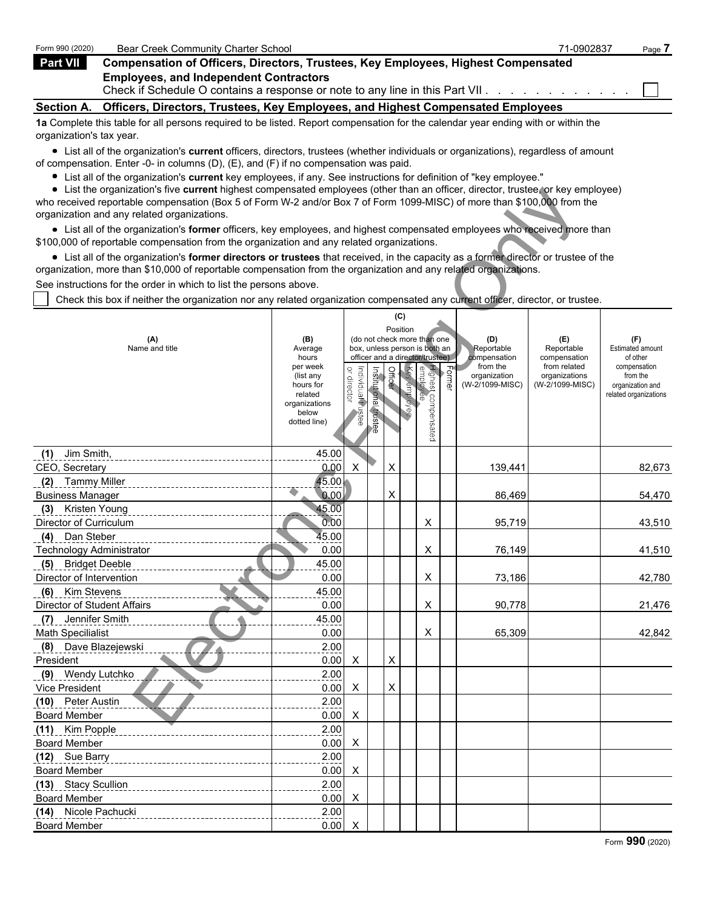| Form 990 (2020)          | Bear Creek Community Charter School                                                                                               | 71-0902837 | Page 7 |
|--------------------------|-----------------------------------------------------------------------------------------------------------------------------------|------------|--------|
| <b>Part VII</b>          | Compensation of Officers, Directors, Trustees, Key Employees, Highest Compensated                                                 |            |        |
|                          | <b>Employees, and Independent Contractors</b>                                                                                     |            |        |
|                          | Section A. Officers, Directors, Trustees, Key Employees, and Highest Compensated Employees                                        |            |        |
| organization's tax year. | 1a Complete this table for all persons required to be listed. Report compensation for the calendar year ending with or within the |            |        |

List all of the organization's **current** officers, directors, trustees (whether individuals or organizations), regardless of amount of compensation. Enter -0- in columns (D), (E), and (F) if no compensation was paid.

- List all of the organization's **current** key employees, if any. See instructions for definition of "key employee."
- List the organization's five **current** highest compensated employees (other than an officer, director, trustee, or key employee)

| $\bullet$ List the organization's five current highest compensated employees (other than an officer, director, trustee, or key employee)<br>who received reportable compensation (Box 5 of Form W-2 and/or Box 7 of Form 1099-MISC) of more than \$100,000 from the |                       |                                   |                       |          |  |                                                              |                   |                          |                              |                                           |  |  |  |
|---------------------------------------------------------------------------------------------------------------------------------------------------------------------------------------------------------------------------------------------------------------------|-----------------------|-----------------------------------|-----------------------|----------|--|--------------------------------------------------------------|-------------------|--------------------------|------------------------------|-------------------------------------------|--|--|--|
| organization and any related organizations.                                                                                                                                                                                                                         |                       |                                   |                       |          |  |                                                              |                   |                          |                              |                                           |  |  |  |
| • List all of the organization's former officers, key employees, and highest compensated employees who received more than                                                                                                                                           |                       |                                   |                       |          |  |                                                              |                   |                          |                              |                                           |  |  |  |
| \$100,000 of reportable compensation from the organization and any related organizations.                                                                                                                                                                           |                       |                                   |                       |          |  |                                                              |                   |                          |                              |                                           |  |  |  |
| • List all of the organization's former directors or trustees that received, in the capacity as a former director or trustee of the<br>organization, more than \$10,000 of reportable compensation from the organization and any related organizations.             |                       |                                   |                       |          |  |                                                              |                   |                          |                              |                                           |  |  |  |
|                                                                                                                                                                                                                                                                     |                       |                                   |                       |          |  |                                                              |                   |                          |                              |                                           |  |  |  |
| See instructions for the order in which to list the persons above.                                                                                                                                                                                                  |                       |                                   |                       |          |  |                                                              |                   |                          |                              |                                           |  |  |  |
| Check this box if neither the organization nor any related organization compensated any current officer, director, or trustee.                                                                                                                                      |                       |                                   |                       |          |  |                                                              |                   |                          |                              |                                           |  |  |  |
|                                                                                                                                                                                                                                                                     |                       |                                   |                       | (C)      |  |                                                              |                   |                          |                              |                                           |  |  |  |
|                                                                                                                                                                                                                                                                     |                       |                                   |                       | Position |  |                                                              |                   |                          |                              |                                           |  |  |  |
| (A)<br>Name and title                                                                                                                                                                                                                                               | (B)<br>Average        |                                   |                       |          |  | (do not check more than one<br>box, unless person is both an |                   | (D)<br>Reportable        | (E)<br>Reportable            | (F)<br>Estimated amount                   |  |  |  |
|                                                                                                                                                                                                                                                                     | hours<br>per week     |                                   |                       |          |  | officer and a director/trustee)                              |                   | compensation<br>from the | compensation<br>from related | of other<br>compensation                  |  |  |  |
|                                                                                                                                                                                                                                                                     | (list any             |                                   |                       | Officer  |  |                                                              | $F_{\text{oume}}$ | organization             | organizations                | from the                                  |  |  |  |
|                                                                                                                                                                                                                                                                     | hours for<br>related  | or director<br>Individual trustee | Institutional trustee |          |  |                                                              |                   | (W-2/1099-MISC)          | (W-2/1099-MISC)              | organization and<br>related organizations |  |  |  |
|                                                                                                                                                                                                                                                                     | organizations         |                                   |                       |          |  |                                                              |                   |                          |                              |                                           |  |  |  |
|                                                                                                                                                                                                                                                                     | below<br>dotted line) |                                   |                       |          |  |                                                              |                   |                          |                              |                                           |  |  |  |
|                                                                                                                                                                                                                                                                     |                       |                                   |                       |          |  | Highest compensated<br>employee<br>Key employee              |                   |                          |                              |                                           |  |  |  |
|                                                                                                                                                                                                                                                                     |                       |                                   |                       |          |  |                                                              |                   |                          |                              |                                           |  |  |  |
| Jim Smith,<br>(1)<br>CEO, Secretary                                                                                                                                                                                                                                 | 45.00<br>0.00         | X                                 |                       | X        |  |                                                              |                   | 139,441                  |                              | 82,673                                    |  |  |  |
|                                                                                                                                                                                                                                                                     | 45.00                 |                                   |                       |          |  |                                                              |                   |                          |                              |                                           |  |  |  |
| Tammy Miller<br>(2)<br><b>Business Manager</b>                                                                                                                                                                                                                      | 0.00                  |                                   |                       | X        |  |                                                              |                   | 86,469                   |                              | 54,470                                    |  |  |  |
| (3) Kristen Young                                                                                                                                                                                                                                                   | 45.00                 |                                   |                       |          |  |                                                              |                   |                          |                              |                                           |  |  |  |
| Director of Curriculum                                                                                                                                                                                                                                              | 0.00                  |                                   |                       |          |  | Χ                                                            |                   | 95,719                   |                              | 43,510                                    |  |  |  |
| (4) Dan Steber                                                                                                                                                                                                                                                      | 45.00                 |                                   |                       |          |  |                                                              |                   |                          |                              |                                           |  |  |  |
| <b>Technology Administrator</b>                                                                                                                                                                                                                                     | 0.00                  |                                   |                       |          |  | X                                                            |                   | 76,149                   |                              | 41,510                                    |  |  |  |
| (5) Bridget Deeble                                                                                                                                                                                                                                                  | 45.00                 |                                   |                       |          |  |                                                              |                   |                          |                              |                                           |  |  |  |
| Director of Intervention                                                                                                                                                                                                                                            | 0.00                  |                                   |                       |          |  | X                                                            |                   | 73,186                   |                              | 42,780                                    |  |  |  |
| (6) Kim Stevens                                                                                                                                                                                                                                                     | 45.00                 |                                   |                       |          |  |                                                              |                   |                          |                              |                                           |  |  |  |
| <b>Director of Student Affairs</b>                                                                                                                                                                                                                                  | 0.00                  |                                   |                       |          |  | X                                                            |                   | 90,778                   |                              | 21,476                                    |  |  |  |
| (7) Jennifer Smith                                                                                                                                                                                                                                                  | 45.00                 |                                   |                       |          |  |                                                              |                   |                          |                              |                                           |  |  |  |
| <b>Math Specilialist</b>                                                                                                                                                                                                                                            | 0.00                  |                                   |                       |          |  | X                                                            |                   | 65,309                   |                              | 42,842                                    |  |  |  |
| (8) Dave Blazejewski                                                                                                                                                                                                                                                | 2.00                  |                                   |                       |          |  |                                                              |                   |                          |                              |                                           |  |  |  |
| President                                                                                                                                                                                                                                                           | 0.00                  | X                                 |                       | X        |  |                                                              |                   |                          |                              |                                           |  |  |  |
| (9) Wendy Lutchko                                                                                                                                                                                                                                                   | 2.00                  |                                   |                       |          |  |                                                              |                   |                          |                              |                                           |  |  |  |
| Vice President                                                                                                                                                                                                                                                      | 0.00                  | X                                 |                       | X        |  |                                                              |                   |                          |                              |                                           |  |  |  |
| (10) Peter Austin                                                                                                                                                                                                                                                   | 2.00                  |                                   |                       |          |  |                                                              |                   |                          |                              |                                           |  |  |  |
| <b>Board Member</b>                                                                                                                                                                                                                                                 | $0.00\quad$ X         |                                   |                       |          |  |                                                              |                   |                          |                              |                                           |  |  |  |
| (11) Kim Popple                                                                                                                                                                                                                                                     | 2.00                  |                                   |                       |          |  |                                                              |                   |                          |                              |                                           |  |  |  |
| <b>Board Member</b>                                                                                                                                                                                                                                                 | 0.00                  | X                                 |                       |          |  |                                                              |                   |                          |                              |                                           |  |  |  |
| (12) Sue Barry                                                                                                                                                                                                                                                      | 2.00                  |                                   |                       |          |  |                                                              |                   |                          |                              |                                           |  |  |  |
| <b>Board Member</b>                                                                                                                                                                                                                                                 | 0.00                  | X                                 |                       |          |  |                                                              |                   |                          |                              |                                           |  |  |  |
| (13) Stacy Scullion                                                                                                                                                                                                                                                 | 2.00                  |                                   |                       |          |  |                                                              |                   |                          |                              |                                           |  |  |  |
| <b>Board Member</b>                                                                                                                                                                                                                                                 | 0.00                  | X                                 |                       |          |  |                                                              |                   |                          |                              |                                           |  |  |  |
| (14) Nicole Pachucki                                                                                                                                                                                                                                                | 2.00                  |                                   |                       |          |  |                                                              |                   |                          |                              |                                           |  |  |  |
| <b>Board Member</b>                                                                                                                                                                                                                                                 | 0.00                  | X                                 |                       |          |  |                                                              |                   |                          |                              |                                           |  |  |  |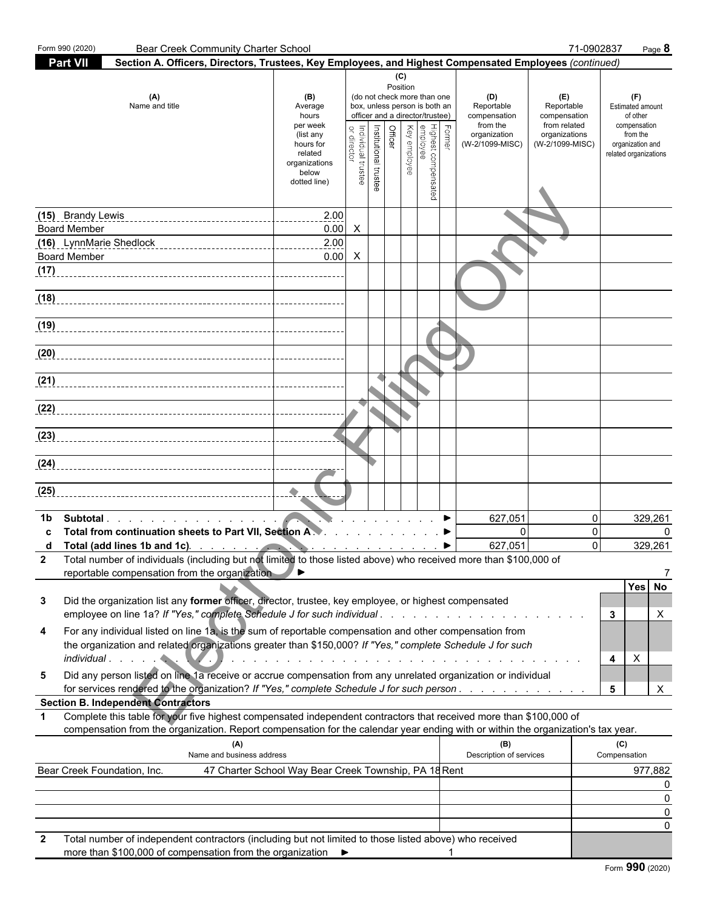| Form 990 (2020)                            | <b>Bear Creek Community Charter School</b>                                                                                                                                                                                                             |                                                                             |                                                                                         |                       |         |                 |                                                                                                 |               |                                                               |                                                   | 71-0902837       | Page 8                                                |
|--------------------------------------------|--------------------------------------------------------------------------------------------------------------------------------------------------------------------------------------------------------------------------------------------------------|-----------------------------------------------------------------------------|-----------------------------------------------------------------------------------------|-----------------------|---------|-----------------|-------------------------------------------------------------------------------------------------|---------------|---------------------------------------------------------------|---------------------------------------------------|------------------|-------------------------------------------------------|
| <b>Part VII</b>                            | Section A. Officers, Directors, Trustees, Key Employees, and Highest Compensated Employees (continued)                                                                                                                                                 |                                                                             |                                                                                         |                       |         |                 |                                                                                                 |               |                                                               |                                                   |                  |                                                       |
|                                            | (A)<br>Name and title                                                                                                                                                                                                                                  | (B)<br>Average<br>hours<br>per week                                         |                                                                                         |                       |         | (C)<br>Position | (do not check more than one<br>box, unless person is both an<br>officer and a director/trustee) |               | (D)<br>Reportable<br>compensation<br>from the<br>organization | (E)<br>Reportable<br>compensation<br>from related |                  | (F)<br>Estimated amount<br>of other<br>compensation   |
|                                            |                                                                                                                                                                                                                                                        | (list any<br>hours for<br>related<br>organizations<br>below<br>dotted line) | ndividual trustee<br>director                                                           | Institutional trustee | Officer | Key employee    | Highest co<br>compensated                                                                       | <b>Former</b> | (W-2/1099-MISC)                                               | organizations<br>(W-2/1099-MISC)                  |                  | from the<br>organization and<br>related organizations |
|                                            | (15) Brandy Lewis<br>----------------------------------                                                                                                                                                                                                | 2.00<br>---------                                                           |                                                                                         |                       |         |                 |                                                                                                 |               |                                                               |                                                   |                  |                                                       |
| <b>Board Member</b><br><b>Board Member</b> |                                                                                                                                                                                                                                                        | $0.00\quad$ X<br>2.00<br>0.00                                               | $\mathsf{X}$                                                                            |                       |         |                 |                                                                                                 |               |                                                               |                                                   |                  |                                                       |
|                                            |                                                                                                                                                                                                                                                        |                                                                             |                                                                                         |                       |         |                 |                                                                                                 |               |                                                               |                                                   |                  |                                                       |
|                                            |                                                                                                                                                                                                                                                        |                                                                             |                                                                                         |                       |         |                 |                                                                                                 |               |                                                               |                                                   |                  |                                                       |
|                                            |                                                                                                                                                                                                                                                        |                                                                             |                                                                                         |                       |         |                 |                                                                                                 |               |                                                               |                                                   |                  |                                                       |
|                                            |                                                                                                                                                                                                                                                        |                                                                             |                                                                                         |                       |         |                 |                                                                                                 |               |                                                               |                                                   |                  |                                                       |
|                                            |                                                                                                                                                                                                                                                        |                                                                             |                                                                                         |                       |         |                 |                                                                                                 |               |                                                               |                                                   |                  |                                                       |
|                                            |                                                                                                                                                                                                                                                        |                                                                             |                                                                                         |                       |         |                 |                                                                                                 |               |                                                               |                                                   |                  |                                                       |
|                                            |                                                                                                                                                                                                                                                        |                                                                             |                                                                                         |                       |         |                 |                                                                                                 |               |                                                               |                                                   |                  |                                                       |
|                                            |                                                                                                                                                                                                                                                        |                                                                             |                                                                                         |                       |         |                 |                                                                                                 |               |                                                               |                                                   |                  |                                                       |
| (25)                                       |                                                                                                                                                                                                                                                        |                                                                             |                                                                                         |                       |         |                 |                                                                                                 |               |                                                               |                                                   |                  |                                                       |
| 1b                                         | Subtotal                                                                                                                                                                                                                                               |                                                                             | $\mathbf{r}$ , $\mathbf{r}$ , $\mathbf{r}$ , $\mathbf{r}$ , $\mathbf{r}$ , $\mathbf{r}$ |                       |         |                 |                                                                                                 |               | 627,051                                                       |                                                   | 0                | 329,261                                               |
| d                                          | Total from continuation sheets to Part VII, Section A. A. A. A. A. A. A. A. A. A. A.                                                                                                                                                                   |                                                                             |                                                                                         |                       |         |                 |                                                                                                 |               | $\overline{0}$                                                |                                                   | 0<br>$\mathbf 0$ | 329,261                                               |
| 2                                          | Total (add lines 1b and 1c).<br>Total number of individuals (including but not limited to those listed above) who received more than \$100,000 of                                                                                                      |                                                                             |                                                                                         |                       |         |                 |                                                                                                 |               |                                                               |                                                   |                  |                                                       |
|                                            | reportable compensation from the organization                                                                                                                                                                                                          |                                                                             |                                                                                         |                       |         |                 |                                                                                                 |               |                                                               |                                                   |                  | Yes No                                                |
| 3                                          | Did the organization list any former officer, director, trustee, key employee, or highest compensated<br>employee on line 1a? If "Yes," complete Schedule J for such individual                                                                        |                                                                             |                                                                                         |                       |         |                 |                                                                                                 |               |                                                               |                                                   |                  | Χ<br>3                                                |
| 4                                          | For any individual listed on line 1a, is the sum of reportable compensation and other compensation from<br>the organization and related organizations greater than \$150,000? If "Yes," complete Schedule J for such                                   |                                                                             |                                                                                         |                       |         |                 |                                                                                                 |               |                                                               |                                                   |                  | X<br>4                                                |
| 5                                          | Did any person listed on line 1a receive or accrue compensation from any unrelated organization or individual<br>for services rendered to the organization? If "Yes," complete Schedule J for such person                                              |                                                                             |                                                                                         |                       |         |                 |                                                                                                 |               |                                                               |                                                   |                  | X<br>5                                                |
|                                            | <b>Section B. Independent Contractors</b>                                                                                                                                                                                                              |                                                                             |                                                                                         |                       |         |                 |                                                                                                 |               |                                                               |                                                   |                  |                                                       |
| $\mathbf 1$                                | Complete this table for your five highest compensated independent contractors that received more than \$100,000 of<br>compensation from the organization. Report compensation for the calendar year ending with or within the organization's tax year. |                                                                             |                                                                                         |                       |         |                 |                                                                                                 |               |                                                               |                                                   |                  |                                                       |
|                                            | (A)<br>Name and business address                                                                                                                                                                                                                       |                                                                             |                                                                                         |                       |         |                 |                                                                                                 |               | (B)<br>Description of services                                |                                                   |                  | (C)<br>Compensation                                   |
|                                            | Bear Creek Foundation, Inc.                                                                                                                                                                                                                            | 47 Charter School Way Bear Creek Township, PA 18 Rent                       |                                                                                         |                       |         |                 |                                                                                                 |               |                                                               |                                                   |                  | 977,882                                               |
|                                            |                                                                                                                                                                                                                                                        |                                                                             |                                                                                         |                       |         |                 |                                                                                                 |               |                                                               |                                                   |                  |                                                       |
|                                            |                                                                                                                                                                                                                                                        |                                                                             |                                                                                         |                       |         |                 |                                                                                                 |               |                                                               |                                                   |                  | ŋ<br>O                                                |
|                                            |                                                                                                                                                                                                                                                        |                                                                             |                                                                                         |                       |         |                 |                                                                                                 |               |                                                               |                                                   |                  |                                                       |
| 2                                          | Total number of independent contractors (including but not limited to those listed above) who received<br>more than \$100,000 of compensation from the organization ▶                                                                                  |                                                                             |                                                                                         |                       |         |                 |                                                                                                 |               |                                                               |                                                   |                  |                                                       |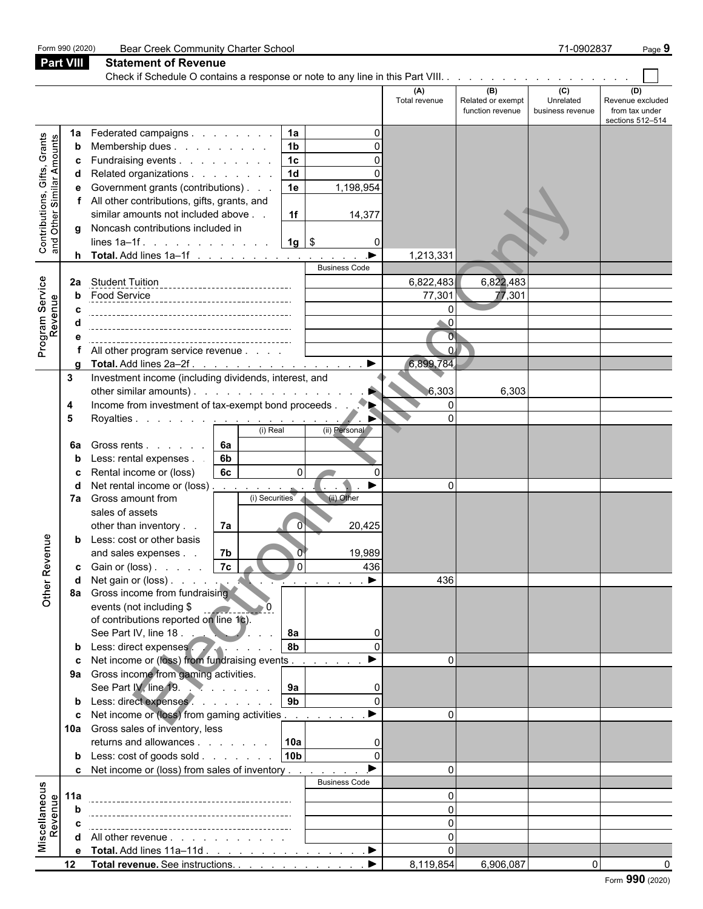| Part VIII<br><b>Statement of Revenue</b><br>Check if Schedule O contains a response or note to any line in this Part VIII.<br>(B)<br>$\overline{c}$<br>(A)<br>(D)<br>Unrelated<br>Total revenue<br>Related or exempt<br>Revenue excluded<br>from tax under<br>function revenue<br>business revenue<br>sections 512-514<br>Federated campaigns<br>1a<br>1a<br><b>Contributions, Gifts, Grants</b><br>and Other Similar Amounts<br>1 <sub>b</sub><br>Membership dues<br>b<br>1 <sub>c</sub><br>Fundraising events<br>c<br>$\overline{1d}$<br>Related organizations<br>Government grants (contributions)<br>1,198,954<br>1e<br>All other contributions, gifts, grants, and<br>similar amounts not included above<br>1f<br>14,377<br>Noncash contributions included in<br>a<br>lines $1a-1f$ .<br>$1g$   \$<br>Total. Add lines 1a-1f<br>▶<br>1,213,331<br>h.<br><b>Business Code</b><br>Program Service<br>Revenue<br>6,822,483<br>6,822,483<br>Student Tuition ________________________________<br>2a<br>77,301<br>-----------<br>Food <u>Service</u><br>77,301<br>$\Omega$<br>$\Omega$<br>$\overline{O}$<br>$\mathbf{0}$<br>All other program service revenue |
|--------------------------------------------------------------------------------------------------------------------------------------------------------------------------------------------------------------------------------------------------------------------------------------------------------------------------------------------------------------------------------------------------------------------------------------------------------------------------------------------------------------------------------------------------------------------------------------------------------------------------------------------------------------------------------------------------------------------------------------------------------------------------------------------------------------------------------------------------------------------------------------------------------------------------------------------------------------------------------------------------------------------------------------------------------------------------------------------------------------------------------------------------------------|
|                                                                                                                                                                                                                                                                                                                                                                                                                                                                                                                                                                                                                                                                                                                                                                                                                                                                                                                                                                                                                                                                                                                                                              |
|                                                                                                                                                                                                                                                                                                                                                                                                                                                                                                                                                                                                                                                                                                                                                                                                                                                                                                                                                                                                                                                                                                                                                              |
|                                                                                                                                                                                                                                                                                                                                                                                                                                                                                                                                                                                                                                                                                                                                                                                                                                                                                                                                                                                                                                                                                                                                                              |
|                                                                                                                                                                                                                                                                                                                                                                                                                                                                                                                                                                                                                                                                                                                                                                                                                                                                                                                                                                                                                                                                                                                                                              |
|                                                                                                                                                                                                                                                                                                                                                                                                                                                                                                                                                                                                                                                                                                                                                                                                                                                                                                                                                                                                                                                                                                                                                              |
|                                                                                                                                                                                                                                                                                                                                                                                                                                                                                                                                                                                                                                                                                                                                                                                                                                                                                                                                                                                                                                                                                                                                                              |
|                                                                                                                                                                                                                                                                                                                                                                                                                                                                                                                                                                                                                                                                                                                                                                                                                                                                                                                                                                                                                                                                                                                                                              |
|                                                                                                                                                                                                                                                                                                                                                                                                                                                                                                                                                                                                                                                                                                                                                                                                                                                                                                                                                                                                                                                                                                                                                              |
|                                                                                                                                                                                                                                                                                                                                                                                                                                                                                                                                                                                                                                                                                                                                                                                                                                                                                                                                                                                                                                                                                                                                                              |
|                                                                                                                                                                                                                                                                                                                                                                                                                                                                                                                                                                                                                                                                                                                                                                                                                                                                                                                                                                                                                                                                                                                                                              |
|                                                                                                                                                                                                                                                                                                                                                                                                                                                                                                                                                                                                                                                                                                                                                                                                                                                                                                                                                                                                                                                                                                                                                              |
|                                                                                                                                                                                                                                                                                                                                                                                                                                                                                                                                                                                                                                                                                                                                                                                                                                                                                                                                                                                                                                                                                                                                                              |
|                                                                                                                                                                                                                                                                                                                                                                                                                                                                                                                                                                                                                                                                                                                                                                                                                                                                                                                                                                                                                                                                                                                                                              |
|                                                                                                                                                                                                                                                                                                                                                                                                                                                                                                                                                                                                                                                                                                                                                                                                                                                                                                                                                                                                                                                                                                                                                              |
|                                                                                                                                                                                                                                                                                                                                                                                                                                                                                                                                                                                                                                                                                                                                                                                                                                                                                                                                                                                                                                                                                                                                                              |
|                                                                                                                                                                                                                                                                                                                                                                                                                                                                                                                                                                                                                                                                                                                                                                                                                                                                                                                                                                                                                                                                                                                                                              |
|                                                                                                                                                                                                                                                                                                                                                                                                                                                                                                                                                                                                                                                                                                                                                                                                                                                                                                                                                                                                                                                                                                                                                              |
|                                                                                                                                                                                                                                                                                                                                                                                                                                                                                                                                                                                                                                                                                                                                                                                                                                                                                                                                                                                                                                                                                                                                                              |
| $\blacktriangleright$<br>6,899,784<br>Total. Add lines 2a-2f.<br>o                                                                                                                                                                                                                                                                                                                                                                                                                                                                                                                                                                                                                                                                                                                                                                                                                                                                                                                                                                                                                                                                                           |
| Investment income (including dividends, interest, and<br>3                                                                                                                                                                                                                                                                                                                                                                                                                                                                                                                                                                                                                                                                                                                                                                                                                                                                                                                                                                                                                                                                                                   |
| other similar amounts).<br>6,303<br>6,303                                                                                                                                                                                                                                                                                                                                                                                                                                                                                                                                                                                                                                                                                                                                                                                                                                                                                                                                                                                                                                                                                                                    |
| Income from investment of tax-exempt bond proceeds<br>$\Omega$<br>4<br>$\Omega$<br>5                                                                                                                                                                                                                                                                                                                                                                                                                                                                                                                                                                                                                                                                                                                                                                                                                                                                                                                                                                                                                                                                         |
| Royalties <u>.</u><br>(i) Real<br>(ii) Personal                                                                                                                                                                                                                                                                                                                                                                                                                                                                                                                                                                                                                                                                                                                                                                                                                                                                                                                                                                                                                                                                                                              |
| 6a<br>Gross rents<br>6а                                                                                                                                                                                                                                                                                                                                                                                                                                                                                                                                                                                                                                                                                                                                                                                                                                                                                                                                                                                                                                                                                                                                      |
| 6b<br>Less: rental expenses.                                                                                                                                                                                                                                                                                                                                                                                                                                                                                                                                                                                                                                                                                                                                                                                                                                                                                                                                                                                                                                                                                                                                 |
| 6c<br>$\mathbf 0$<br>Rental income or (loss)                                                                                                                                                                                                                                                                                                                                                                                                                                                                                                                                                                                                                                                                                                                                                                                                                                                                                                                                                                                                                                                                                                                 |
| Net rental income or (loss).<br>$\Omega$<br>the company of the company of                                                                                                                                                                                                                                                                                                                                                                                                                                                                                                                                                                                                                                                                                                                                                                                                                                                                                                                                                                                                                                                                                    |
| (i) Securities<br>(ii) Other<br>Gross amount from<br>7a                                                                                                                                                                                                                                                                                                                                                                                                                                                                                                                                                                                                                                                                                                                                                                                                                                                                                                                                                                                                                                                                                                      |
| sales of assets                                                                                                                                                                                                                                                                                                                                                                                                                                                                                                                                                                                                                                                                                                                                                                                                                                                                                                                                                                                                                                                                                                                                              |
| other than inventory<br>7a<br>$\mathbf{0}$<br>20,425<br>Less: cost or other basis                                                                                                                                                                                                                                                                                                                                                                                                                                                                                                                                                                                                                                                                                                                                                                                                                                                                                                                                                                                                                                                                            |
| enue<br>19,989<br>7b<br>and sales expenses.                                                                                                                                                                                                                                                                                                                                                                                                                                                                                                                                                                                                                                                                                                                                                                                                                                                                                                                                                                                                                                                                                                                  |
| 0 (<br> 7c <br>436<br>Gain or (loss)<br>C                                                                                                                                                                                                                                                                                                                                                                                                                                                                                                                                                                                                                                                                                                                                                                                                                                                                                                                                                                                                                                                                                                                    |
| Other Rev<br>Net gain or (loss)<br>436<br>$\sim$ $\sim$ $\sim$ $\sim$ $\sim$                                                                                                                                                                                                                                                                                                                                                                                                                                                                                                                                                                                                                                                                                                                                                                                                                                                                                                                                                                                                                                                                                 |
| Gross income from fundraising<br>8a                                                                                                                                                                                                                                                                                                                                                                                                                                                                                                                                                                                                                                                                                                                                                                                                                                                                                                                                                                                                                                                                                                                          |
| events (not including \$                                                                                                                                                                                                                                                                                                                                                                                                                                                                                                                                                                                                                                                                                                                                                                                                                                                                                                                                                                                                                                                                                                                                     |
| of contributions reported on line 1c).                                                                                                                                                                                                                                                                                                                                                                                                                                                                                                                                                                                                                                                                                                                                                                                                                                                                                                                                                                                                                                                                                                                       |
| See Part IV, line 18.<br><b>8a</b><br>0<br>Less: direct expenses<br>8b<br>$\Omega$                                                                                                                                                                                                                                                                                                                                                                                                                                                                                                                                                                                                                                                                                                                                                                                                                                                                                                                                                                                                                                                                           |
| b<br>Net income or (loss) from fundraising events<br>$\Omega$                                                                                                                                                                                                                                                                                                                                                                                                                                                                                                                                                                                                                                                                                                                                                                                                                                                                                                                                                                                                                                                                                                |
| Gross income from gaming activities.<br>9а                                                                                                                                                                                                                                                                                                                                                                                                                                                                                                                                                                                                                                                                                                                                                                                                                                                                                                                                                                                                                                                                                                                   |
| See Part IV, line 19.<br>9a<br>0                                                                                                                                                                                                                                                                                                                                                                                                                                                                                                                                                                                                                                                                                                                                                                                                                                                                                                                                                                                                                                                                                                                             |
| Less: direct expenses<br>9 <sub>b</sub><br>$\Omega$                                                                                                                                                                                                                                                                                                                                                                                                                                                                                                                                                                                                                                                                                                                                                                                                                                                                                                                                                                                                                                                                                                          |
| $\blacktriangleright$<br>Net income or (loss) from gaming activities<br>$\Omega$<br>C                                                                                                                                                                                                                                                                                                                                                                                                                                                                                                                                                                                                                                                                                                                                                                                                                                                                                                                                                                                                                                                                        |
| Gross sales of inventory, less<br>10a                                                                                                                                                                                                                                                                                                                                                                                                                                                                                                                                                                                                                                                                                                                                                                                                                                                                                                                                                                                                                                                                                                                        |
| returns and allowances $\vert$ 10a<br>0                                                                                                                                                                                                                                                                                                                                                                                                                                                                                                                                                                                                                                                                                                                                                                                                                                                                                                                                                                                                                                                                                                                      |
| Less: cost of goods sold $\vert$ 10b<br>$\Omega$<br>b                                                                                                                                                                                                                                                                                                                                                                                                                                                                                                                                                                                                                                                                                                                                                                                                                                                                                                                                                                                                                                                                                                        |
| c Net income or (loss) from sales of inventory<br>$\Omega$                                                                                                                                                                                                                                                                                                                                                                                                                                                                                                                                                                                                                                                                                                                                                                                                                                                                                                                                                                                                                                                                                                   |
| <b>Business Code</b><br>Miscellaneous<br>Revenue<br>11a                                                                                                                                                                                                                                                                                                                                                                                                                                                                                                                                                                                                                                                                                                                                                                                                                                                                                                                                                                                                                                                                                                      |
|                                                                                                                                                                                                                                                                                                                                                                                                                                                                                                                                                                                                                                                                                                                                                                                                                                                                                                                                                                                                                                                                                                                                                              |
|                                                                                                                                                                                                                                                                                                                                                                                                                                                                                                                                                                                                                                                                                                                                                                                                                                                                                                                                                                                                                                                                                                                                                              |
| All other revenue                                                                                                                                                                                                                                                                                                                                                                                                                                                                                                                                                                                                                                                                                                                                                                                                                                                                                                                                                                                                                                                                                                                                            |
| Total. Add lines 11a-11d<br>. ▶<br>е                                                                                                                                                                                                                                                                                                                                                                                                                                                                                                                                                                                                                                                                                                                                                                                                                                                                                                                                                                                                                                                                                                                         |
| ▶<br>$12 \,$<br>Total revenue. See instructions.<br>8,119,854<br>6,906,087<br>$\overline{0}$                                                                                                                                                                                                                                                                                                                                                                                                                                                                                                                                                                                                                                                                                                                                                                                                                                                                                                                                                                                                                                                                 |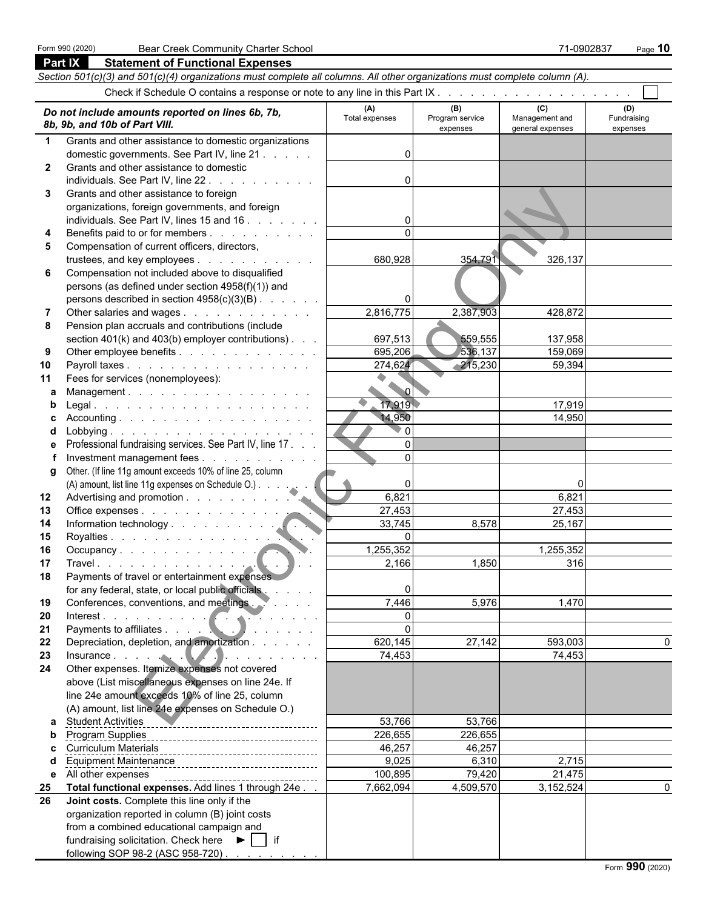| <b>Part IX</b> | <b>Statement of Functional Expenses</b>                                                                                                                                                                                        |                 |                             |                                    |                         |
|----------------|--------------------------------------------------------------------------------------------------------------------------------------------------------------------------------------------------------------------------------|-----------------|-----------------------------|------------------------------------|-------------------------|
|                | Section 501(c)(3) and 501(c)(4) organizations must complete all columns. All other organizations must complete column (A).                                                                                                     |                 |                             |                                    |                         |
|                |                                                                                                                                                                                                                                |                 |                             |                                    |                         |
|                |                                                                                                                                                                                                                                | (A)             | (B)                         | (C)                                | (D)                     |
|                | Do not include amounts reported on lines 6b, 7b,<br>8b, 9b, and 10b of Part VIII.                                                                                                                                              | Total expenses  | Program service<br>expenses | Management and<br>general expenses | Fundraising<br>expenses |
| $\mathbf 1$    | Grants and other assistance to domestic organizations                                                                                                                                                                          |                 |                             |                                    |                         |
|                | domestic governments. See Part IV, line 21                                                                                                                                                                                     | 0               |                             |                                    |                         |
| $\mathbf{2}$   | Grants and other assistance to domestic                                                                                                                                                                                        |                 |                             |                                    |                         |
|                | individuals. See Part IV, line 22.                                                                                                                                                                                             | 0               |                             |                                    |                         |
| 3              | Grants and other assistance to foreign                                                                                                                                                                                         |                 |                             |                                    |                         |
|                | organizations, foreign governments, and foreign                                                                                                                                                                                |                 |                             |                                    |                         |
|                | individuals. See Part IV, lines 15 and 16                                                                                                                                                                                      | $\mathbf{0}$    |                             |                                    |                         |
| 4              | Benefits paid to or for members                                                                                                                                                                                                |                 |                             |                                    |                         |
| 5              | Compensation of current officers, directors,                                                                                                                                                                                   |                 |                             |                                    |                         |
|                | trustees, and key employees                                                                                                                                                                                                    | 680,928         | 354,791                     | 326,137                            |                         |
| 6              | Compensation not included above to disqualified                                                                                                                                                                                |                 |                             |                                    |                         |
|                | persons (as defined under section 4958(f)(1)) and                                                                                                                                                                              |                 |                             |                                    |                         |
|                | persons described in section 4958(c)(3)(B)                                                                                                                                                                                     |                 |                             |                                    |                         |
| 7              | Other salaries and wages                                                                                                                                                                                                       | 2,816,775       | 2,387,903                   | 428,872                            |                         |
| 8              | Pension plan accruals and contributions (include                                                                                                                                                                               |                 |                             |                                    |                         |
|                | section 401(k) and 403(b) employer contributions).                                                                                                                                                                             | 697,513         | 559,555                     | 137,958                            |                         |
| 9              | Other employee benefits                                                                                                                                                                                                        | 695,206         | 536,137                     | 159,069                            |                         |
| 10             | Payroll taxes                                                                                                                                                                                                                  | 274,624         | $-215,230$                  | 59,394                             |                         |
| 11             | Fees for services (nonemployees):                                                                                                                                                                                              |                 |                             |                                    |                         |
| a              | Management.                                                                                                                                                                                                                    | $\sim$ $\sigma$ |                             |                                    |                         |
| b              | L <mark>egal.</mark>                                                                                                                                                                                                           | 17,919          |                             | 17,919                             |                         |
| c              | Accounting.                                                                                                                                                                                                                    | 14,950          |                             | 14,950                             |                         |
| d              |                                                                                                                                                                                                                                | 0 ל             |                             |                                    |                         |
| е              | Professional fundraising services. See Part IV, line 17.                                                                                                                                                                       | $\Omega$        |                             |                                    |                         |
|                | Investment management fees                                                                                                                                                                                                     | $\Omega$        |                             |                                    |                         |
| g              | Other. (If line 11g amount exceeds 10% of line 25, column                                                                                                                                                                      |                 |                             |                                    |                         |
|                | (A) amount, list line 11g expenses on Schedule O.)                                                                                                                                                                             | 0               |                             |                                    |                         |
| 12             |                                                                                                                                                                                                                                | 6,821           |                             | 6,821                              |                         |
| 13             | Office expenses                                                                                                                                                                                                                | 27,453          |                             | 27,453                             |                         |
| 14             |                                                                                                                                                                                                                                | 33,745          | 8,578                       | 25,167                             |                         |
| 15             | Royalties                                                                                                                                                                                                                      | $\Omega$        |                             |                                    |                         |
| 16             |                                                                                                                                                                                                                                | 1,255,352       |                             | 1,255,352                          |                         |
| 17             |                                                                                                                                                                                                                                | 2,166           | 1,850                       | 316                                |                         |
| 18             | Payments of travel or entertainment expenses                                                                                                                                                                                   |                 |                             |                                    |                         |
|                | for any federal, state, or local public officials                                                                                                                                                                              | 0               |                             |                                    |                         |
| 19             | Conferences, conventions, and meetings. Webletter and the contract of the contract of the contract of the contract of the contract of the contract of the contract of the contract of the contract of the contract of the cont | 7,446           | 5,976                       | 1,470                              |                         |
| 20             | Interest.                                                                                                                                                                                                                      | $\mathbf{0}$    |                             |                                    |                         |
| 21             |                                                                                                                                                                                                                                | $\Omega$        |                             |                                    |                         |
| 22             | Depreciation, depletion, and amortization                                                                                                                                                                                      | 620,145         | 27,142                      | 593,003                            | 0                       |
| 23             | Insurance. $\cdots$ . $\qquad \qquad$ $\qquad \qquad$                                                                                                                                                                          | 74,453          |                             | 74,453                             |                         |
| 24             | Other expenses. Itemize expenses not covered                                                                                                                                                                                   |                 |                             |                                    |                         |
|                | above (List miscellaneous expenses on line 24e. If<br>line 24e amount exceeds 10% of line 25, column                                                                                                                           |                 |                             |                                    |                         |
|                | (A) amount, list line 24e expenses on Schedule O.)                                                                                                                                                                             |                 |                             |                                    |                         |
|                |                                                                                                                                                                                                                                | 53,766          | 53,766                      |                                    |                         |
| a<br>b         | <b>Student Activities</b>                                                                                                                                                                                                      | 226,655         | 226,655                     |                                    |                         |
| c              |                                                                                                                                                                                                                                | 46,257          | 46,257                      |                                    |                         |
| d              |                                                                                                                                                                                                                                | 9,025           | 6,310                       | 2,715                              |                         |
| е              | All other expenses                                                                                                                                                                                                             | 100,895         | 79,420                      | 21,475                             |                         |
| 25             | -------------------------------------<br>Total functional expenses. Add lines 1 through 24e.                                                                                                                                   | 7,662,094       | 4,509,570                   | 3,152,524                          | $\mathbf{0}$            |
| 26             | Joint costs. Complete this line only if the                                                                                                                                                                                    |                 |                             |                                    |                         |
|                | organization reported in column (B) joint costs                                                                                                                                                                                |                 |                             |                                    |                         |
|                | from a combined educational campaign and                                                                                                                                                                                       |                 |                             |                                    |                         |
|                | fundraising solicitation. Check here $\blacktriangleright$   if                                                                                                                                                                |                 |                             |                                    |                         |
|                | following SOP 98-2 (ASC 958-720)                                                                                                                                                                                               |                 |                             |                                    |                         |
|                |                                                                                                                                                                                                                                |                 |                             |                                    |                         |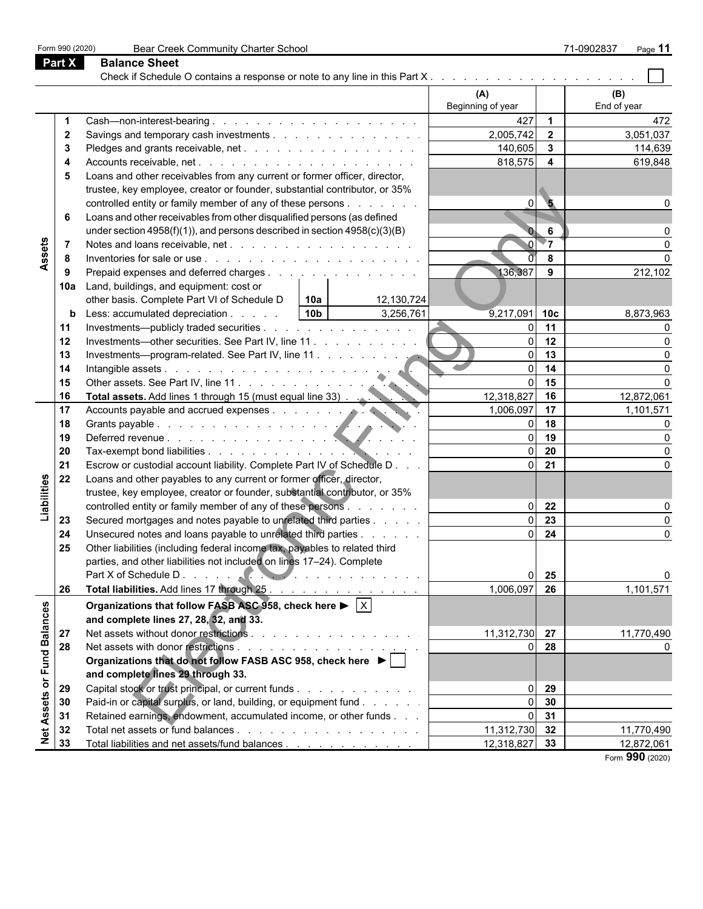| Part X<br><b>Balance Sheet</b><br>(A)<br>(B)<br>Beginning of year<br>End of year<br>427<br>$\overline{\mathbf{1}}$<br>472<br>2,005,742<br>3,051,037<br>$\overline{\mathbf{2}}$<br>$\overline{2}$<br>Savings and temporary cash investments<br>$\overline{\mathbf{3}}$<br>140,605<br>114,639<br>3<br>818,575<br>$\overline{4}$<br>619,848<br>4<br>Loans and other receivables from any current or former officer, director,<br>5<br>trustee, key employee, creator or founder, substantial contributor, or 35%<br>controlled entity or family member of any of these persons<br>$\overline{\mathbf{5}}$<br>ΩI<br>Loans and other receivables from other disqualified persons (as defined<br>6<br>under section $4958(f)(1)$ ), and persons described in section $4958(c)(3)(B)$<br>6<br>Assets<br>$\overline{\ }$<br>8<br>8<br>136,387<br>9<br>Prepaid expenses and deferred charges<br>212,102<br>9<br>Land, buildings, and equipment: cost or<br>10a<br>other basis. Complete Part VI of Schedule D<br>12,130,724<br>  10a<br>3,256,761<br>$\sqrt{10b}$<br>9,217,091 10c<br>Less: accumulated depreciation<br>8,873,963<br>b<br>$\Omega$<br>11<br>Investments—publicly traded securities<br>11<br>12<br>Investments—other securities. See Part IV, line 11<br>12<br>ΩI<br>13<br>13<br>ΩL<br>Investments-program-related. See Part IV, line 11<br>14<br>$\Omega$<br>14<br>15<br>15<br>οI<br>12,318,827<br>16<br>16<br>12,872,061<br>1,006,097<br>17<br>17<br>Total assets. Add lines 1 through to mean experience of the counts payable and accrued expenses.<br>1,101,571<br>18<br>18<br>ΩL<br>19<br>19<br>ΩL<br>20<br>ΩL<br>20<br>21<br>Escrow or custodial account liability. Complete Part IV of Schedule D<br>$\overline{0}$<br>21<br>Liabilities<br>22<br>Loans and other payables to any current or former officer, director,<br>trustee, key employee, creator or founder, substantial contributor, or 35%<br>controlled entity or family member of any of these persons<br>22<br>$\Omega$<br>23<br>Secured mortgages and notes payable to unrelated third parties<br>$\Omega$<br>23<br>Unsecured notes and loans payable to unrelated third parties<br>24<br>$\Omega$<br>24<br>$\Omega$<br>25<br>Other liabilities (including federal income tax, payables to related third<br>parties, and other liabilities not included on lines 17-24). Complete<br>25<br>Total liabilities. Add lines 17 through 25.<br>1,006,097<br>1,101,571<br>26<br>26<br>or Fund Balances<br>Organizations that follow FASB ASC 958, check here $\blacktriangleright$ $\vert \times \vert$<br>and complete lines 27, 28, 32, and 33.<br>Net assets without donor restrictions<br>11,312,730 27<br>27<br>11,770,490<br>and a series of the contract of the<br>28<br>28<br>$\Omega$<br>Organizations that do not follow FASB ASC 958, check here ▶  <br>and complete lines 29 through 33.<br>Capital stock or trust principal, or current funds<br>29<br>29<br>ΩI<br><b>Net Assets</b><br>Paid-in or capital surplus, or land, building, or equipment fund<br>30<br>30<br>31<br>Retained earnings, endowment, accumulated income, or other funds<br>31<br>ΩI<br>11,312,730 32<br>11,770,490<br>32<br>33<br>Total liabilities and net assets/fund balances<br>12,318,827 33<br>12,872,061 | Form 990 (2020) | Bear Creek Community Charter School |  | 71-0902837<br>Page 11 |
|---------------------------------------------------------------------------------------------------------------------------------------------------------------------------------------------------------------------------------------------------------------------------------------------------------------------------------------------------------------------------------------------------------------------------------------------------------------------------------------------------------------------------------------------------------------------------------------------------------------------------------------------------------------------------------------------------------------------------------------------------------------------------------------------------------------------------------------------------------------------------------------------------------------------------------------------------------------------------------------------------------------------------------------------------------------------------------------------------------------------------------------------------------------------------------------------------------------------------------------------------------------------------------------------------------------------------------------------------------------------------------------------------------------------------------------------------------------------------------------------------------------------------------------------------------------------------------------------------------------------------------------------------------------------------------------------------------------------------------------------------------------------------------------------------------------------------------------------------------------------------------------------------------------------------------------------------------------------------------------------------------------------------------------------------------------------------------------------------------------------------------------------------------------------------------------------------------------------------------------------------------------------------------------------------------------------------------------------------------------------------------------------------------------------------------------------------------------------------------------------------------------------------------------------------------------------------------------------------------------------------------------------------------------------------------------------------------------------------------------------------------------------------------------------------------------------------------------------------------------------------------------------------------------------------------------------------------------------------------------------------------------------------------------------------------------------------------------------------------------------------------------------------------------------------------------------------------------------------------------------------------------------------|-----------------|-------------------------------------|--|-----------------------|
|                                                                                                                                                                                                                                                                                                                                                                                                                                                                                                                                                                                                                                                                                                                                                                                                                                                                                                                                                                                                                                                                                                                                                                                                                                                                                                                                                                                                                                                                                                                                                                                                                                                                                                                                                                                                                                                                                                                                                                                                                                                                                                                                                                                                                                                                                                                                                                                                                                                                                                                                                                                                                                                                                                                                                                                                                                                                                                                                                                                                                                                                                                                                                                                                                                                                           |                 |                                     |  |                       |
|                                                                                                                                                                                                                                                                                                                                                                                                                                                                                                                                                                                                                                                                                                                                                                                                                                                                                                                                                                                                                                                                                                                                                                                                                                                                                                                                                                                                                                                                                                                                                                                                                                                                                                                                                                                                                                                                                                                                                                                                                                                                                                                                                                                                                                                                                                                                                                                                                                                                                                                                                                                                                                                                                                                                                                                                                                                                                                                                                                                                                                                                                                                                                                                                                                                                           |                 |                                     |  |                       |
|                                                                                                                                                                                                                                                                                                                                                                                                                                                                                                                                                                                                                                                                                                                                                                                                                                                                                                                                                                                                                                                                                                                                                                                                                                                                                                                                                                                                                                                                                                                                                                                                                                                                                                                                                                                                                                                                                                                                                                                                                                                                                                                                                                                                                                                                                                                                                                                                                                                                                                                                                                                                                                                                                                                                                                                                                                                                                                                                                                                                                                                                                                                                                                                                                                                                           |                 |                                     |  |                       |
|                                                                                                                                                                                                                                                                                                                                                                                                                                                                                                                                                                                                                                                                                                                                                                                                                                                                                                                                                                                                                                                                                                                                                                                                                                                                                                                                                                                                                                                                                                                                                                                                                                                                                                                                                                                                                                                                                                                                                                                                                                                                                                                                                                                                                                                                                                                                                                                                                                                                                                                                                                                                                                                                                                                                                                                                                                                                                                                                                                                                                                                                                                                                                                                                                                                                           |                 |                                     |  |                       |
|                                                                                                                                                                                                                                                                                                                                                                                                                                                                                                                                                                                                                                                                                                                                                                                                                                                                                                                                                                                                                                                                                                                                                                                                                                                                                                                                                                                                                                                                                                                                                                                                                                                                                                                                                                                                                                                                                                                                                                                                                                                                                                                                                                                                                                                                                                                                                                                                                                                                                                                                                                                                                                                                                                                                                                                                                                                                                                                                                                                                                                                                                                                                                                                                                                                                           |                 |                                     |  |                       |
|                                                                                                                                                                                                                                                                                                                                                                                                                                                                                                                                                                                                                                                                                                                                                                                                                                                                                                                                                                                                                                                                                                                                                                                                                                                                                                                                                                                                                                                                                                                                                                                                                                                                                                                                                                                                                                                                                                                                                                                                                                                                                                                                                                                                                                                                                                                                                                                                                                                                                                                                                                                                                                                                                                                                                                                                                                                                                                                                                                                                                                                                                                                                                                                                                                                                           |                 |                                     |  |                       |
|                                                                                                                                                                                                                                                                                                                                                                                                                                                                                                                                                                                                                                                                                                                                                                                                                                                                                                                                                                                                                                                                                                                                                                                                                                                                                                                                                                                                                                                                                                                                                                                                                                                                                                                                                                                                                                                                                                                                                                                                                                                                                                                                                                                                                                                                                                                                                                                                                                                                                                                                                                                                                                                                                                                                                                                                                                                                                                                                                                                                                                                                                                                                                                                                                                                                           |                 |                                     |  |                       |
|                                                                                                                                                                                                                                                                                                                                                                                                                                                                                                                                                                                                                                                                                                                                                                                                                                                                                                                                                                                                                                                                                                                                                                                                                                                                                                                                                                                                                                                                                                                                                                                                                                                                                                                                                                                                                                                                                                                                                                                                                                                                                                                                                                                                                                                                                                                                                                                                                                                                                                                                                                                                                                                                                                                                                                                                                                                                                                                                                                                                                                                                                                                                                                                                                                                                           |                 |                                     |  |                       |
|                                                                                                                                                                                                                                                                                                                                                                                                                                                                                                                                                                                                                                                                                                                                                                                                                                                                                                                                                                                                                                                                                                                                                                                                                                                                                                                                                                                                                                                                                                                                                                                                                                                                                                                                                                                                                                                                                                                                                                                                                                                                                                                                                                                                                                                                                                                                                                                                                                                                                                                                                                                                                                                                                                                                                                                                                                                                                                                                                                                                                                                                                                                                                                                                                                                                           |                 |                                     |  |                       |
|                                                                                                                                                                                                                                                                                                                                                                                                                                                                                                                                                                                                                                                                                                                                                                                                                                                                                                                                                                                                                                                                                                                                                                                                                                                                                                                                                                                                                                                                                                                                                                                                                                                                                                                                                                                                                                                                                                                                                                                                                                                                                                                                                                                                                                                                                                                                                                                                                                                                                                                                                                                                                                                                                                                                                                                                                                                                                                                                                                                                                                                                                                                                                                                                                                                                           |                 |                                     |  |                       |
|                                                                                                                                                                                                                                                                                                                                                                                                                                                                                                                                                                                                                                                                                                                                                                                                                                                                                                                                                                                                                                                                                                                                                                                                                                                                                                                                                                                                                                                                                                                                                                                                                                                                                                                                                                                                                                                                                                                                                                                                                                                                                                                                                                                                                                                                                                                                                                                                                                                                                                                                                                                                                                                                                                                                                                                                                                                                                                                                                                                                                                                                                                                                                                                                                                                                           |                 |                                     |  |                       |
|                                                                                                                                                                                                                                                                                                                                                                                                                                                                                                                                                                                                                                                                                                                                                                                                                                                                                                                                                                                                                                                                                                                                                                                                                                                                                                                                                                                                                                                                                                                                                                                                                                                                                                                                                                                                                                                                                                                                                                                                                                                                                                                                                                                                                                                                                                                                                                                                                                                                                                                                                                                                                                                                                                                                                                                                                                                                                                                                                                                                                                                                                                                                                                                                                                                                           |                 |                                     |  |                       |
|                                                                                                                                                                                                                                                                                                                                                                                                                                                                                                                                                                                                                                                                                                                                                                                                                                                                                                                                                                                                                                                                                                                                                                                                                                                                                                                                                                                                                                                                                                                                                                                                                                                                                                                                                                                                                                                                                                                                                                                                                                                                                                                                                                                                                                                                                                                                                                                                                                                                                                                                                                                                                                                                                                                                                                                                                                                                                                                                                                                                                                                                                                                                                                                                                                                                           |                 |                                     |  |                       |
|                                                                                                                                                                                                                                                                                                                                                                                                                                                                                                                                                                                                                                                                                                                                                                                                                                                                                                                                                                                                                                                                                                                                                                                                                                                                                                                                                                                                                                                                                                                                                                                                                                                                                                                                                                                                                                                                                                                                                                                                                                                                                                                                                                                                                                                                                                                                                                                                                                                                                                                                                                                                                                                                                                                                                                                                                                                                                                                                                                                                                                                                                                                                                                                                                                                                           |                 |                                     |  |                       |
|                                                                                                                                                                                                                                                                                                                                                                                                                                                                                                                                                                                                                                                                                                                                                                                                                                                                                                                                                                                                                                                                                                                                                                                                                                                                                                                                                                                                                                                                                                                                                                                                                                                                                                                                                                                                                                                                                                                                                                                                                                                                                                                                                                                                                                                                                                                                                                                                                                                                                                                                                                                                                                                                                                                                                                                                                                                                                                                                                                                                                                                                                                                                                                                                                                                                           |                 |                                     |  |                       |
|                                                                                                                                                                                                                                                                                                                                                                                                                                                                                                                                                                                                                                                                                                                                                                                                                                                                                                                                                                                                                                                                                                                                                                                                                                                                                                                                                                                                                                                                                                                                                                                                                                                                                                                                                                                                                                                                                                                                                                                                                                                                                                                                                                                                                                                                                                                                                                                                                                                                                                                                                                                                                                                                                                                                                                                                                                                                                                                                                                                                                                                                                                                                                                                                                                                                           |                 |                                     |  |                       |
|                                                                                                                                                                                                                                                                                                                                                                                                                                                                                                                                                                                                                                                                                                                                                                                                                                                                                                                                                                                                                                                                                                                                                                                                                                                                                                                                                                                                                                                                                                                                                                                                                                                                                                                                                                                                                                                                                                                                                                                                                                                                                                                                                                                                                                                                                                                                                                                                                                                                                                                                                                                                                                                                                                                                                                                                                                                                                                                                                                                                                                                                                                                                                                                                                                                                           |                 |                                     |  |                       |
|                                                                                                                                                                                                                                                                                                                                                                                                                                                                                                                                                                                                                                                                                                                                                                                                                                                                                                                                                                                                                                                                                                                                                                                                                                                                                                                                                                                                                                                                                                                                                                                                                                                                                                                                                                                                                                                                                                                                                                                                                                                                                                                                                                                                                                                                                                                                                                                                                                                                                                                                                                                                                                                                                                                                                                                                                                                                                                                                                                                                                                                                                                                                                                                                                                                                           |                 |                                     |  |                       |
|                                                                                                                                                                                                                                                                                                                                                                                                                                                                                                                                                                                                                                                                                                                                                                                                                                                                                                                                                                                                                                                                                                                                                                                                                                                                                                                                                                                                                                                                                                                                                                                                                                                                                                                                                                                                                                                                                                                                                                                                                                                                                                                                                                                                                                                                                                                                                                                                                                                                                                                                                                                                                                                                                                                                                                                                                                                                                                                                                                                                                                                                                                                                                                                                                                                                           |                 |                                     |  |                       |
|                                                                                                                                                                                                                                                                                                                                                                                                                                                                                                                                                                                                                                                                                                                                                                                                                                                                                                                                                                                                                                                                                                                                                                                                                                                                                                                                                                                                                                                                                                                                                                                                                                                                                                                                                                                                                                                                                                                                                                                                                                                                                                                                                                                                                                                                                                                                                                                                                                                                                                                                                                                                                                                                                                                                                                                                                                                                                                                                                                                                                                                                                                                                                                                                                                                                           |                 |                                     |  |                       |
|                                                                                                                                                                                                                                                                                                                                                                                                                                                                                                                                                                                                                                                                                                                                                                                                                                                                                                                                                                                                                                                                                                                                                                                                                                                                                                                                                                                                                                                                                                                                                                                                                                                                                                                                                                                                                                                                                                                                                                                                                                                                                                                                                                                                                                                                                                                                                                                                                                                                                                                                                                                                                                                                                                                                                                                                                                                                                                                                                                                                                                                                                                                                                                                                                                                                           |                 |                                     |  |                       |
|                                                                                                                                                                                                                                                                                                                                                                                                                                                                                                                                                                                                                                                                                                                                                                                                                                                                                                                                                                                                                                                                                                                                                                                                                                                                                                                                                                                                                                                                                                                                                                                                                                                                                                                                                                                                                                                                                                                                                                                                                                                                                                                                                                                                                                                                                                                                                                                                                                                                                                                                                                                                                                                                                                                                                                                                                                                                                                                                                                                                                                                                                                                                                                                                                                                                           |                 |                                     |  |                       |
|                                                                                                                                                                                                                                                                                                                                                                                                                                                                                                                                                                                                                                                                                                                                                                                                                                                                                                                                                                                                                                                                                                                                                                                                                                                                                                                                                                                                                                                                                                                                                                                                                                                                                                                                                                                                                                                                                                                                                                                                                                                                                                                                                                                                                                                                                                                                                                                                                                                                                                                                                                                                                                                                                                                                                                                                                                                                                                                                                                                                                                                                                                                                                                                                                                                                           |                 |                                     |  |                       |
|                                                                                                                                                                                                                                                                                                                                                                                                                                                                                                                                                                                                                                                                                                                                                                                                                                                                                                                                                                                                                                                                                                                                                                                                                                                                                                                                                                                                                                                                                                                                                                                                                                                                                                                                                                                                                                                                                                                                                                                                                                                                                                                                                                                                                                                                                                                                                                                                                                                                                                                                                                                                                                                                                                                                                                                                                                                                                                                                                                                                                                                                                                                                                                                                                                                                           |                 |                                     |  |                       |
|                                                                                                                                                                                                                                                                                                                                                                                                                                                                                                                                                                                                                                                                                                                                                                                                                                                                                                                                                                                                                                                                                                                                                                                                                                                                                                                                                                                                                                                                                                                                                                                                                                                                                                                                                                                                                                                                                                                                                                                                                                                                                                                                                                                                                                                                                                                                                                                                                                                                                                                                                                                                                                                                                                                                                                                                                                                                                                                                                                                                                                                                                                                                                                                                                                                                           |                 |                                     |  |                       |
|                                                                                                                                                                                                                                                                                                                                                                                                                                                                                                                                                                                                                                                                                                                                                                                                                                                                                                                                                                                                                                                                                                                                                                                                                                                                                                                                                                                                                                                                                                                                                                                                                                                                                                                                                                                                                                                                                                                                                                                                                                                                                                                                                                                                                                                                                                                                                                                                                                                                                                                                                                                                                                                                                                                                                                                                                                                                                                                                                                                                                                                                                                                                                                                                                                                                           |                 |                                     |  |                       |
|                                                                                                                                                                                                                                                                                                                                                                                                                                                                                                                                                                                                                                                                                                                                                                                                                                                                                                                                                                                                                                                                                                                                                                                                                                                                                                                                                                                                                                                                                                                                                                                                                                                                                                                                                                                                                                                                                                                                                                                                                                                                                                                                                                                                                                                                                                                                                                                                                                                                                                                                                                                                                                                                                                                                                                                                                                                                                                                                                                                                                                                                                                                                                                                                                                                                           |                 |                                     |  |                       |
|                                                                                                                                                                                                                                                                                                                                                                                                                                                                                                                                                                                                                                                                                                                                                                                                                                                                                                                                                                                                                                                                                                                                                                                                                                                                                                                                                                                                                                                                                                                                                                                                                                                                                                                                                                                                                                                                                                                                                                                                                                                                                                                                                                                                                                                                                                                                                                                                                                                                                                                                                                                                                                                                                                                                                                                                                                                                                                                                                                                                                                                                                                                                                                                                                                                                           |                 |                                     |  |                       |
|                                                                                                                                                                                                                                                                                                                                                                                                                                                                                                                                                                                                                                                                                                                                                                                                                                                                                                                                                                                                                                                                                                                                                                                                                                                                                                                                                                                                                                                                                                                                                                                                                                                                                                                                                                                                                                                                                                                                                                                                                                                                                                                                                                                                                                                                                                                                                                                                                                                                                                                                                                                                                                                                                                                                                                                                                                                                                                                                                                                                                                                                                                                                                                                                                                                                           |                 |                                     |  |                       |
|                                                                                                                                                                                                                                                                                                                                                                                                                                                                                                                                                                                                                                                                                                                                                                                                                                                                                                                                                                                                                                                                                                                                                                                                                                                                                                                                                                                                                                                                                                                                                                                                                                                                                                                                                                                                                                                                                                                                                                                                                                                                                                                                                                                                                                                                                                                                                                                                                                                                                                                                                                                                                                                                                                                                                                                                                                                                                                                                                                                                                                                                                                                                                                                                                                                                           |                 |                                     |  |                       |
|                                                                                                                                                                                                                                                                                                                                                                                                                                                                                                                                                                                                                                                                                                                                                                                                                                                                                                                                                                                                                                                                                                                                                                                                                                                                                                                                                                                                                                                                                                                                                                                                                                                                                                                                                                                                                                                                                                                                                                                                                                                                                                                                                                                                                                                                                                                                                                                                                                                                                                                                                                                                                                                                                                                                                                                                                                                                                                                                                                                                                                                                                                                                                                                                                                                                           |                 |                                     |  |                       |
|                                                                                                                                                                                                                                                                                                                                                                                                                                                                                                                                                                                                                                                                                                                                                                                                                                                                                                                                                                                                                                                                                                                                                                                                                                                                                                                                                                                                                                                                                                                                                                                                                                                                                                                                                                                                                                                                                                                                                                                                                                                                                                                                                                                                                                                                                                                                                                                                                                                                                                                                                                                                                                                                                                                                                                                                                                                                                                                                                                                                                                                                                                                                                                                                                                                                           |                 |                                     |  |                       |
|                                                                                                                                                                                                                                                                                                                                                                                                                                                                                                                                                                                                                                                                                                                                                                                                                                                                                                                                                                                                                                                                                                                                                                                                                                                                                                                                                                                                                                                                                                                                                                                                                                                                                                                                                                                                                                                                                                                                                                                                                                                                                                                                                                                                                                                                                                                                                                                                                                                                                                                                                                                                                                                                                                                                                                                                                                                                                                                                                                                                                                                                                                                                                                                                                                                                           |                 |                                     |  |                       |
|                                                                                                                                                                                                                                                                                                                                                                                                                                                                                                                                                                                                                                                                                                                                                                                                                                                                                                                                                                                                                                                                                                                                                                                                                                                                                                                                                                                                                                                                                                                                                                                                                                                                                                                                                                                                                                                                                                                                                                                                                                                                                                                                                                                                                                                                                                                                                                                                                                                                                                                                                                                                                                                                                                                                                                                                                                                                                                                                                                                                                                                                                                                                                                                                                                                                           |                 |                                     |  |                       |
|                                                                                                                                                                                                                                                                                                                                                                                                                                                                                                                                                                                                                                                                                                                                                                                                                                                                                                                                                                                                                                                                                                                                                                                                                                                                                                                                                                                                                                                                                                                                                                                                                                                                                                                                                                                                                                                                                                                                                                                                                                                                                                                                                                                                                                                                                                                                                                                                                                                                                                                                                                                                                                                                                                                                                                                                                                                                                                                                                                                                                                                                                                                                                                                                                                                                           |                 |                                     |  |                       |
|                                                                                                                                                                                                                                                                                                                                                                                                                                                                                                                                                                                                                                                                                                                                                                                                                                                                                                                                                                                                                                                                                                                                                                                                                                                                                                                                                                                                                                                                                                                                                                                                                                                                                                                                                                                                                                                                                                                                                                                                                                                                                                                                                                                                                                                                                                                                                                                                                                                                                                                                                                                                                                                                                                                                                                                                                                                                                                                                                                                                                                                                                                                                                                                                                                                                           |                 |                                     |  |                       |
|                                                                                                                                                                                                                                                                                                                                                                                                                                                                                                                                                                                                                                                                                                                                                                                                                                                                                                                                                                                                                                                                                                                                                                                                                                                                                                                                                                                                                                                                                                                                                                                                                                                                                                                                                                                                                                                                                                                                                                                                                                                                                                                                                                                                                                                                                                                                                                                                                                                                                                                                                                                                                                                                                                                                                                                                                                                                                                                                                                                                                                                                                                                                                                                                                                                                           |                 |                                     |  |                       |
|                                                                                                                                                                                                                                                                                                                                                                                                                                                                                                                                                                                                                                                                                                                                                                                                                                                                                                                                                                                                                                                                                                                                                                                                                                                                                                                                                                                                                                                                                                                                                                                                                                                                                                                                                                                                                                                                                                                                                                                                                                                                                                                                                                                                                                                                                                                                                                                                                                                                                                                                                                                                                                                                                                                                                                                                                                                                                                                                                                                                                                                                                                                                                                                                                                                                           |                 |                                     |  |                       |
|                                                                                                                                                                                                                                                                                                                                                                                                                                                                                                                                                                                                                                                                                                                                                                                                                                                                                                                                                                                                                                                                                                                                                                                                                                                                                                                                                                                                                                                                                                                                                                                                                                                                                                                                                                                                                                                                                                                                                                                                                                                                                                                                                                                                                                                                                                                                                                                                                                                                                                                                                                                                                                                                                                                                                                                                                                                                                                                                                                                                                                                                                                                                                                                                                                                                           |                 |                                     |  |                       |
|                                                                                                                                                                                                                                                                                                                                                                                                                                                                                                                                                                                                                                                                                                                                                                                                                                                                                                                                                                                                                                                                                                                                                                                                                                                                                                                                                                                                                                                                                                                                                                                                                                                                                                                                                                                                                                                                                                                                                                                                                                                                                                                                                                                                                                                                                                                                                                                                                                                                                                                                                                                                                                                                                                                                                                                                                                                                                                                                                                                                                                                                                                                                                                                                                                                                           |                 |                                     |  |                       |
|                                                                                                                                                                                                                                                                                                                                                                                                                                                                                                                                                                                                                                                                                                                                                                                                                                                                                                                                                                                                                                                                                                                                                                                                                                                                                                                                                                                                                                                                                                                                                                                                                                                                                                                                                                                                                                                                                                                                                                                                                                                                                                                                                                                                                                                                                                                                                                                                                                                                                                                                                                                                                                                                                                                                                                                                                                                                                                                                                                                                                                                                                                                                                                                                                                                                           |                 |                                     |  |                       |
|                                                                                                                                                                                                                                                                                                                                                                                                                                                                                                                                                                                                                                                                                                                                                                                                                                                                                                                                                                                                                                                                                                                                                                                                                                                                                                                                                                                                                                                                                                                                                                                                                                                                                                                                                                                                                                                                                                                                                                                                                                                                                                                                                                                                                                                                                                                                                                                                                                                                                                                                                                                                                                                                                                                                                                                                                                                                                                                                                                                                                                                                                                                                                                                                                                                                           |                 |                                     |  |                       |
|                                                                                                                                                                                                                                                                                                                                                                                                                                                                                                                                                                                                                                                                                                                                                                                                                                                                                                                                                                                                                                                                                                                                                                                                                                                                                                                                                                                                                                                                                                                                                                                                                                                                                                                                                                                                                                                                                                                                                                                                                                                                                                                                                                                                                                                                                                                                                                                                                                                                                                                                                                                                                                                                                                                                                                                                                                                                                                                                                                                                                                                                                                                                                                                                                                                                           |                 |                                     |  |                       |
|                                                                                                                                                                                                                                                                                                                                                                                                                                                                                                                                                                                                                                                                                                                                                                                                                                                                                                                                                                                                                                                                                                                                                                                                                                                                                                                                                                                                                                                                                                                                                                                                                                                                                                                                                                                                                                                                                                                                                                                                                                                                                                                                                                                                                                                                                                                                                                                                                                                                                                                                                                                                                                                                                                                                                                                                                                                                                                                                                                                                                                                                                                                                                                                                                                                                           |                 |                                     |  |                       |
|                                                                                                                                                                                                                                                                                                                                                                                                                                                                                                                                                                                                                                                                                                                                                                                                                                                                                                                                                                                                                                                                                                                                                                                                                                                                                                                                                                                                                                                                                                                                                                                                                                                                                                                                                                                                                                                                                                                                                                                                                                                                                                                                                                                                                                                                                                                                                                                                                                                                                                                                                                                                                                                                                                                                                                                                                                                                                                                                                                                                                                                                                                                                                                                                                                                                           |                 |                                     |  |                       |
|                                                                                                                                                                                                                                                                                                                                                                                                                                                                                                                                                                                                                                                                                                                                                                                                                                                                                                                                                                                                                                                                                                                                                                                                                                                                                                                                                                                                                                                                                                                                                                                                                                                                                                                                                                                                                                                                                                                                                                                                                                                                                                                                                                                                                                                                                                                                                                                                                                                                                                                                                                                                                                                                                                                                                                                                                                                                                                                                                                                                                                                                                                                                                                                                                                                                           |                 |                                     |  |                       |
|                                                                                                                                                                                                                                                                                                                                                                                                                                                                                                                                                                                                                                                                                                                                                                                                                                                                                                                                                                                                                                                                                                                                                                                                                                                                                                                                                                                                                                                                                                                                                                                                                                                                                                                                                                                                                                                                                                                                                                                                                                                                                                                                                                                                                                                                                                                                                                                                                                                                                                                                                                                                                                                                                                                                                                                                                                                                                                                                                                                                                                                                                                                                                                                                                                                                           |                 |                                     |  |                       |
|                                                                                                                                                                                                                                                                                                                                                                                                                                                                                                                                                                                                                                                                                                                                                                                                                                                                                                                                                                                                                                                                                                                                                                                                                                                                                                                                                                                                                                                                                                                                                                                                                                                                                                                                                                                                                                                                                                                                                                                                                                                                                                                                                                                                                                                                                                                                                                                                                                                                                                                                                                                                                                                                                                                                                                                                                                                                                                                                                                                                                                                                                                                                                                                                                                                                           |                 |                                     |  |                       |
|                                                                                                                                                                                                                                                                                                                                                                                                                                                                                                                                                                                                                                                                                                                                                                                                                                                                                                                                                                                                                                                                                                                                                                                                                                                                                                                                                                                                                                                                                                                                                                                                                                                                                                                                                                                                                                                                                                                                                                                                                                                                                                                                                                                                                                                                                                                                                                                                                                                                                                                                                                                                                                                                                                                                                                                                                                                                                                                                                                                                                                                                                                                                                                                                                                                                           |                 |                                     |  | Form 990 (2020)       |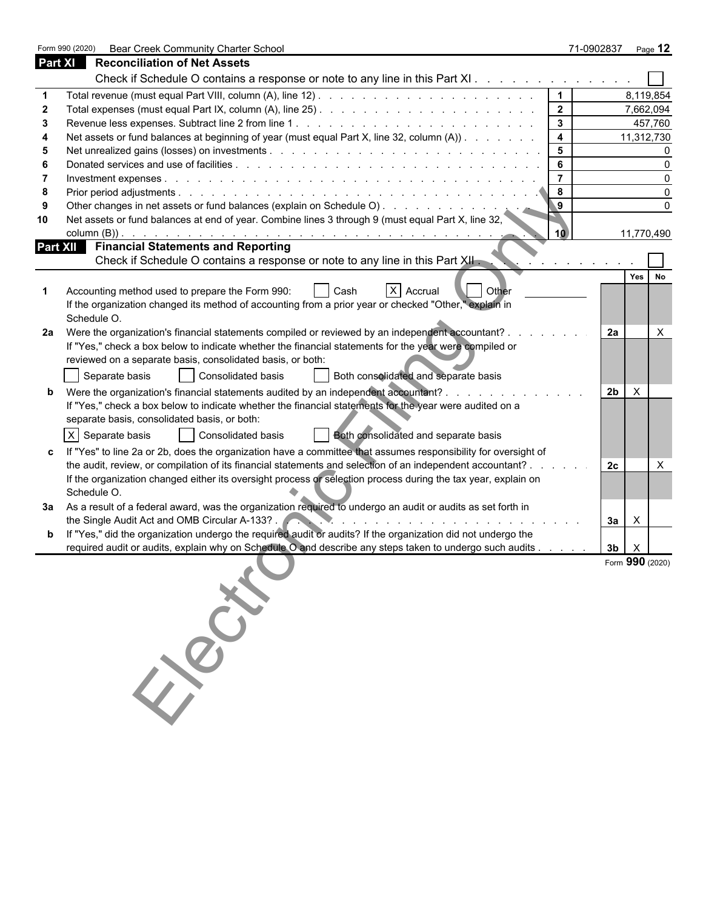|                | Form 990 (2020)<br>Bear Creek Community Charter School                                                                                                                                                                                                                                                                                               |                | 71-0902837     | Page 12         |
|----------------|------------------------------------------------------------------------------------------------------------------------------------------------------------------------------------------------------------------------------------------------------------------------------------------------------------------------------------------------------|----------------|----------------|-----------------|
| <b>Part XI</b> | <b>Reconciliation of Net Assets</b>                                                                                                                                                                                                                                                                                                                  |                |                |                 |
|                | Check if Schedule O contains a response or note to any line in this Part XI                                                                                                                                                                                                                                                                          |                |                |                 |
|                |                                                                                                                                                                                                                                                                                                                                                      |                |                | 8,119,854       |
|                |                                                                                                                                                                                                                                                                                                                                                      | 2 <sup>7</sup> |                | 7,662,094       |
|                |                                                                                                                                                                                                                                                                                                                                                      | $\mathbf{3}$   |                | 457,760         |
|                | Net assets or fund balances at beginning of year (must equal Part X, line 32, column (A))                                                                                                                                                                                                                                                            | 4              |                | 11,312,730      |
|                |                                                                                                                                                                                                                                                                                                                                                      | 5              |                |                 |
|                |                                                                                                                                                                                                                                                                                                                                                      | 6              |                |                 |
|                |                                                                                                                                                                                                                                                                                                                                                      |                |                |                 |
|                |                                                                                                                                                                                                                                                                                                                                                      | 8              |                |                 |
|                | Other changes in net assets or fund balances (explain on Schedule O)                                                                                                                                                                                                                                                                                 |                |                |                 |
| 10             | Net assets or fund balances at end of year. Combine lines 3 through 9 (must equal Part X, line 32,<br>column (B)).<br>and the contract of the contract of the contract of the contract of the contract of the contract of the contract of the contract of the contract of the contract of the contract of the contract of the contract of the contra | 10             |                | 11,770,490      |
|                | Part XII Financial Statements and Reporting                                                                                                                                                                                                                                                                                                          |                |                |                 |
|                | Check if Schedule O contains a response or note to any line in this Part XII.                                                                                                                                                                                                                                                                        |                |                |                 |
|                |                                                                                                                                                                                                                                                                                                                                                      |                |                | Yes  <br>No     |
|                | X Accrual<br>Accounting method used to prepare the Form 990:<br><b>Other</b><br>Cash                                                                                                                                                                                                                                                                 |                |                |                 |
|                | If the organization changed its method of accounting from a prior year or checked "Other," explain in                                                                                                                                                                                                                                                |                |                |                 |
|                | Schedule O.                                                                                                                                                                                                                                                                                                                                          |                |                |                 |
| 2a             | Were the organization's financial statements compiled or reviewed by an independent accountant? .                                                                                                                                                                                                                                                    |                | 2a             | $\times$        |
|                | If "Yes," check a box below to indicate whether the financial statements for the year were compiled or                                                                                                                                                                                                                                               |                |                |                 |
|                | reviewed on a separate basis, consolidated basis, or both:                                                                                                                                                                                                                                                                                           |                |                |                 |
|                | Consolidated basis<br>Both consolidated and separate basis<br>Separate basis                                                                                                                                                                                                                                                                         |                |                |                 |
|                |                                                                                                                                                                                                                                                                                                                                                      |                |                |                 |
|                | Were the organization's financial statements audited by an independent accountant?.                                                                                                                                                                                                                                                                  |                | 2 <sub>b</sub> | $\times$        |
|                | If "Yes," check a box below to indicate whether the financial statements for the year were audited on a                                                                                                                                                                                                                                              |                |                |                 |
|                | separate basis, consolidated basis, or both:                                                                                                                                                                                                                                                                                                         |                |                |                 |
|                | X Separate basis<br><b>Consolidated basis</b><br>Both consolidated and separate basis                                                                                                                                                                                                                                                                |                |                |                 |
|                | If "Yes" to line 2a or 2b, does the organization have a committee that assumes responsibility for oversight of                                                                                                                                                                                                                                       |                |                |                 |
|                | the audit, review, or compilation of its financial statements and selection of an independent accountant?                                                                                                                                                                                                                                            |                | 2c             | X               |
|                | If the organization changed either its oversight process or selection process during the tax year, explain on                                                                                                                                                                                                                                        |                |                |                 |
|                | Schedule O.                                                                                                                                                                                                                                                                                                                                          |                |                |                 |
|                | 3a  As a result of a federal award, was the organization required to undergo an audit or audits as set forth in                                                                                                                                                                                                                                      |                |                |                 |
|                | the Single Audit Act and OMB Circular A-133?.<br>the contract of the contract of the contract of the contract of the contract of the contract of the contract of                                                                                                                                                                                     |                | За             | X               |
|                | If "Yes," did the organization undergo the required audit or audits? If the organization did not undergo the                                                                                                                                                                                                                                         |                |                |                 |
|                | required audit or audits, explain why on Schedule O and describe any steps taken to undergo such audits                                                                                                                                                                                                                                              |                | 3 <sub>b</sub> | $\times$        |
|                |                                                                                                                                                                                                                                                                                                                                                      |                |                | Form 990 (2020) |
|                |                                                                                                                                                                                                                                                                                                                                                      |                |                |                 |
|                |                                                                                                                                                                                                                                                                                                                                                      |                |                |                 |
|                |                                                                                                                                                                                                                                                                                                                                                      |                |                |                 |
|                |                                                                                                                                                                                                                                                                                                                                                      |                |                |                 |
|                |                                                                                                                                                                                                                                                                                                                                                      |                |                |                 |
|                | 139                                                                                                                                                                                                                                                                                                                                                  |                |                |                 |
|                |                                                                                                                                                                                                                                                                                                                                                      |                |                |                 |
|                |                                                                                                                                                                                                                                                                                                                                                      |                |                |                 |
|                |                                                                                                                                                                                                                                                                                                                                                      |                |                |                 |
|                |                                                                                                                                                                                                                                                                                                                                                      |                |                |                 |
|                |                                                                                                                                                                                                                                                                                                                                                      |                |                |                 |
|                |                                                                                                                                                                                                                                                                                                                                                      |                |                |                 |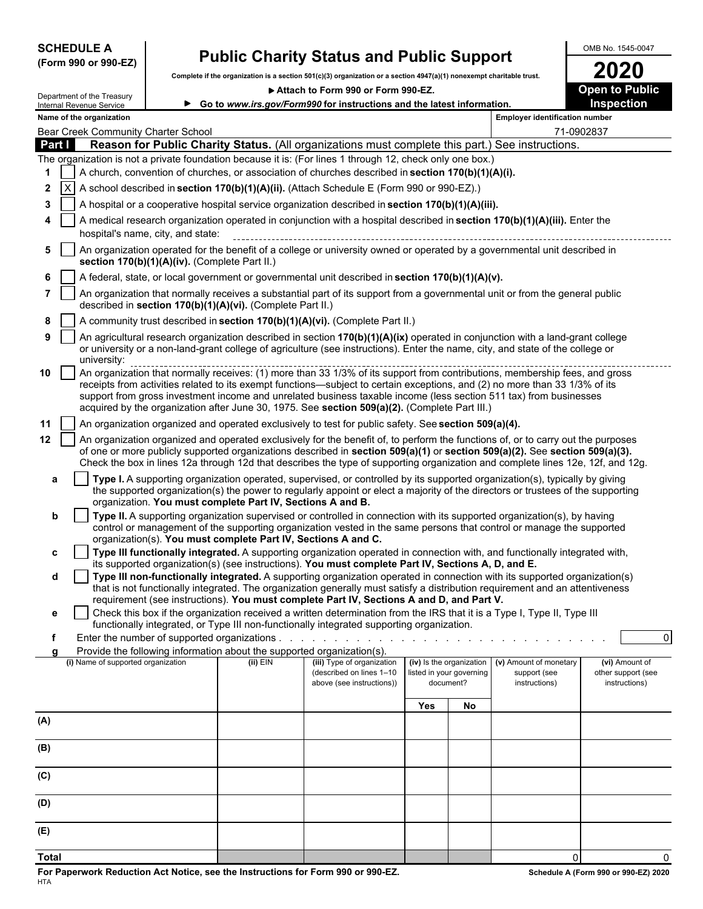**(Form 990 or 990-EZ)**

# SCHEDULE A **Public Charity Status and Public Support** Complete if the organization is a section 501(c)(3) organization or a section 4947(a)(1) nonexempt charitable trust.

**Complete if the organization is a section 501(c)(3) organization or a section 4947(a)(1) nonexempt charitable trust. 2020**

▶ Attach to Form 990 or Form 990-EZ. **Departs** Open to Public

|     |        | Department of the Treasury          |                                               |                                                                        | Attach to Form 990 or Form 990-EZ.                                                                                                                                                                                                                                                                                                                                                                                                                                               |            |                                       |                                       | <b>Open to Public</b>               |
|-----|--------|-------------------------------------|-----------------------------------------------|------------------------------------------------------------------------|----------------------------------------------------------------------------------------------------------------------------------------------------------------------------------------------------------------------------------------------------------------------------------------------------------------------------------------------------------------------------------------------------------------------------------------------------------------------------------|------------|---------------------------------------|---------------------------------------|-------------------------------------|
|     |        | Internal Revenue Service            |                                               |                                                                        | ► Go to www.irs.gov/Form990 for instructions and the latest information.                                                                                                                                                                                                                                                                                                                                                                                                         |            |                                       |                                       | <b>Inspection</b>                   |
|     |        | Name of the organization            |                                               |                                                                        |                                                                                                                                                                                                                                                                                                                                                                                                                                                                                  |            |                                       | <b>Employer identification number</b> |                                     |
|     |        | Bear Creek Community Charter School |                                               |                                                                        |                                                                                                                                                                                                                                                                                                                                                                                                                                                                                  |            |                                       | 71-0902837                            |                                     |
|     | Part I |                                     |                                               |                                                                        | Reason for Public Charity Status. (All organizations must complete this part.) See instructions.                                                                                                                                                                                                                                                                                                                                                                                 |            |                                       |                                       |                                     |
|     |        |                                     |                                               |                                                                        | The organization is not a private foundation because it is: (For lines 1 through 12, check only one box.)                                                                                                                                                                                                                                                                                                                                                                        |            |                                       |                                       |                                     |
| 1   |        |                                     |                                               |                                                                        | A church, convention of churches, or association of churches described in section 170(b)(1)(A)(i).                                                                                                                                                                                                                                                                                                                                                                               |            |                                       |                                       |                                     |
| 2   |        |                                     |                                               |                                                                        | A school described in section 170(b)(1)(A)(ii). (Attach Schedule E (Form 990 or 990-EZ).)                                                                                                                                                                                                                                                                                                                                                                                        |            |                                       |                                       |                                     |
| 3   |        |                                     |                                               |                                                                        | A hospital or a cooperative hospital service organization described in section 170(b)(1)(A)(iii).                                                                                                                                                                                                                                                                                                                                                                                |            |                                       |                                       |                                     |
| 4   |        |                                     |                                               |                                                                        | A medical research organization operated in conjunction with a hospital described in section 170(b)(1)(A)(iii). Enter the                                                                                                                                                                                                                                                                                                                                                        |            |                                       |                                       |                                     |
|     |        |                                     | hospital's name, city, and state:             |                                                                        |                                                                                                                                                                                                                                                                                                                                                                                                                                                                                  |            |                                       |                                       |                                     |
| 5   |        |                                     | section 170(b)(1)(A)(iv). (Complete Part II.) |                                                                        | An organization operated for the benefit of a college or university owned or operated by a governmental unit described in                                                                                                                                                                                                                                                                                                                                                        |            |                                       |                                       |                                     |
| 6   |        |                                     |                                               |                                                                        | A federal, state, or local government or governmental unit described in section 170(b)(1)(A)(v).                                                                                                                                                                                                                                                                                                                                                                                 |            |                                       |                                       |                                     |
| 7   |        |                                     |                                               | described in section 170(b)(1)(A)(vi). (Complete Part II.)             | An organization that normally receives a substantial part of its support from a governmental unit or from the general public                                                                                                                                                                                                                                                                                                                                                     |            |                                       |                                       |                                     |
| 8   |        |                                     |                                               |                                                                        | A community trust described in section 170(b)(1)(A)(vi). (Complete Part II.)                                                                                                                                                                                                                                                                                                                                                                                                     |            |                                       |                                       |                                     |
| 9   |        | university:                         |                                               |                                                                        | An agricultural research organization described in section 170(b)(1)(A)(ix) operated in conjunction with a land-grant college<br>or university or a non-land-grant college of agriculture (see instructions). Enter the name, city, and state of the college or                                                                                                                                                                                                                  |            |                                       |                                       |                                     |
| 10  |        |                                     |                                               |                                                                        | An organization that normally receives: (1) more than 33 1/3% of its support from contributions, membership fees, and gross<br>receipts from activities related to its exempt functions—subject to certain exceptions, and (2) no more than 33 1/3% of its<br>support from gross investment income and unrelated business taxable income (less section 511 tax) from businesses<br>acquired by the organization after June 30, 1975. See section 509(a)(2). (Complete Part III.) |            |                                       |                                       |                                     |
| 11  |        |                                     |                                               |                                                                        | An organization organized and operated exclusively to test for public safety. See section 509(a)(4).                                                                                                                                                                                                                                                                                                                                                                             |            |                                       |                                       |                                     |
| 12  |        |                                     |                                               |                                                                        | An organization organized and operated exclusively for the benefit of, to perform the functions of, or to carry out the purposes                                                                                                                                                                                                                                                                                                                                                 |            |                                       |                                       |                                     |
|     |        |                                     |                                               |                                                                        | of one or more publicly supported organizations described in section 509(a)(1) or section 509(a)(2). See section 509(a)(3).<br>Check the box in lines 12a through 12d that describes the type of supporting organization and complete lines 12e, 12f, and 12g.                                                                                                                                                                                                                   |            |                                       |                                       |                                     |
| a   |        |                                     |                                               | organization. You must complete Part IV, Sections A and B.             | Type I. A supporting organization operated, supervised, or controlled by its supported organization(s), typically by giving<br>the supported organization(s) the power to regularly appoint or elect a majority of the directors or trustees of the supporting                                                                                                                                                                                                                   |            |                                       |                                       |                                     |
| b   |        |                                     |                                               |                                                                        | Type II. A supporting organization supervised or controlled in connection with its supported organization(s), by having                                                                                                                                                                                                                                                                                                                                                          |            |                                       |                                       |                                     |
|     |        |                                     |                                               |                                                                        | control or management of the supporting organization vested in the same persons that control or manage the supported                                                                                                                                                                                                                                                                                                                                                             |            |                                       |                                       |                                     |
| c   |        |                                     |                                               | organization(s). You must complete Part IV, Sections A and C.          | Type III functionally integrated. A supporting organization operated in connection with, and functionally integrated with,                                                                                                                                                                                                                                                                                                                                                       |            |                                       |                                       |                                     |
|     |        |                                     |                                               |                                                                        | its supported organization(s) (see instructions). You must complete Part IV, Sections A, D, and E.                                                                                                                                                                                                                                                                                                                                                                               |            |                                       |                                       |                                     |
| d   |        |                                     |                                               |                                                                        | Type III non-functionally integrated. A supporting organization operated in connection with its supported organization(s)<br>that is not functionally integrated. The organization generally must satisfy a distribution requirement and an attentiveness                                                                                                                                                                                                                        |            |                                       |                                       |                                     |
|     |        |                                     |                                               |                                                                        | requirement (see instructions). You must complete Part IV, Sections A and D, and Part V.<br>Check this box if the organization received a written determination from the IRS that it is a Type I, Type II, Type III                                                                                                                                                                                                                                                              |            |                                       |                                       |                                     |
| е   |        |                                     |                                               |                                                                        | functionally integrated, or Type III non-functionally integrated supporting organization.                                                                                                                                                                                                                                                                                                                                                                                        |            |                                       |                                       |                                     |
| f   |        |                                     |                                               |                                                                        |                                                                                                                                                                                                                                                                                                                                                                                                                                                                                  |            |                                       |                                       | $\Omega$                            |
| a   |        |                                     |                                               | Provide the following information about the supported organization(s). |                                                                                                                                                                                                                                                                                                                                                                                                                                                                                  |            |                                       |                                       |                                     |
|     |        | (i) Name of supported organization  |                                               | (ii) EIN                                                               | (iii) Type of organization                                                                                                                                                                                                                                                                                                                                                                                                                                                       |            | (iv) Is the organization              | (v) Amount of monetary                | (vi) Amount of                      |
|     |        |                                     |                                               |                                                                        | (described on lines 1-10<br>above (see instructions))                                                                                                                                                                                                                                                                                                                                                                                                                            |            | listed in your governing<br>document? | support (see<br>instructions)         | other support (see<br>instructions) |
|     |        |                                     |                                               |                                                                        |                                                                                                                                                                                                                                                                                                                                                                                                                                                                                  |            |                                       |                                       |                                     |
|     |        |                                     |                                               |                                                                        |                                                                                                                                                                                                                                                                                                                                                                                                                                                                                  | <b>Yes</b> | No                                    |                                       |                                     |
| (A) |        |                                     |                                               |                                                                        |                                                                                                                                                                                                                                                                                                                                                                                                                                                                                  |            |                                       |                                       |                                     |
| (B) |        |                                     |                                               |                                                                        |                                                                                                                                                                                                                                                                                                                                                                                                                                                                                  |            |                                       |                                       |                                     |
|     |        |                                     |                                               |                                                                        |                                                                                                                                                                                                                                                                                                                                                                                                                                                                                  |            |                                       |                                       |                                     |
| (C) |        |                                     |                                               |                                                                        |                                                                                                                                                                                                                                                                                                                                                                                                                                                                                  |            |                                       |                                       |                                     |
| (D) |        |                                     |                                               |                                                                        |                                                                                                                                                                                                                                                                                                                                                                                                                                                                                  |            |                                       |                                       |                                     |
|     |        |                                     |                                               |                                                                        |                                                                                                                                                                                                                                                                                                                                                                                                                                                                                  |            |                                       |                                       |                                     |
| (E) |        |                                     |                                               |                                                                        |                                                                                                                                                                                                                                                                                                                                                                                                                                                                                  |            |                                       |                                       |                                     |

**Total** 0 0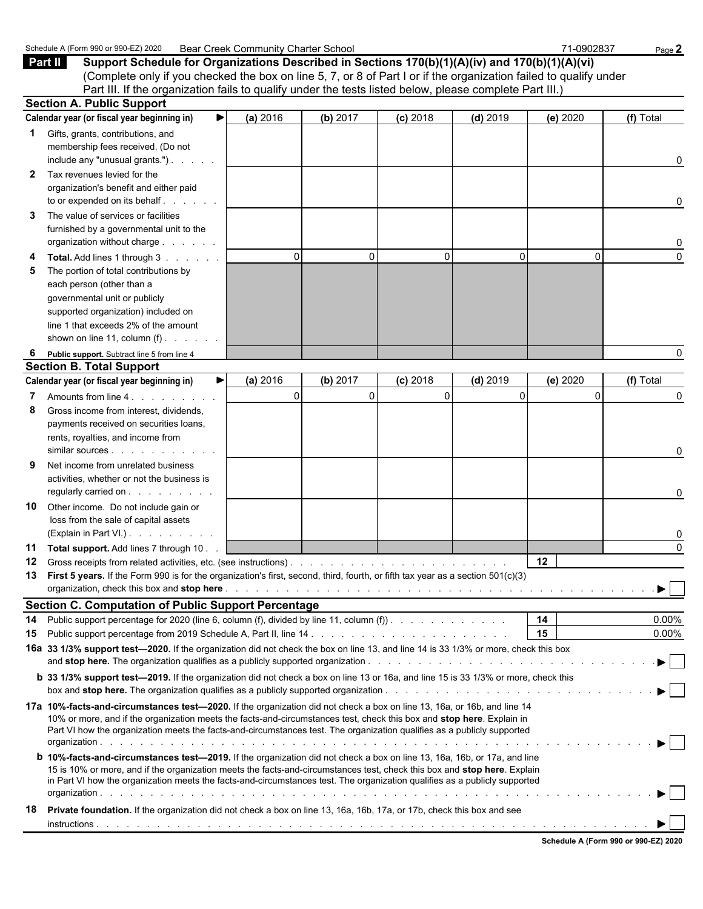|              | Schedule A (Form 990 or 990-EZ) 2020                                                                                                      | <b>Bear Creek Community Charter School</b> |          |            |            | 71-0902837 | Page 2    |
|--------------|-------------------------------------------------------------------------------------------------------------------------------------------|--------------------------------------------|----------|------------|------------|------------|-----------|
|              | Part II<br>Support Schedule for Organizations Described in Sections 170(b)(1)(A)(iv) and 170(b)(1)(A)(vi)                                 |                                            |          |            |            |            |           |
|              | (Complete only if you checked the box on line 5, 7, or 8 of Part I or if the organization failed to qualify under                         |                                            |          |            |            |            |           |
|              | Part III. If the organization fails to qualify under the tests listed below, please complete Part III.)                                   |                                            |          |            |            |            |           |
|              | <b>Section A. Public Support</b>                                                                                                          |                                            |          |            |            |            |           |
|              | Calendar year (or fiscal year beginning in)<br>▶                                                                                          | (a) 2016                                   | (b) 2017 | $(c)$ 2018 | $(d)$ 2019 | (e) 2020   | (f) Total |
| 1            | Gifts, grants, contributions, and                                                                                                         |                                            |          |            |            |            |           |
|              | membership fees received. (Do not                                                                                                         |                                            |          |            |            |            |           |
|              | include any "unusual grants.")                                                                                                            |                                            |          |            |            |            | 0         |
| $\mathbf{2}$ | Tax revenues levied for the                                                                                                               |                                            |          |            |            |            |           |
|              | organization's benefit and either paid                                                                                                    |                                            |          |            |            |            |           |
|              | to or expended on its behalf                                                                                                              |                                            |          |            |            |            |           |
|              |                                                                                                                                           |                                            |          |            |            |            | 0         |
| 3            | The value of services or facilities                                                                                                       |                                            |          |            |            |            |           |
|              | furnished by a governmental unit to the                                                                                                   |                                            |          |            |            |            |           |
|              | organization without charge                                                                                                               |                                            |          |            |            |            | 0         |
|              | Total. Add lines 1 through 3                                                                                                              | $\Omega$                                   | $\Omega$ | $\Omega$   | 0          | $\Omega$   | $\Omega$  |
| 5            | The portion of total contributions by                                                                                                     |                                            |          |            |            |            |           |
|              | each person (other than a                                                                                                                 |                                            |          |            |            |            |           |
|              | governmental unit or publicly                                                                                                             |                                            |          |            |            |            |           |
|              | supported organization) included on                                                                                                       |                                            |          |            |            |            |           |
|              | line 1 that exceeds 2% of the amount                                                                                                      |                                            |          |            |            |            |           |
|              | shown on line 11, column $(f)$ .                                                                                                          |                                            |          |            |            |            |           |
| 6            | Public support. Subtract line 5 from line 4                                                                                               |                                            |          |            |            |            | 0         |
|              | <b>Section B. Total Support</b>                                                                                                           |                                            |          |            |            |            |           |
|              | Calendar year (or fiscal year beginning in)<br>▶                                                                                          | (a) 2016                                   | (b) 2017 | $(c)$ 2018 | $(d)$ 2019 | (e) 2020   | (f) Total |
|              |                                                                                                                                           | $\Omega$                                   | $\Omega$ | 0          | $\Omega$   | $\Omega$   | 0         |
| 8            | Gross income from interest, dividends,                                                                                                    |                                            |          |            |            |            |           |
|              | payments received on securities loans,                                                                                                    |                                            |          |            |            |            |           |
|              | rents, royalties, and income from                                                                                                         |                                            |          |            |            |            |           |
|              | similar sources                                                                                                                           |                                            |          |            |            |            | 0         |
|              | Net income from unrelated business                                                                                                        |                                            |          |            |            |            |           |
|              | activities, whether or not the business is                                                                                                |                                            |          |            |            |            |           |
|              | regularly carried on                                                                                                                      |                                            |          |            |            |            | 0         |
| 10           | Other income. Do not include gain or                                                                                                      |                                            |          |            |            |            |           |
|              | loss from the sale of capital assets                                                                                                      |                                            |          |            |            |            |           |
|              | (Explain in Part VI.)                                                                                                                     |                                            |          |            |            |            | 0         |
|              | 11 Total support. Add lines 7 through 10                                                                                                  |                                            |          |            |            |            | $\Omega$  |
|              |                                                                                                                                           |                                            |          |            |            | 12         |           |
| 12<br>13     | First 5 years. If the Form 990 is for the organization's first, second, third, fourth, or fifth tax year as a section 501(c)(3)           |                                            |          |            |            |            |           |
|              |                                                                                                                                           |                                            |          |            |            |            | ▶         |
|              |                                                                                                                                           |                                            |          |            |            |            |           |
|              | <b>Section C. Computation of Public Support Percentage</b>                                                                                |                                            |          |            |            |            |           |
| 14           | Public support percentage for 2020 (line 6, column (f), divided by line 11, column (f)).                                                  |                                            |          |            |            | 14         | $0.00\%$  |
| 15           |                                                                                                                                           |                                            |          |            |            | 15         | $0.00\%$  |
|              | 16a 33 1/3% support test-2020. If the organization did not check the box on line 13, and line 14 is 33 1/3% or more, check this box       |                                            |          |            |            |            |           |
|              |                                                                                                                                           |                                            |          |            |            |            |           |
|              | <b>b</b> 33 1/3% support test-2019. If the organization did not check a box on line 13 or 16a, and line 15 is 33 1/3% or more, check this |                                            |          |            |            |            |           |
|              |                                                                                                                                           |                                            |          |            |            |            |           |
|              | 17a 10%-facts-and-circumstances test—2020. If the organization did not check a box on line 13, 16a, or 16b, and line 14                   |                                            |          |            |            |            |           |
|              | 10% or more, and if the organization meets the facts-and-circumstances test, check this box and stop here. Explain in                     |                                            |          |            |            |            |           |
|              | Part VI how the organization meets the facts-and-circumstances test. The organization qualifies as a publicly supported                   |                                            |          |            |            |            |           |
|              |                                                                                                                                           |                                            |          |            |            |            |           |
|              | <b>b 10%-facts-and-circumstances test-2019.</b> If the organization did not check a box on line 13, 16a, 16b, or 17a, and line            |                                            |          |            |            |            |           |
|              | 15 is 10% or more, and if the organization meets the facts-and-circumstances test, check this box and stop here. Explain                  |                                            |          |            |            |            |           |
|              | in Part VI how the organization meets the facts-and-circumstances test. The organization qualifies as a publicly supported                |                                            |          |            |            |            |           |
|              |                                                                                                                                           |                                            |          |            |            |            |           |
| 18           | Private foundation. If the organization did not check a box on line 13, 16a, 16b, 17a, or 17b, check this box and see                     |                                            |          |            |            |            |           |
|              |                                                                                                                                           |                                            |          |            |            |            |           |
|              |                                                                                                                                           |                                            |          |            |            |            |           |

| Schedule A (Form 990 or 990-EZ) 2020 |  |  |  |
|--------------------------------------|--|--|--|
|                                      |  |  |  |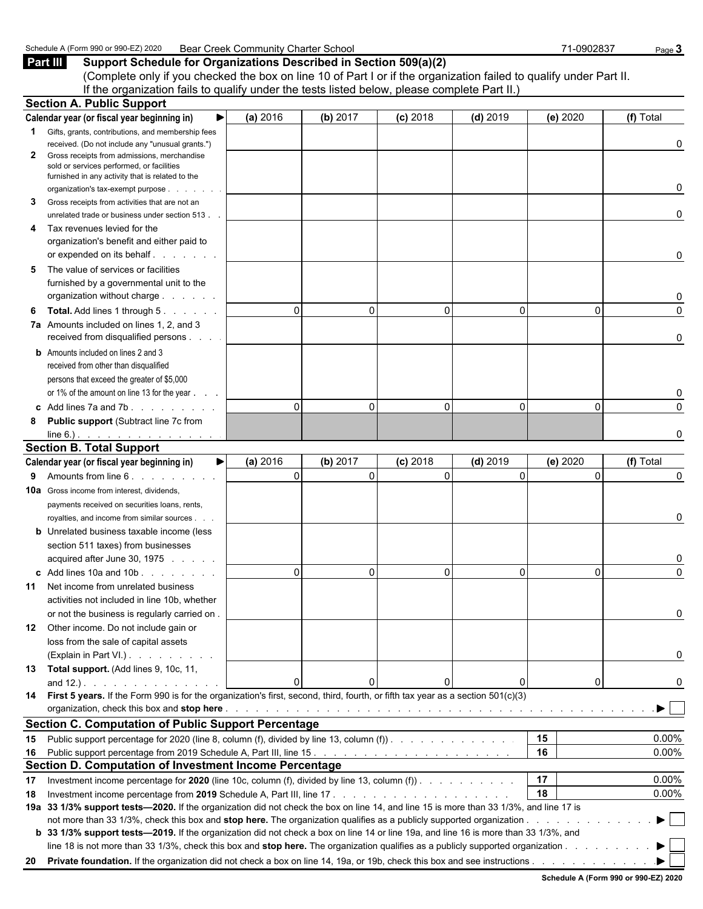#### Schedule A (Form 990 or 990-EZ) 2020 Bear Creek Community Charter School 71-0902837 Page 3

**Part III Support Schedule for Organizations Described in Section 509(a)(2)** (Complete only if you checked the box on line 10 of Part I or if the organization failed to qualify under Part II. If the organization fails to qualify under the tests listed below, please complete Part II.)

|              | <b>Section A. Public Support</b>                                                                                                       |          |               |            |            |          |           |
|--------------|----------------------------------------------------------------------------------------------------------------------------------------|----------|---------------|------------|------------|----------|-----------|
|              | Calendar year (or fiscal year beginning in)                                                                                            | (a) 2016 | (b) 2017      | $(c)$ 2018 | $(d)$ 2019 | (e) 2020 | (f) Total |
|              | <b>1</b> Gifts, grants, contributions, and membership fees                                                                             |          |               |            |            |          |           |
|              | received. (Do not include any "unusual grants.")                                                                                       |          |               |            |            |          | 0         |
| $\mathbf{2}$ | Gross receipts from admissions, merchandise                                                                                            |          |               |            |            |          |           |
|              | sold or services performed, or facilities<br>furnished in any activity that is related to the                                          |          |               |            |            |          |           |
|              | organization's tax-exempt purpose                                                                                                      |          |               |            |            |          | 0         |
| 3            | Gross receipts from activities that are not an                                                                                         |          |               |            |            |          |           |
|              | unrelated trade or business under section 513.                                                                                         |          |               |            |            |          | 0         |
| 4            | Tax revenues levied for the                                                                                                            |          |               |            |            |          |           |
|              | organization's benefit and either paid to                                                                                              |          |               |            |            |          |           |
|              |                                                                                                                                        |          |               |            |            |          | 0         |
| 5            | The value of services or facilities                                                                                                    |          |               |            |            |          |           |
|              | furnished by a governmental unit to the                                                                                                |          |               |            |            |          |           |
|              | organization without charge                                                                                                            |          |               |            |            |          | 0         |
| 6            | <b>Total.</b> Add lines 1 through 5.                                                                                                   | $\Omega$ | $\mathbf{0}$  | $\Omega$   | $\Omega$   | 0        | $\Omega$  |
|              | 7a Amounts included on lines 1, 2, and 3                                                                                               |          |               |            |            |          |           |
|              | received from disqualified persons                                                                                                     |          |               |            |            |          | 0         |
|              | <b>b</b> Amounts included on lines 2 and 3                                                                                             |          |               |            |            |          |           |
|              | received from other than disqualified                                                                                                  |          |               |            |            |          |           |
|              | persons that exceed the greater of \$5,000                                                                                             |          |               |            |            |          |           |
|              | or 1% of the amount on line 13 for the year                                                                                            |          |               |            |            |          | 0         |
|              | c Add lines $7a$ and $7b$ .                                                                                                            | $\Omega$ | $\Omega$      | $\Omega$   | $\Omega$   | $\Omega$ | $\Omega$  |
| 8            | <b>Public support (Subtract line 7c from</b>                                                                                           |          |               |            |            |          |           |
|              | $line 6.)$ .                                                                                                                           |          |               |            |            |          | O         |
|              | <b>Section B. Total Support</b>                                                                                                        |          |               |            |            |          |           |
|              | Calendar year (or fiscal year beginning in)<br>▶                                                                                       | (a) 2016 | (b) 2017      | $(c)$ 2018 | $(d)$ 2019 | (e) 2020 | (f) Total |
|              | 9 Amounts from line 6.                                                                                                                 | $\Omega$ | $\Omega$      | $\Omega$   | $\Omega$   | $\Omega$ | $\Omega$  |
|              | <b>10a</b> Gross income from interest, dividends,                                                                                      |          |               |            |            |          |           |
|              | payments received on securities loans, rents,                                                                                          |          |               |            |            |          |           |
|              | royalties, and income from similar sources.                                                                                            |          |               |            |            |          | 0         |
|              | <b>b</b> Unrelated business taxable income (less                                                                                       |          |               |            |            |          |           |
|              | section 511 taxes) from businesses                                                                                                     |          |               |            |            |          |           |
|              | acquired after June 30, 1975                                                                                                           |          |               |            |            |          | 0         |
|              | c Add lines 10a and 10b                                                                                                                | $\Omega$ | $\Omega$      | $\Omega$   | $\Omega$   | $\Omega$ | $\Omega$  |
|              | <b>11</b> Net income from unrelated business                                                                                           |          |               |            |            |          |           |
|              | activities not included in line 10b, whether                                                                                           |          |               |            |            |          |           |
|              | or not the business is regularly carried on.                                                                                           |          |               |            |            |          |           |
| 12.          | Other income. Do not include gain or                                                                                                   |          |               |            |            |          |           |
|              | loss from the sale of capital assets                                                                                                   |          |               |            |            |          |           |
|              | (Explain in Part VI.).                                                                                                                 |          |               |            |            |          | 0         |
|              | 13 Total support. (Add lines 9, 10c, 11,                                                                                               |          |               |            |            |          |           |
|              |                                                                                                                                        |          | 0<br>$\Omega$ |            |            | 0        | O         |
|              | 14 First 5 years. If the Form 990 is for the organization's first, second, third, fourth, or fifth tax year as a section 501(c)(3)     |          |               |            |            |          |           |
|              | <b>Section C. Computation of Public Support Percentage</b>                                                                             |          |               |            |            |          |           |
|              |                                                                                                                                        |          |               |            |            | 15       | 0.00%     |
|              | 15 Public support percentage for 2020 (line 8, column (f), divided by line 13, column (f))                                             |          |               |            |            | 16       |           |
|              | Section D. Computation of Investment Income Percentage                                                                                 |          |               |            |            |          | 0.00%     |
|              |                                                                                                                                        |          |               |            |            | 17       | $0.00\%$  |
| 17           | Investment income percentage for 2020 (line 10c, column (f), divided by line 13, column (f)).                                          |          |               |            |            | 18       | $0.00\%$  |
| 18           | 19a 33 1/3% support tests-2020. If the organization did not check the box on line 14, and line 15 is more than 33 1/3%, and line 17 is |          |               |            |            |          |           |
|              |                                                                                                                                        |          |               |            |            |          | ▶ ।       |
|              | b 33 1/3% support tests-2019. If the organization did not check a box on line 14 or line 19a, and line 16 is more than 33 1/3%, and    |          |               |            |            |          |           |
|              | line 18 is not more than 33 1/3%, check this box and stop here. The organization qualifies as a publicly supported organization        |          |               |            |            |          |           |
|              |                                                                                                                                        |          |               |            |            |          |           |
|              |                                                                                                                                        |          |               |            |            |          |           |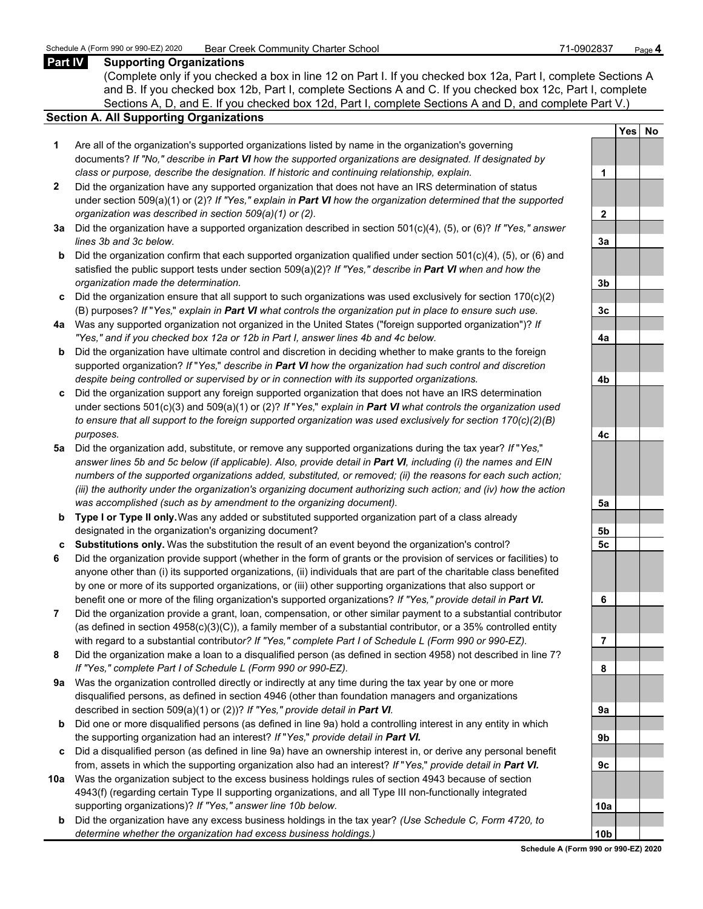#### **Part IV Supporting Organizations**

(Complete only if you checked a box in line 12 on Part I. If you checked box 12a, Part I, complete Sections A and B. If you checked box 12b, Part I, complete Sections A and C. If you checked box 12c, Part I, complete Sections A, D, and E. If you checked box 12d, Part I, complete Sections A and D, and complete Part V.)

#### **Section A. All Supporting Organizations**

- **1** Are all of the organization's supported organizations listed by name in the organization's governing documents? *If "No," describe in Part VI how the supported organizations are designated. If designated by class or purpose, describe the designation. If historic and continuing relationship, explain.* **1**
- **2** Did the organization have any supported organization that does not have an IRS determination of status under section 509(a)(1) or (2)? *If "Yes," explain in Part VI how the organization determined that the supported organization was described in section 509(a)(1) or (2).*
- **3a** Did the organization have a supported organization described in section 501(c)(4), (5), or (6)? *If "Yes," answer*  $lines$  3b and 3c below.
- **b** Did the organization confirm that each supported organization qualified under section 501(c)(4), (5), or (6) and satisfied the public support tests under section 509(a)(2)? *If "Yes," describe in Part VI when and how the organization made the determination.* **3b**
- **c** Did the organization ensure that all support to such organizations was used exclusively for section 170(c)(2) (B) purposes? *If* "*Yes,*" *explain in Part VI what controls the organization put in place to ensure such use.* **3c**
- **4a** Was any supported organization not organized in the United States ("foreign supported organization")? *If "Yes," and if you checked box 12a or 12b in Part I, answer lines 4b and 4c below.* **4a**
- **b** Did the organization have ultimate control and discretion in deciding whether to make grants to the foreign supported organization? *If* "*Yes,*" *describe in Part VI how the organization had such control and discretion despite being controlled or supervised by or in connection with its supported organizations.* **4b**
- **c** Did the organization support any foreign supported organization that does not have an IRS determination under sections 501(c)(3) and 509(a)(1) or (2)? *If* "*Yes,*" *explain in Part VI what controls the organization used to ensure that all support to the foreign supported organization was used exclusively for section 170(c)(2)(B) purposes.* **4c**
- **5a** Did the organization add, substitute, or remove any supported organizations during the tax year? *If* "*Yes,*" *answer lines 5b and 5c below (if applicable). Also, provide detail in Part VI, including (i) the names and EIN numbers of the supported organizations added, substituted, or removed; (ii) the reasons for each such action; (iii) the authority under the organization's organizing document authorizing such action; and (iv) how the action was accomplished (such as by amendment to the organizing document).* **5a**
- **b Type I or Type II only.** Was any added or substituted supported organization part of a class already designated in the organization's organizing document? **5b**
- **c Substitutions only.** Was the substitution the result of an event beyond the organization's control? **5c**
- **6** Did the organization provide support (whether in the form of grants or the provision of services or facilities) to anyone other than (i) its supported organizations, (ii) individuals that are part of the charitable class benefited by one or more of its supported organizations, or (iii) other supporting organizations that also support or benefit one or more of the filing organization's supported organizations? *If "Yes," provide detail in Part VI.* **6**
- **7** Did the organization provide a grant, loan, compensation, or other similar payment to a substantial contributor (as defined in section 4958(c)(3)(C)), a family member of a substantial contributor, or a 35% controlled entity with regard to a substantial contribut*or? If "Yes," complete Part I of Schedule L (Form 990 or 990-EZ).* **7**
- **8** Did the organization make a loan to a disqualified person (as defined in section 4958) not described in line 7? *If "Yes," complete Part I of Schedule L (Form 990 or 990-EZ).* **8**
- **9a** Was the organization controlled directly or indirectly at any time during the tax year by one or more disqualified persons, as defined in section 4946 (other than foundation managers and organizations described in section 509(a)(1) or (2))? If "Yes," provide detail in Part VI.
- **b** Did one or more disqualified persons (as defined in line 9a) hold a controlling interest in any entity in which the supporting organization had an interest? *If* "*Yes,*" *provide detail in Part VI.* **9b**
- **c** Did a disqualified person (as defined in line 9a) have an ownership interest in, or derive any personal benefit from, assets in which the supporting organization also had an interest? *If* "*Yes,*" *provide detail in Part VI.* **9c**
- **10a** Was the organization subject to the excess business holdings rules of section 4943 because of section 4943(f) (regarding certain Type II supporting organizations, and all Type III non-functionally integrated supporting organizations)? If "Yes," answer line 10b below.
	- **b** Did the organization have any excess business holdings in the tax year? *(Use Schedule C, Form 4720, to determine whether the organization had excess business holdings.)* **10b**

|                 | Yes | No |
|-----------------|-----|----|
|                 |     |    |
| 1               |     |    |
|                 |     |    |
| $\overline{2}$  |     |    |
|                 |     |    |
| <u>3a</u>       |     |    |
|                 |     |    |
| <u>3b</u>       |     |    |
|                 |     |    |
| <u>3c</u>       |     |    |
| <u>4a</u>       |     |    |
|                 |     |    |
| <u>4b</u>       |     |    |
|                 |     |    |
| <u>4c</u>       |     |    |
|                 |     |    |
| <u>5a</u>       |     |    |
|                 |     |    |
| <u>5b</u>       |     |    |
| <u>5c</u>       |     |    |
|                 |     |    |
| 6               |     |    |
|                 |     |    |
| l               |     |    |
| 8               |     |    |
|                 |     |    |
| 9а              |     |    |
|                 |     |    |
| <u>9b</u>       |     |    |
|                 |     |    |
| <u>9c</u>       |     |    |
|                 |     |    |
| <u>10a</u>      |     |    |
|                 |     |    |
| 10 <sub>b</sub> |     |    |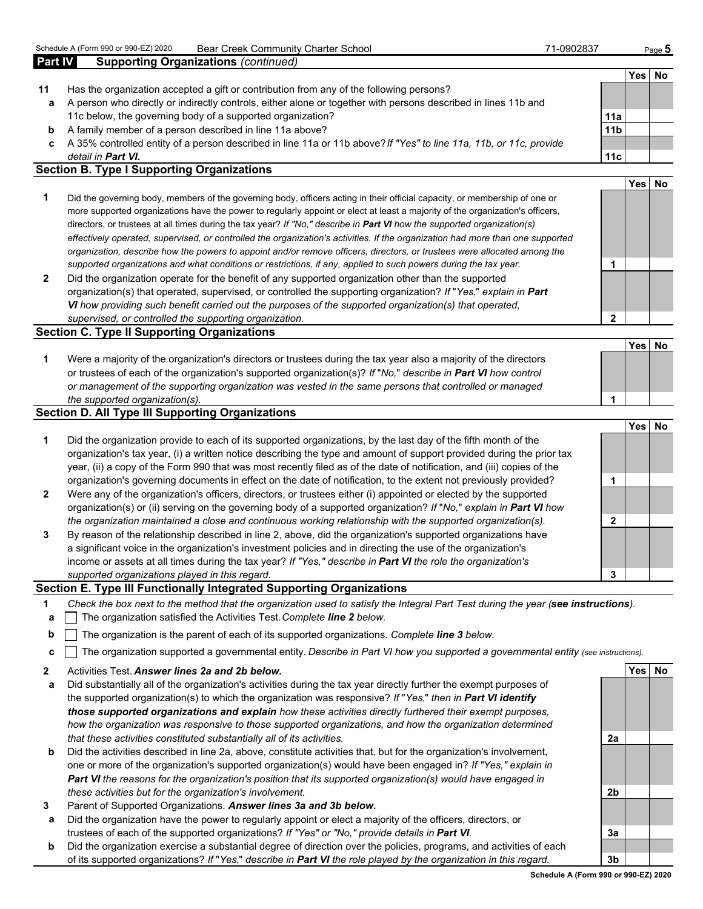| Part IV | <b>Supporting Organizations (continued)</b>                                                                                |                 |      |    |
|---------|----------------------------------------------------------------------------------------------------------------------------|-----------------|------|----|
|         |                                                                                                                            |                 | Yesl | No |
| 11      | Has the organization accepted a gift or contribution from any of the following persons?                                    |                 |      |    |
| a       | A person who directly or indirectly controls, either alone or together with persons described in lines 11b and             |                 |      |    |
|         | 11c below, the governing body of a supported organization?                                                                 | 11a             |      |    |
| b       | A family member of a person described in line 11a above?                                                                   | 11 <sub>b</sub> |      |    |
| c.      | A 35% controlled entity of a person described in line 11a or 11b above? If "Yes" to line 11a, 11b, or 11c, provide         |                 |      |    |
|         | detail in <b>Part VI.</b>                                                                                                  | 11c             |      |    |
|         | <b>Section B. Type I Supporting Organizations</b>                                                                          |                 |      |    |
|         |                                                                                                                            |                 | Yesl | No |
|         | Did the governing body, members of the governing body, officers acting in their official capacity, or membership of one or |                 |      |    |

- more supported organizations have the power to regularly appoint or elect at least a majority of the organization's officers, directors, or trustees at all times during the tax year? *If "No," describe in Part VI how the supported organization(s) effectively operated, supervised, or controlled the organization's activities. If the organization had more than one supported organization, describe how the powers to appoint and/or remove officers, directors, or trustees were allocated among the supported organizations and what conditions or restrictions, if any, applied to such powers during the tax year.* **1**
- **2** Did the organization operate for the benefit of any supported organization other than the supported organization(s) that operated, supervised, or controlled the supporting organization? *If* "*Yes,*" *explain in Part VI how providing such benefit carried out the purposes of the supported organization(s) that operated, supervised, or controlled the supporting organization.* **2**

#### **Section C. Type II Supporting Organizations**

| Were a majority of the organization's directors or trustees during the tax year also a majority of the directors     |  |
|----------------------------------------------------------------------------------------------------------------------|--|
| or trustees of each of the organization's supported organization(s)? If "No," describe in <b>Part VI</b> how control |  |
| or management of the supporting organization was vested in the same persons that controlled or managed               |  |
| the supported organization(s).                                                                                       |  |

#### **Section D. All Type III Supporting Organizations**

|                |                                                                                                                                                                                                                                                                                                                                                                   |   | <b>Yes</b> | No |
|----------------|-------------------------------------------------------------------------------------------------------------------------------------------------------------------------------------------------------------------------------------------------------------------------------------------------------------------------------------------------------------------|---|------------|----|
| 1              | Did the organization provide to each of its supported organizations, by the last day of the fifth month of the<br>organization's tax year, (i) a written notice describing the type and amount of support provided during the prior tax<br>year, (ii) a copy of the Form 990 that was most recently filed as of the date of notification, and (iii) copies of the |   |            |    |
|                | organization's governing documents in effect on the date of notification, to the extent not previously provided?                                                                                                                                                                                                                                                  |   |            |    |
| $\overline{2}$ | Were any of the organization's officers, directors, or trustees either (i) appointed or elected by the supported<br>organization(s) or (ii) serving on the governing body of a supported organization? If "No," explain in Part VI how                                                                                                                            |   |            |    |
|                | the organization maintained a close and continuous working relationship with the supported organization(s).                                                                                                                                                                                                                                                       |   |            |    |
| 3              | By reason of the relationship described in line 2, above, did the organization's supported organizations have<br>a significant voice in the organization's investment policies and in directing the use of the organization's<br>income or assets at all times during the tax year? If "Yes," describe in Part VI the role the organization's                     |   |            |    |
|                | supported organizations played in this regard.                                                                                                                                                                                                                                                                                                                    | 3 |            |    |

#### **Section E. Type III Functionally Integrated Supporting Organizations**

- **1** *Check the box next to the method that the organization used to satisfy the Integral Part Test during the year (see instructions).*
- **a** The organization satisfied the Activities Test. *Complete line 2 below.*
- **b** The organization is the parent of each of its supported organizations. *Complete line 3 below.*
- **c** The organization supported a governmental entity. *Describe in Part VI how you supported a governmental entity (see instructions).*
- **2** Activities Test. *Answer lines 2a and 2b below.* **Yes No**
- **a** Did substantially all of the organization's activities during the tax year directly further the exempt purposes of the supported organization(s) to which the organization was responsive? *If* "*Yes,*" *then in Part VI identify those supported organizations and explain how these activities directly furthered their exempt purposes, how the organization was responsive to those supported organizations, and how the organization determined that these activities constituted substantially all of its activities.* **2a**
- **b** Did the activities described in line 2a, above, constitute activities that, but for the organization's involvement, one or more of the organization's supported organization(s) would have been engaged in? *If "Yes," explain in Part VI the reasons for the organization's position that its supported organization(s) would have engaged in these activities but for the organization's involvement.* **2b**
- **3** Parent of Supported Organizations. *Answer lines 3a and 3b below.*
- **a** Did the organization have the power to regularly appoint or elect a majority of the officers, directors, or trustees of each of the supported organizations? *If "Yes" or "No," provide details in Part VI.* **3a**
- **b** Did the organization exercise a substantial degree of direction over the policies, programs, and activities of each of its supported organizations? *If* "*Yes,*" *describe in Part VI the role played by the organization in this regard.* **3b**

**Yes No**

**Schedule A (Form 990 or 990-EZ) 2020**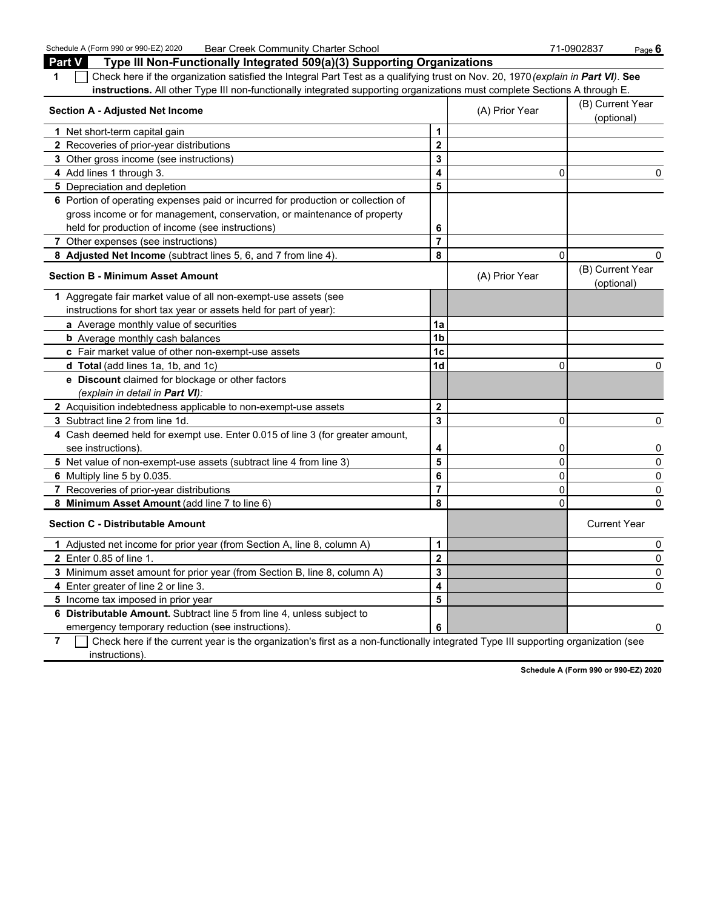Schedule A (Form 990 or 990-EZ) 2020 Bear Creek Community Charter School 71-0902837 Page **6**

| <b>Section A - Adjusted Net Income</b> |                |                                                                                                                                                                                                                                                                                                                                                            |  |
|----------------------------------------|----------------|------------------------------------------------------------------------------------------------------------------------------------------------------------------------------------------------------------------------------------------------------------------------------------------------------------------------------------------------------------|--|
| 1                                      |                |                                                                                                                                                                                                                                                                                                                                                            |  |
| $\mathbf 2$                            |                |                                                                                                                                                                                                                                                                                                                                                            |  |
| 3                                      |                |                                                                                                                                                                                                                                                                                                                                                            |  |
| 4                                      | 0              | 0                                                                                                                                                                                                                                                                                                                                                          |  |
| 5                                      |                |                                                                                                                                                                                                                                                                                                                                                            |  |
|                                        |                |                                                                                                                                                                                                                                                                                                                                                            |  |
|                                        |                |                                                                                                                                                                                                                                                                                                                                                            |  |
| 6                                      |                |                                                                                                                                                                                                                                                                                                                                                            |  |
| $\overline{7}$                         |                |                                                                                                                                                                                                                                                                                                                                                            |  |
| 8                                      | $\Omega$       | 0                                                                                                                                                                                                                                                                                                                                                          |  |
|                                        | (A) Prior Year | (B) Current Year<br>(optional)                                                                                                                                                                                                                                                                                                                             |  |
|                                        |                |                                                                                                                                                                                                                                                                                                                                                            |  |
|                                        |                |                                                                                                                                                                                                                                                                                                                                                            |  |
| 1a                                     |                |                                                                                                                                                                                                                                                                                                                                                            |  |
| 1 <sub>b</sub>                         |                |                                                                                                                                                                                                                                                                                                                                                            |  |
| 1 <sub>c</sub>                         |                |                                                                                                                                                                                                                                                                                                                                                            |  |
| 1 <sub>d</sub>                         | $\Omega$       | 0                                                                                                                                                                                                                                                                                                                                                          |  |
|                                        |                |                                                                                                                                                                                                                                                                                                                                                            |  |
|                                        |                |                                                                                                                                                                                                                                                                                                                                                            |  |
| $\mathbf 2$                            |                |                                                                                                                                                                                                                                                                                                                                                            |  |
| 3                                      | $\mathbf{0}$   | 0                                                                                                                                                                                                                                                                                                                                                          |  |
|                                        |                |                                                                                                                                                                                                                                                                                                                                                            |  |
| 4                                      | $\overline{0}$ | 0                                                                                                                                                                                                                                                                                                                                                          |  |
| 5                                      | $\overline{0}$ | 0                                                                                                                                                                                                                                                                                                                                                          |  |
| 6                                      | $\mathbf 0$    | 0                                                                                                                                                                                                                                                                                                                                                          |  |
| $\overline{7}$                         | $\Omega$       | 0                                                                                                                                                                                                                                                                                                                                                          |  |
| 8                                      | $\Omega$       | 0                                                                                                                                                                                                                                                                                                                                                          |  |
|                                        |                | <b>Current Year</b>                                                                                                                                                                                                                                                                                                                                        |  |
| $\mathbf{1}$                           |                | 0                                                                                                                                                                                                                                                                                                                                                          |  |
| $\overline{\mathbf{2}}$                |                | 0                                                                                                                                                                                                                                                                                                                                                          |  |
| 3                                      |                | 0                                                                                                                                                                                                                                                                                                                                                          |  |
| 4                                      |                | 0                                                                                                                                                                                                                                                                                                                                                          |  |
| 5                                      |                |                                                                                                                                                                                                                                                                                                                                                            |  |
|                                        |                |                                                                                                                                                                                                                                                                                                                                                            |  |
| 6                                      |                | 0                                                                                                                                                                                                                                                                                                                                                          |  |
|                                        |                | Type III Non-Functionally Integrated 509(a)(3) Supporting Organizations<br>Check here if the organization satisfied the Integral Part Test as a qualifying trust on Nov. 20, 1970 (explain in Part VI). See<br>instructions. All other Type III non-functionally integrated supporting organizations must complete Sections A through E.<br>(A) Prior Year |  |

**7** Check here if the current year is the organization's first as a non-functionally integrated Type III supporting organization (see instructions).

**Schedule A (Form 990 or 990-EZ) 2020**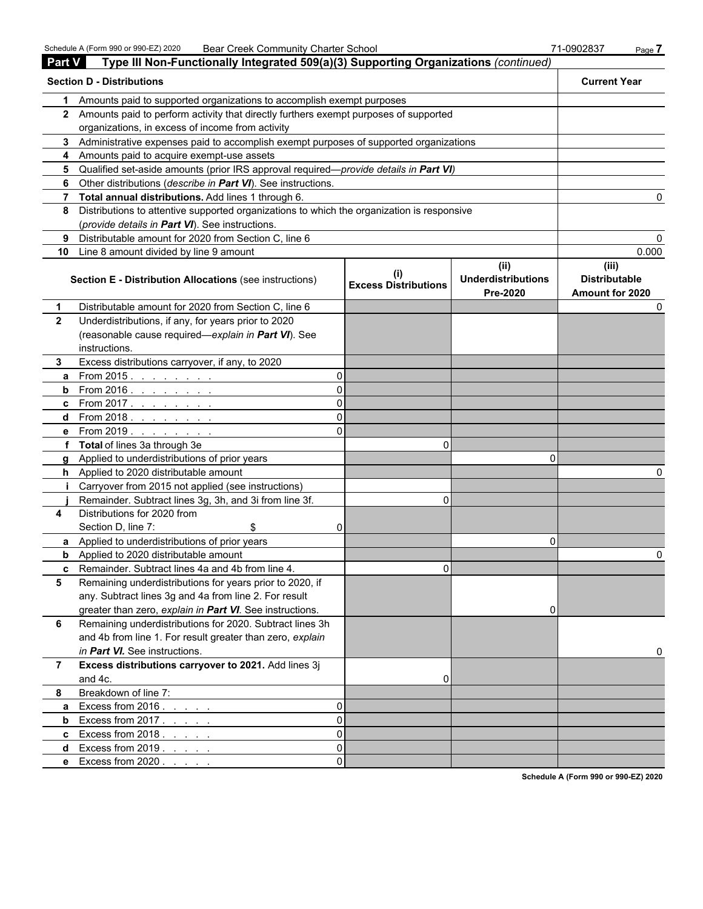| <b>Part V</b>  | Type III Non-Functionally Integrated 509(a)(3) Supporting Organizations (continued)          |          |                                             |                                       |                                         |
|----------------|----------------------------------------------------------------------------------------------|----------|---------------------------------------------|---------------------------------------|-----------------------------------------|
|                | <b>Section D - Distributions</b>                                                             |          |                                             |                                       | <b>Current Year</b>                     |
| 1              | Amounts paid to supported organizations to accomplish exempt purposes                        |          |                                             |                                       |                                         |
|                | 2 Amounts paid to perform activity that directly furthers exempt purposes of supported       |          |                                             |                                       |                                         |
|                | organizations, in excess of income from activity                                             |          |                                             |                                       |                                         |
|                | 3 Administrative expenses paid to accomplish exempt purposes of supported organizations      |          |                                             |                                       |                                         |
|                | 4 Amounts paid to acquire exempt-use assets                                                  |          |                                             |                                       |                                         |
| 5.             | Qualified set-aside amounts (prior IRS approval required—provide details in Part VI)         |          |                                             |                                       |                                         |
| 6              | Other distributions (describe in Part VI). See instructions.                                 |          |                                             |                                       |                                         |
|                | 7 Total annual distributions. Add lines 1 through 6.                                         |          |                                             |                                       |                                         |
|                | 8 Distributions to attentive supported organizations to which the organization is responsive |          |                                             |                                       |                                         |
|                | (provide details in Part VI). See instructions.                                              |          |                                             |                                       |                                         |
| 9              | Distributable amount for 2020 from Section C, line 6                                         |          |                                             |                                       |                                         |
| 10             | Line 8 amount divided by line 9 amount                                                       |          |                                             |                                       | 0.000                                   |
|                |                                                                                              |          |                                             | (ii)                                  | (iii)                                   |
|                | <b>Section E - Distribution Allocations (see instructions)</b>                               |          | $\sf ^{(l)}$<br><b>Excess Distributions</b> | <b>Underdistributions</b><br>Pre-2020 | <b>Distributable</b><br>Amount for 2020 |
| $\mathbf 1$    | Distributable amount for 2020 from Section C, line 6                                         |          |                                             |                                       |                                         |
| $\overline{2}$ | Underdistributions, if any, for years prior to 2020                                          |          |                                             |                                       |                                         |
|                | (reasonable cause required-explain in Part VI). See                                          |          |                                             |                                       |                                         |
|                | instructions.                                                                                |          |                                             |                                       |                                         |
| 3.             | Excess distributions carryover, if any, to 2020                                              |          |                                             |                                       |                                         |
| a              | From 2015. $\ldots$                                                                          | 0        |                                             |                                       |                                         |
|                | <b>b</b> From 2016. $\frac{1}{1}$                                                            | $\Omega$ |                                             |                                       |                                         |
|                | <b>c</b> From 2017.                                                                          | 0        |                                             |                                       |                                         |
|                | d From 2018.                                                                                 | 0        |                                             |                                       |                                         |
|                | <b>e</b> From 2019.                                                                          | ΩI       |                                             |                                       |                                         |
|                | f Total of lines 3a through 3e                                                               |          | 0                                           |                                       |                                         |
|                | g Applied to underdistributions of prior years                                               |          |                                             | n                                     |                                         |
|                | h Applied to 2020 distributable amount                                                       |          |                                             |                                       |                                         |
| Ť.             | Carryover from 2015 not applied (see instructions)                                           |          |                                             |                                       |                                         |
|                | Remainder. Subtract lines 3g, 3h, and 3i from line 3f.                                       |          | $\Omega$                                    |                                       |                                         |
| 4              | Distributions for 2020 from                                                                  |          |                                             |                                       |                                         |
|                | Section D, line 7:<br>\$                                                                     | 0        |                                             |                                       |                                         |
|                | a Applied to underdistributions of prior years                                               |          |                                             | 0                                     |                                         |
|                | <b>b</b> Applied to 2020 distributable amount                                                |          |                                             |                                       |                                         |
|                | <b>c</b> Remainder. Subtract lines 4a and 4b from line 4.                                    |          | U.                                          |                                       |                                         |
| 5              | Remaining underdistributions for years prior to 2020, if                                     |          |                                             |                                       |                                         |
|                | any. Subtract lines 3g and 4a from line 2. For result                                        |          |                                             |                                       |                                         |
|                | greater than zero, explain in Part VI. See instructions.                                     |          |                                             | 0                                     |                                         |
| 6              | Remaining underdistributions for 2020. Subtract lines 3h                                     |          |                                             |                                       |                                         |
|                | and 4b from line 1. For result greater than zero, explain                                    |          |                                             |                                       |                                         |
|                | in Part VI. See instructions.                                                                |          |                                             |                                       |                                         |
| $\overline{7}$ | Excess distributions carryover to 2021. Add lines 3j                                         |          |                                             |                                       |                                         |
|                | and 4c.                                                                                      |          | 0                                           |                                       |                                         |
| 8              | Breakdown of line 7:                                                                         |          |                                             |                                       |                                         |
| a              | Excess from $2016. \ldots$ .                                                                 | 0        |                                             |                                       |                                         |
| b              | Excess from $2017. \ldots$ .                                                                 | 0        |                                             |                                       |                                         |
|                | <b>c</b> Excess from $2018.$                                                                 | 0        |                                             |                                       |                                         |
| d              | Excess from $2019.7.7.7.7$                                                                   | 0        |                                             |                                       |                                         |
|                | e Excess from 2020                                                                           | 0        |                                             |                                       |                                         |

**Schedule A (Form 990 or 990-EZ) 2020**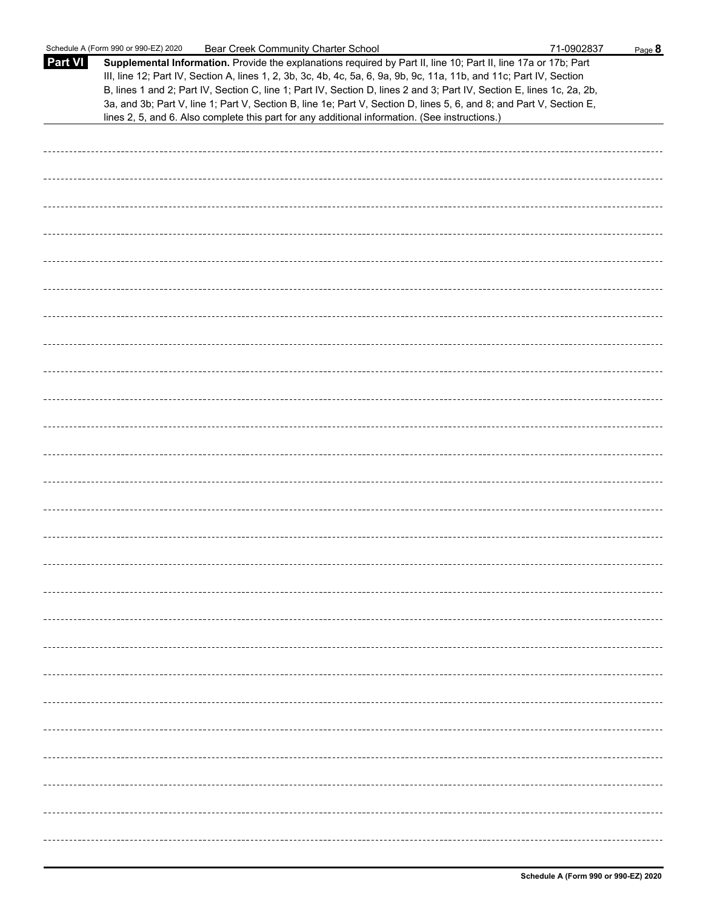|                | Schedule A (Form 990 or 990-EZ) 2020<br><b>Bear Creek Community Charter School</b>                                                                                                                                                                                                                                                                                                                                                                                                                                                                                                          | 71-0902837 | Page 8 |
|----------------|---------------------------------------------------------------------------------------------------------------------------------------------------------------------------------------------------------------------------------------------------------------------------------------------------------------------------------------------------------------------------------------------------------------------------------------------------------------------------------------------------------------------------------------------------------------------------------------------|------------|--------|
| <b>Part VI</b> | Supplemental Information. Provide the explanations required by Part II, line 10; Part II, line 17a or 17b; Part<br>III, line 12; Part IV, Section A, lines 1, 2, 3b, 3c, 4b, 4c, 5a, 6, 9a, 9b, 9c, 11a, 11b, and 11c; Part IV, Section<br>B, lines 1 and 2; Part IV, Section C, line 1; Part IV, Section D, lines 2 and 3; Part IV, Section E, lines 1c, 2a, 2b,<br>3a, and 3b; Part V, line 1; Part V, Section B, line 1e; Part V, Section D, lines 5, 6, and 8; and Part V, Section E,<br>lines 2, 5, and 6. Also complete this part for any additional information. (See instructions.) |            |        |
|                |                                                                                                                                                                                                                                                                                                                                                                                                                                                                                                                                                                                             |            |        |
|                |                                                                                                                                                                                                                                                                                                                                                                                                                                                                                                                                                                                             |            |        |
|                |                                                                                                                                                                                                                                                                                                                                                                                                                                                                                                                                                                                             |            |        |
|                |                                                                                                                                                                                                                                                                                                                                                                                                                                                                                                                                                                                             |            |        |
|                |                                                                                                                                                                                                                                                                                                                                                                                                                                                                                                                                                                                             |            |        |
|                |                                                                                                                                                                                                                                                                                                                                                                                                                                                                                                                                                                                             |            |        |
|                |                                                                                                                                                                                                                                                                                                                                                                                                                                                                                                                                                                                             |            |        |
|                |                                                                                                                                                                                                                                                                                                                                                                                                                                                                                                                                                                                             |            |        |
|                |                                                                                                                                                                                                                                                                                                                                                                                                                                                                                                                                                                                             |            |        |
|                |                                                                                                                                                                                                                                                                                                                                                                                                                                                                                                                                                                                             |            |        |
|                |                                                                                                                                                                                                                                                                                                                                                                                                                                                                                                                                                                                             |            |        |
|                |                                                                                                                                                                                                                                                                                                                                                                                                                                                                                                                                                                                             |            |        |
|                |                                                                                                                                                                                                                                                                                                                                                                                                                                                                                                                                                                                             |            |        |
|                |                                                                                                                                                                                                                                                                                                                                                                                                                                                                                                                                                                                             |            |        |
|                |                                                                                                                                                                                                                                                                                                                                                                                                                                                                                                                                                                                             |            |        |
|                |                                                                                                                                                                                                                                                                                                                                                                                                                                                                                                                                                                                             |            |        |
|                |                                                                                                                                                                                                                                                                                                                                                                                                                                                                                                                                                                                             |            |        |
|                |                                                                                                                                                                                                                                                                                                                                                                                                                                                                                                                                                                                             |            |        |
|                |                                                                                                                                                                                                                                                                                                                                                                                                                                                                                                                                                                                             |            |        |
|                |                                                                                                                                                                                                                                                                                                                                                                                                                                                                                                                                                                                             |            |        |
|                |                                                                                                                                                                                                                                                                                                                                                                                                                                                                                                                                                                                             |            |        |
|                |                                                                                                                                                                                                                                                                                                                                                                                                                                                                                                                                                                                             |            |        |
|                |                                                                                                                                                                                                                                                                                                                                                                                                                                                                                                                                                                                             |            |        |
|                |                                                                                                                                                                                                                                                                                                                                                                                                                                                                                                                                                                                             |            |        |
|                |                                                                                                                                                                                                                                                                                                                                                                                                                                                                                                                                                                                             |            |        |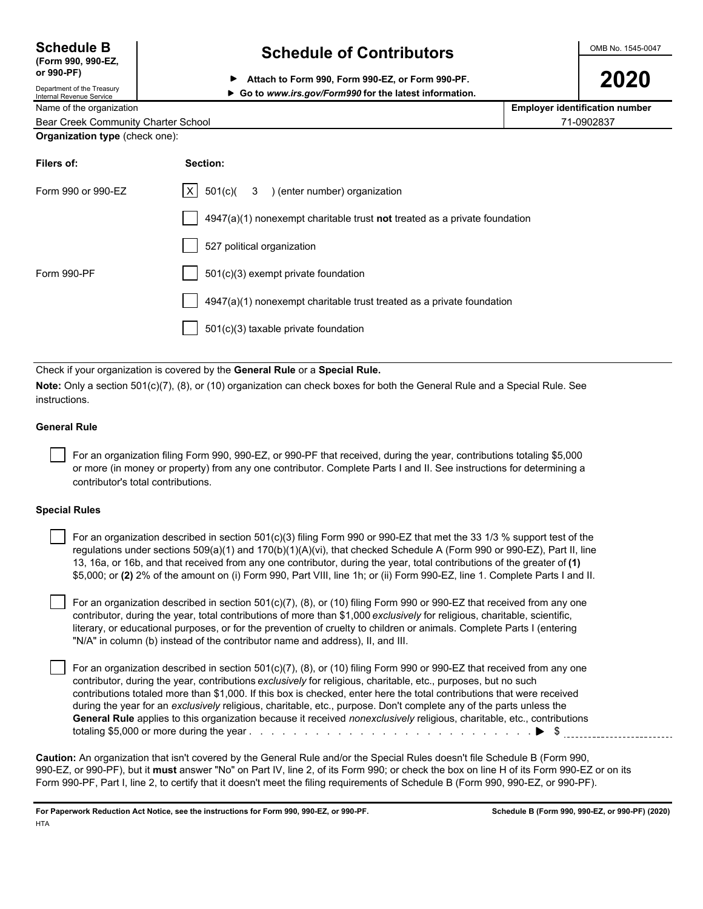| <b>Schedule B</b>  |  |
|--------------------|--|
| (Form 990, 990-EZ, |  |

Department of the Treasury

## **Schedule of Contributors**  $\frac{\text{OMB No. 1545-0047}}{}$

**2020 PP** Attach to Form 990, Form 990-EZ, or Form 990-PF.<br>Department of the Treasury

### ▶ Go to www.irs.gov/Form990 for the latest information.

| Name of the organization              | <b>Employer identification number</b> |
|---------------------------------------|---------------------------------------|
| Bear Creek Community Charter School   | 71-0902837                            |
| <b>Organization type (check one):</b> |                                       |

| Filers of:         | Section:                                                                  |
|--------------------|---------------------------------------------------------------------------|
| Form 990 or 990-FZ | $ X $ 501(c)( 3 ) (enter number) organization                             |
|                    | 4947(a)(1) nonexempt charitable trust not treated as a private foundation |
|                    | 527 political organization                                                |
| Form 990-PF        | 501(c)(3) exempt private foundation                                       |
|                    | 4947(a)(1) nonexempt charitable trust treated as a private foundation     |
|                    | $501(c)(3)$ taxable private foundation                                    |

Check if your organization is covered by the **General Rule** or a **Special Rule.**

**Note:** Only a section 501(c)(7), (8), or (10) organization can check boxes for both the General Rule and a Special Rule. See instructions.

#### **General Rule**

 For an organization filing Form 990, 990-EZ, or 990-PF that received, during the year, contributions totaling \$5,000 or more (in money or property) from any one contributor. Complete Parts I and II. See instructions for determining a contributor's total contributions.

#### **Special Rules**

 For an organization described in section 501(c)(3) filing Form 990 or 990-EZ that met the 33 1/3 % support test of the regulations under sections 509(a)(1) and 170(b)(1)(A)(vi), that checked Schedule A (Form 990 or 990-EZ), Part II, line 13, 16a, or 16b, and that received from any one contributor, during the year, total contributions of the greater of **(1)** \$5,000; or **(2)** 2% of the amount on (i) Form 990, Part VIII, line 1h; or (ii) Form 990-EZ, line 1. Complete Parts I and II.

 For an organization described in section 501(c)(7), (8), or (10) filing Form 990 or 990-EZ that received from any one contributor, during the year, total contributions of more than \$1,000 *exclusively* for religious, charitable, scientific, literary, or educational purposes, or for the prevention of cruelty to children or animals. Complete Parts I (entering "N/A" in column (b) instead of the contributor name and address), II, and III.

 For an organization described in section 501(c)(7), (8), or (10) filing Form 990 or 990-EZ that received from any one contributor, during the year, contributions *exclusively* for religious, charitable, etc., purposes, but no such contributions totaled more than \$1,000. If this box is checked, enter here the total contributions that were received during the year for an *exclusively* religious, charitable, etc., purpose. Don't complete any of the parts unless the **General Rule** applies to this organization because it received *nonexclusively* religious, charitable, etc., contributions totaling \$5,000 or more during the year . . . . . . . . . . . . . . . . . . . . . . . . . . . . . . . . . . . . . . . . . . . . . . . . . . . \$

**Caution:** An organization that isn't covered by the General Rule and/or the Special Rules doesn't file Schedule B (Form 990, 990-EZ, or 990-PF), but it **must** answer "No" on Part IV, line 2, of its Form 990; or check the box on line H of its Form 990-EZ or on its Form 990-PF, Part I, line 2, to certify that it doesn't meet the filing requirements of Schedule B (Form 990, 990-EZ, or 990-PF).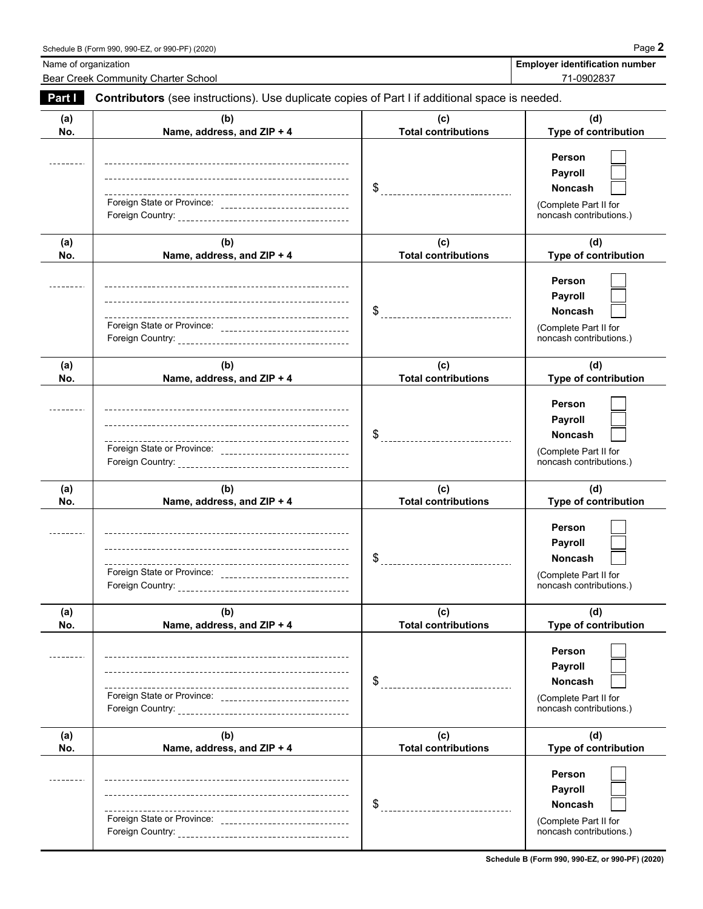Bear Creek Community Charter School 71-0902837

Name of organization<br> **Name of organization** 

| Part I     | Contributors (see instructions). Use duplicate copies of Part I if additional space is needed. |                                       |                                                                                                |  |  |
|------------|------------------------------------------------------------------------------------------------|---------------------------------------|------------------------------------------------------------------------------------------------|--|--|
| (a)<br>No. | (b)<br>Name, address, and ZIP + 4                                                              | (c)<br><b>Total contributions</b>     | (d)<br>Type of contribution                                                                    |  |  |
|            | Foreign State or Province: ________________________________                                    |                                       | Person<br>Payroll<br><b>Noncash</b><br>(Complete Part II for<br>noncash contributions.)        |  |  |
| (a)<br>No. | (b)<br>Name, address, and ZIP + 4                                                              | (c)<br><b>Total contributions</b>     | (d)<br>Type of contribution                                                                    |  |  |
|            | Foreign State or Province: _________________________________                                   | __________________________________    | Person<br>Payroll<br><b>Noncash</b><br>(Complete Part II for<br>noncash contributions.)        |  |  |
| (a)<br>No. | (b)<br>Name, address, and ZIP + 4                                                              | (c)<br><b>Total contributions</b>     | (d)<br>Type of contribution                                                                    |  |  |
|            | Foreign State or Province: __________________________________                                  | $\$\quad$                             | Person<br>Payroll<br><b>Noncash</b><br>(Complete Part II for<br>noncash contributions.)        |  |  |
| (a)<br>No. | (b)<br>Name, address, and ZIP + 4                                                              | (c)<br><b>Total contributions</b>     | (d)<br>Type of contribution                                                                    |  |  |
|            | Foreign State or Province: _______________________________                                     |                                       | Person<br><b>Payroll</b><br><b>Noncash</b><br>(Complete Part II for<br>noncash contributions.) |  |  |
| (a)<br>No. | (b)<br>Name, address, and ZIP + 4                                                              | (c)<br><b>Total contributions</b>     | (d)<br>Type of contribution                                                                    |  |  |
|            | ---------------------------------                                                              | \$                                    | Person<br>Payroll<br><b>Noncash</b><br>(Complete Part II for<br>noncash contributions.)        |  |  |
| (a)<br>No. | (b)<br>Name, address, and ZIP + 4                                                              | (c)<br><b>Total contributions</b>     | (d)<br><b>Type of contribution</b>                                                             |  |  |
|            |                                                                                                | \$<br>_______________________________ | <b>Person</b><br>Payroll<br><b>Noncash</b><br>(Complete Part II for<br>noncash contributions.) |  |  |

**Schedule B (Form 990, 990-EZ, or 990-PF) (2020)**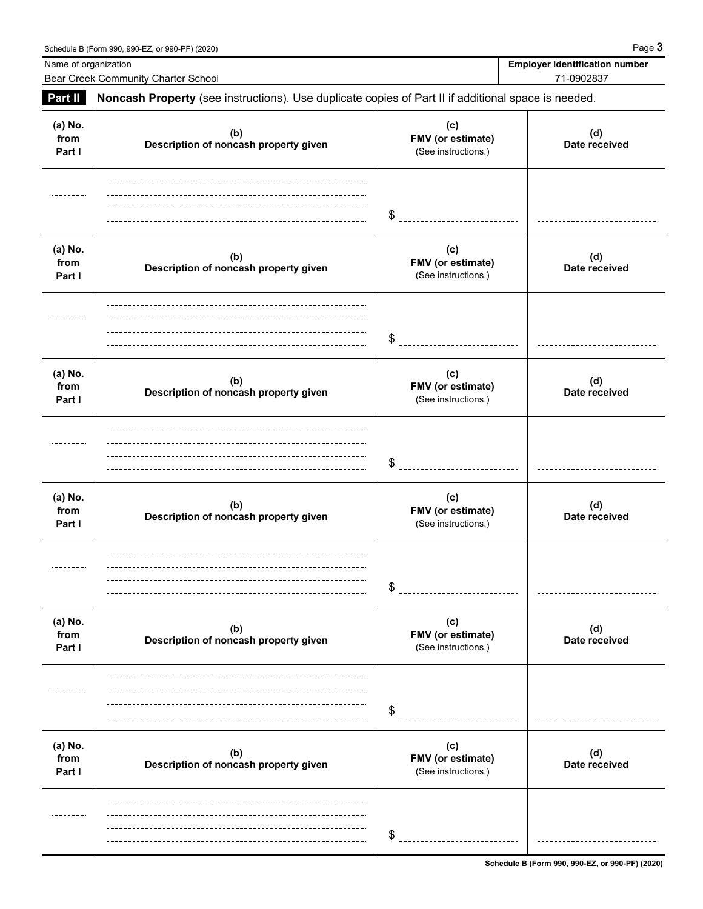|                           | Schedule B (Form 990, 990-EZ, or 990-PF) (2020)                                                     |                                                 | Page 3                                              |
|---------------------------|-----------------------------------------------------------------------------------------------------|-------------------------------------------------|-----------------------------------------------------|
| Name of organization      | Bear Creek Community Charter School                                                                 |                                                 | <b>Employer identification number</b><br>71-0902837 |
| Part II                   | Noncash Property (see instructions). Use duplicate copies of Part II if additional space is needed. |                                                 |                                                     |
| (a) No.<br>from<br>Part I | (b)<br>Description of noncash property given                                                        | (c)<br>FMV (or estimate)<br>(See instructions.) | (d)<br>Date received                                |
|                           |                                                                                                     | \$                                              |                                                     |
| (a) No.<br>from<br>Part I | (b)<br>Description of noncash property given                                                        | (c)<br>FMV (or estimate)<br>(See instructions.) | (d)<br>Date received                                |
|                           |                                                                                                     | \$                                              |                                                     |

**Prom Description of noncash property given FMV (or estimate)** and the mode received **Part I** (See instructions.)

**Prom Description of noncash property given FMV (or estimate)** and the mode received **Part I** (See instructions.)

\$

\$

 $$^{\circ}$ 

**(c)**

**(c)**

**(b)**

**(b)**

**(a) No.**

**(a) No.**

**(a) No.**

---------

**(a) No.**

------

| a) No.<br>from<br>Part I | (b)<br>Description of noncash property given | (c)<br><b>FMV</b> (or estimate)<br>(See instructions.) | (d)<br>Date received |
|--------------------------|----------------------------------------------|--------------------------------------------------------|----------------------|
|                          |                                              | \$                                                     |                      |
| a) No.<br>from<br>Part I | (b)<br>Description of noncash property given | (c)<br><b>FMV</b> (or estimate)<br>(See instructions.) | (d)<br>Date received |
|                          |                                              |                                                        |                      |

**(d)**

**(d)**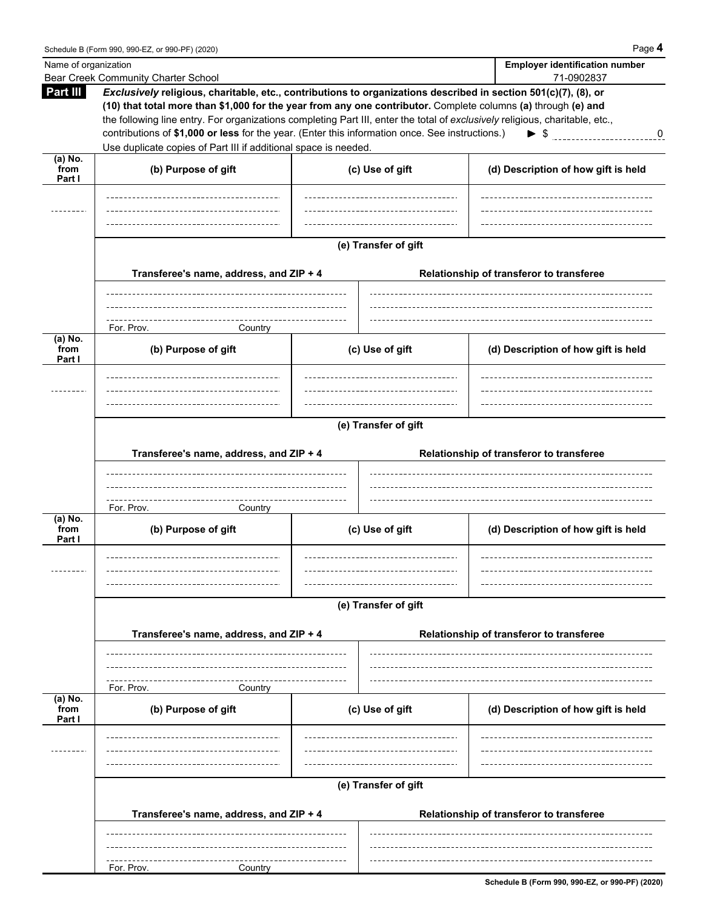$\overline{\phantom{a}}$ 

| Name of organization |                                                                                                                                                                                                                                  |                      | <b>Employer identification number</b>    |
|----------------------|----------------------------------------------------------------------------------------------------------------------------------------------------------------------------------------------------------------------------------|----------------------|------------------------------------------|
|                      | Bear Creek Community Charter School                                                                                                                                                                                              |                      | 71-0902837                               |
| Part III             | Exclusively religious, charitable, etc., contributions to organizations described in section 501(c)(7), (8), or<br>(10) that total more than \$1,000 for the year from any one contributor. Complete columns (a) through (e) and |                      |                                          |
|                      | the following line entry. For organizations completing Part III, enter the total of exclusively religious, charitable, etc.,                                                                                                     |                      |                                          |
|                      | contributions of \$1,000 or less for the year. (Enter this information once. See instructions.)                                                                                                                                  |                      | $\triangleright$ \$<br>0                 |
|                      | Use duplicate copies of Part III if additional space is needed.                                                                                                                                                                  |                      |                                          |
| (a) No.              |                                                                                                                                                                                                                                  |                      |                                          |
| from<br>Part I       | (b) Purpose of gift                                                                                                                                                                                                              | (c) Use of gift      | (d) Description of how gift is held      |
|                      |                                                                                                                                                                                                                                  |                      |                                          |
|                      |                                                                                                                                                                                                                                  |                      |                                          |
|                      |                                                                                                                                                                                                                                  |                      |                                          |
|                      |                                                                                                                                                                                                                                  |                      |                                          |
|                      |                                                                                                                                                                                                                                  | (e) Transfer of gift |                                          |
|                      |                                                                                                                                                                                                                                  |                      |                                          |
|                      | Transferee's name, address, and ZIP + 4                                                                                                                                                                                          |                      | Relationship of transferor to transferee |
|                      |                                                                                                                                                                                                                                  |                      |                                          |
|                      |                                                                                                                                                                                                                                  |                      |                                          |
|                      | For. Prov.<br>Country                                                                                                                                                                                                            |                      |                                          |
| $(a)$ No.            |                                                                                                                                                                                                                                  |                      |                                          |
| from<br>Part I       | (b) Purpose of gift                                                                                                                                                                                                              | (c) Use of gift      | (d) Description of how gift is held      |
|                      |                                                                                                                                                                                                                                  |                      |                                          |
|                      |                                                                                                                                                                                                                                  |                      |                                          |
|                      |                                                                                                                                                                                                                                  |                      |                                          |
|                      |                                                                                                                                                                                                                                  |                      |                                          |
|                      |                                                                                                                                                                                                                                  | (e) Transfer of gift |                                          |
|                      |                                                                                                                                                                                                                                  |                      |                                          |
|                      | Transferee's name, address, and ZIP + 4                                                                                                                                                                                          |                      | Relationship of transferor to transferee |
|                      |                                                                                                                                                                                                                                  |                      |                                          |
|                      |                                                                                                                                                                                                                                  |                      |                                          |
|                      | For. Prov.<br>Country                                                                                                                                                                                                            |                      |                                          |
| (a) No.              |                                                                                                                                                                                                                                  |                      |                                          |
| from<br>Part I       | (b) Purpose of gift                                                                                                                                                                                                              | (c) Use of gift      | (d) Description of how gift is held      |
|                      |                                                                                                                                                                                                                                  |                      |                                          |
|                      |                                                                                                                                                                                                                                  |                      |                                          |
|                      |                                                                                                                                                                                                                                  |                      |                                          |
|                      |                                                                                                                                                                                                                                  |                      |                                          |
|                      |                                                                                                                                                                                                                                  | (e) Transfer of gift |                                          |
|                      |                                                                                                                                                                                                                                  |                      |                                          |
|                      | Transferee's name, address, and ZIP + 4                                                                                                                                                                                          |                      | Relationship of transferor to transferee |
|                      |                                                                                                                                                                                                                                  |                      |                                          |
|                      |                                                                                                                                                                                                                                  |                      |                                          |
|                      | For. Prov.<br>Country                                                                                                                                                                                                            |                      |                                          |
| $(a)$ No.            |                                                                                                                                                                                                                                  |                      |                                          |
| from<br>Part I       | (b) Purpose of gift                                                                                                                                                                                                              | (c) Use of gift      | (d) Description of how gift is held      |
|                      |                                                                                                                                                                                                                                  |                      |                                          |
|                      |                                                                                                                                                                                                                                  |                      |                                          |
|                      |                                                                                                                                                                                                                                  |                      |                                          |
|                      |                                                                                                                                                                                                                                  |                      |                                          |
|                      |                                                                                                                                                                                                                                  | (e) Transfer of gift |                                          |
|                      |                                                                                                                                                                                                                                  |                      |                                          |
|                      | Transferee's name, address, and ZIP + 4                                                                                                                                                                                          |                      | Relationship of transferor to transferee |
|                      |                                                                                                                                                                                                                                  |                      |                                          |
|                      |                                                                                                                                                                                                                                  |                      |                                          |
|                      | For. Prov.<br>Country                                                                                                                                                                                                            |                      |                                          |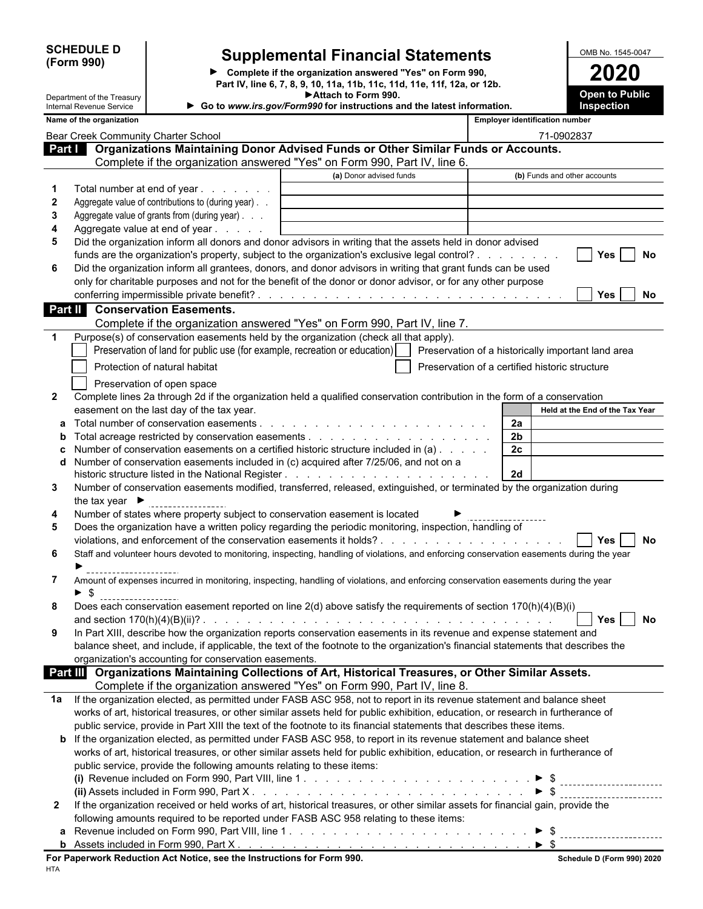| <b>SCHEDULE D</b> |  |
|-------------------|--|
| (Form 990)        |  |

 $\overline{\phantom{a}}$ 

 $\overline{\phantom{a}}$ 

 $\overline{\phantom{a}}$ 

### **Supplemental Financial Statements OMB No. 1545-0047**

**Complete if the organization answered "Yes" on Form 990, 2020 Part IV, line 6, 7, 8, 9, 10, 11a, 11b, 11c, 11d, 11e, 11f, 12a, or 12b. Attach to Form 990.**

**Open to Public**

|              | Department of the Treasury<br>Internal Revenue Service                                                                                                  | ► Attach to Form 990.<br>Go to www.irs.gov/Form990 for instructions and the latest information. |                                                    | <b>Open to Public</b><br><b>Inspection</b> |
|--------------|---------------------------------------------------------------------------------------------------------------------------------------------------------|-------------------------------------------------------------------------------------------------|----------------------------------------------------|--------------------------------------------|
|              | Name of the organization                                                                                                                                |                                                                                                 | <b>Employer identification number</b>              |                                            |
|              | Bear Creek Community Charter School                                                                                                                     |                                                                                                 |                                                    | 71-0902837                                 |
|              | Part   Organizations Maintaining Donor Advised Funds or Other Similar Funds or Accounts.                                                                |                                                                                                 |                                                    |                                            |
|              | Complete if the organization answered "Yes" on Form 990, Part IV, line 6.                                                                               |                                                                                                 |                                                    |                                            |
|              |                                                                                                                                                         | (a) Donor advised funds                                                                         |                                                    | (b) Funds and other accounts               |
|              | Total number at end of year                                                                                                                             |                                                                                                 |                                                    |                                            |
| $\mathbf{2}$ | Aggregate value of contributions to (during year).                                                                                                      |                                                                                                 |                                                    |                                            |
| 3            | Aggregate value of grants from (during year)                                                                                                            |                                                                                                 |                                                    |                                            |
| 4            | Aggregate value at end of year                                                                                                                          |                                                                                                 |                                                    |                                            |
| 5            | Did the organization inform all donors and donor advisors in writing that the assets held in donor advised                                              |                                                                                                 |                                                    |                                            |
|              | funds are the organization's property, subject to the organization's exclusive legal control?                                                           |                                                                                                 |                                                    | Yes<br>No                                  |
| 6            | Did the organization inform all grantees, donors, and donor advisors in writing that grant funds can be used                                            |                                                                                                 |                                                    |                                            |
|              | only for charitable purposes and not for the benefit of the donor or donor advisor, or for any other purpose                                            |                                                                                                 |                                                    |                                            |
|              |                                                                                                                                                         |                                                                                                 |                                                    | <b>Yes</b><br>No.                          |
|              | <b>Conservation Easements.</b><br>Part II                                                                                                               |                                                                                                 |                                                    |                                            |
|              | Complete if the organization answered "Yes" on Form 990, Part IV, line 7.                                                                               |                                                                                                 |                                                    |                                            |
| $\mathbf 1$  | Purpose(s) of conservation easements held by the organization (check all that apply).                                                                   |                                                                                                 |                                                    |                                            |
|              | Preservation of land for public use (for example, recreation or education)                                                                              |                                                                                                 | Preservation of a historically important land area |                                            |
|              | Protection of natural habitat                                                                                                                           |                                                                                                 | Preservation of a certified historic structure     |                                            |
|              |                                                                                                                                                         |                                                                                                 |                                                    |                                            |
| $\mathbf{2}$ | Preservation of open space<br>Complete lines 2a through 2d if the organization held a qualified conservation contribution in the form of a conservation |                                                                                                 |                                                    |                                            |
|              | easement on the last day of the tax year.                                                                                                               |                                                                                                 |                                                    | Held at the End of the Tax Year            |
|              | Total number of conservation easements.                                                                                                                 |                                                                                                 | 2a                                                 |                                            |
| b            |                                                                                                                                                         |                                                                                                 | 2 <sub>b</sub>                                     |                                            |
|              | Number of conservation easements on a certified historic structure included in (a)                                                                      |                                                                                                 | 2c                                                 |                                            |
| d            | Number of conservation easements included in (c) acquired after 7/25/06, and not on a                                                                   |                                                                                                 |                                                    |                                            |
|              |                                                                                                                                                         |                                                                                                 | 2d                                                 |                                            |
| 3            | Number of conservation easements modified, transferred, released, extinguished, or terminated by the organization during                                |                                                                                                 |                                                    |                                            |
|              | the tax year $\blacktriangleright$                                                                                                                      |                                                                                                 |                                                    |                                            |
| 4            | Number of states where property subject to conservation easement is located                                                                             |                                                                                                 |                                                    |                                            |
| 5            | Does the organization have a written policy regarding the periodic monitoring, inspection, handling of                                                  |                                                                                                 |                                                    |                                            |
|              |                                                                                                                                                         |                                                                                                 |                                                    | No<br><b>Yes</b>                           |
| 6            | Staff and volunteer hours devoted to monitoring, inspecting, handling of violations, and enforcing conservation easements during the year               |                                                                                                 |                                                    |                                            |
|              |                                                                                                                                                         |                                                                                                 |                                                    |                                            |
| 7            | Amount of expenses incurred in monitoring, inspecting, handling of violations, and enforcing conservation easements during the year                     |                                                                                                 |                                                    |                                            |
|              | - \$                                                                                                                                                    |                                                                                                 |                                                    |                                            |
|              | Does each conservation easement reported on line 2(d) above satisfy the requirements of section 170(h)(4)(B)(i)                                         |                                                                                                 |                                                    |                                            |
|              |                                                                                                                                                         |                                                                                                 |                                                    | $Yes \mid$<br>No                           |
| 9            | In Part XIII, describe how the organization reports conservation easements in its revenue and expense statement and                                     |                                                                                                 |                                                    |                                            |
|              | balance sheet, and include, if applicable, the text of the footnote to the organization's financial statements that describes the                       |                                                                                                 |                                                    |                                            |
|              | organization's accounting for conservation easements.                                                                                                   |                                                                                                 |                                                    |                                            |
|              | Part III Organizations Maintaining Collections of Art, Historical Treasures, or Other Similar Assets.                                                   |                                                                                                 |                                                    |                                            |
|              | Complete if the organization answered "Yes" on Form 990, Part IV, line 8.                                                                               |                                                                                                 |                                                    |                                            |
| 1a           | If the organization elected, as permitted under FASB ASC 958, not to report in its revenue statement and balance sheet                                  |                                                                                                 |                                                    |                                            |
|              | works of art, historical treasures, or other similar assets held for public exhibition, education, or research in furtherance of                        |                                                                                                 |                                                    |                                            |
|              | public service, provide in Part XIII the text of the footnote to its financial statements that describes these items.                                   |                                                                                                 |                                                    |                                            |
|              | <b>b</b> If the organization elected, as permitted under FASB ASC 958, to report in its revenue statement and balance sheet                             |                                                                                                 |                                                    |                                            |
|              | works of art, historical treasures, or other similar assets held for public exhibition, education, or research in furtherance of                        |                                                                                                 |                                                    |                                            |
|              | public service, provide the following amounts relating to these items:                                                                                  |                                                                                                 |                                                    |                                            |
|              |                                                                                                                                                         |                                                                                                 |                                                    |                                            |
|              | (ii) Assets included in Form 990, Part X. $\ldots$ , $\ldots$ , $\ldots$ , $\ldots$ , $\ldots$ , $\ldots$ , $\ldots$ , $\ldots$ , $\ldots$ , $\ldots$   |                                                                                                 | $\blacktriangleright$ \$                           |                                            |
| $\mathbf{2}$ | If the organization received or held works of art, historical treasures, or other similar assets for financial gain, provide the                        |                                                                                                 |                                                    |                                            |
|              | following amounts required to be reported under FASB ASC 958 relating to these items:                                                                   |                                                                                                 |                                                    |                                            |
|              |                                                                                                                                                         |                                                                                                 |                                                    |                                            |
|              |                                                                                                                                                         |                                                                                                 |                                                    |                                            |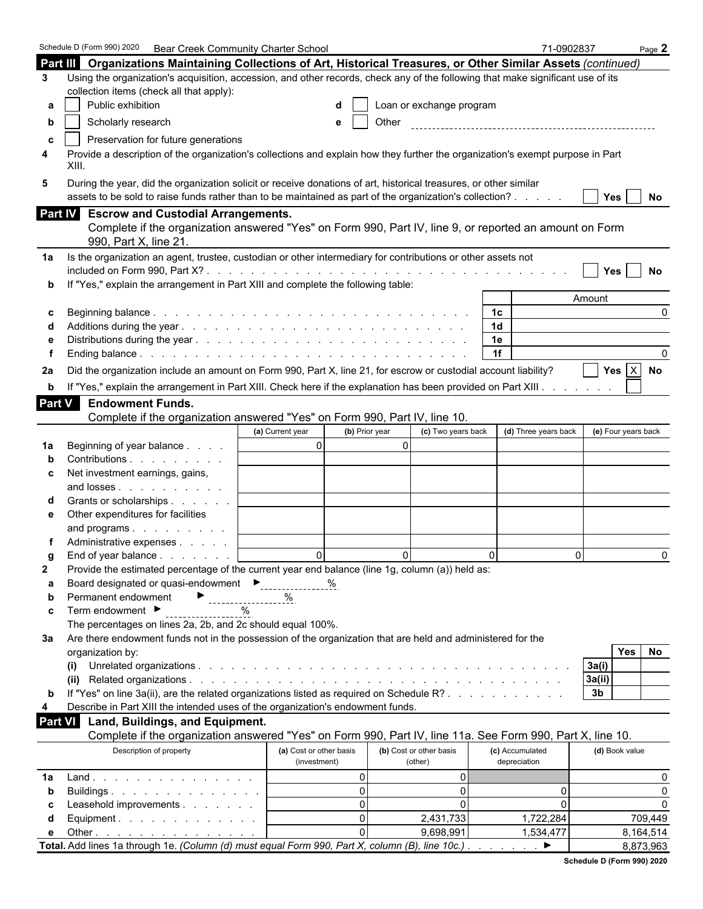|               | Schedule D (Form 990) 2020<br><b>Bear Creek Community Charter School</b>                                                                                                                                                     |                                    |                          |                | 71-0902837           |                     | Page $2$  |
|---------------|------------------------------------------------------------------------------------------------------------------------------------------------------------------------------------------------------------------------------|------------------------------------|--------------------------|----------------|----------------------|---------------------|-----------|
|               | Part III Organizations Maintaining Collections of Art, Historical Treasures, or Other Similar Assets (continued)                                                                                                             |                                    |                          |                |                      |                     |           |
| 3             | Using the organization's acquisition, accession, and other records, check any of the following that make significant use of its                                                                                              |                                    |                          |                |                      |                     |           |
|               | collection items (check all that apply):                                                                                                                                                                                     |                                    |                          |                |                      |                     |           |
| а             | Public exhibition                                                                                                                                                                                                            |                                    | Loan or exchange program |                |                      |                     |           |
| b             | Scholarly research                                                                                                                                                                                                           | e                                  | Other                    |                |                      |                     |           |
| c             | Preservation for future generations                                                                                                                                                                                          |                                    |                          |                |                      |                     |           |
| 4             | Provide a description of the organization's collections and explain how they further the organization's exempt purpose in Part<br>XIII.                                                                                      |                                    |                          |                |                      |                     |           |
| 5             | During the year, did the organization solicit or receive donations of art, historical treasures, or other similar<br>assets to be sold to raise funds rather than to be maintained as part of the organization's collection? |                                    |                          |                |                      | Yes                 | No        |
|               | Part IV Escrow and Custodial Arrangements.                                                                                                                                                                                   |                                    |                          |                |                      |                     |           |
|               | Complete if the organization answered "Yes" on Form 990, Part IV, line 9, or reported an amount on Form<br>990, Part X, line 21.                                                                                             |                                    |                          |                |                      |                     |           |
| 1a            | Is the organization an agent, trustee, custodian or other intermediary for contributions or other assets not                                                                                                                 |                                    |                          |                |                      |                     |           |
|               |                                                                                                                                                                                                                              |                                    |                          |                |                      | Yes                 | No        |
|               | If "Yes," explain the arrangement in Part XIII and complete the following table:                                                                                                                                             |                                    |                          |                |                      |                     |           |
|               |                                                                                                                                                                                                                              |                                    |                          |                |                      | Amount              |           |
| С             |                                                                                                                                                                                                                              |                                    |                          | 1 <sup>c</sup> |                      |                     | $\Omega$  |
|               |                                                                                                                                                                                                                              |                                    |                          | 1 <sub>d</sub> |                      |                     |           |
|               |                                                                                                                                                                                                                              |                                    |                          | 1e<br>1f       |                      |                     |           |
|               |                                                                                                                                                                                                                              |                                    |                          |                |                      |                     |           |
| 2a            | Did the organization include an amount on Form 990, Part X, line 21, for escrow or custodial account liability?                                                                                                              |                                    |                          |                |                      | Yes $X$ No          |           |
| b             | If "Yes," explain the arrangement in Part XIII. Check here if the explanation has been provided on Part XIII.                                                                                                                |                                    |                          |                |                      |                     |           |
| <b>Part V</b> | <b>Endowment Funds.</b>                                                                                                                                                                                                      |                                    |                          |                |                      |                     |           |
|               | Complete if the organization answered "Yes" on Form 990, Part IV, line 10.                                                                                                                                                   |                                    |                          |                |                      |                     |           |
|               |                                                                                                                                                                                                                              | (a) Current year<br>(b) Prior year | (c) Two years back       |                | (d) Three years back | (e) Four years back |           |
| 1a            | Beginning of year balance                                                                                                                                                                                                    | $\overline{0}$                     | $\Omega$                 |                |                      |                     |           |
|               | Contributions                                                                                                                                                                                                                |                                    |                          |                |                      |                     |           |
| c             | Net investment earnings, gains,                                                                                                                                                                                              |                                    |                          |                |                      |                     |           |
|               | and losses<br>Grants or scholarships                                                                                                                                                                                         |                                    |                          |                |                      |                     |           |
| е             | Other expenditures for facilities                                                                                                                                                                                            |                                    |                          |                |                      |                     |           |
|               | and programs                                                                                                                                                                                                                 |                                    |                          |                |                      |                     |           |
|               | Administrative expenses                                                                                                                                                                                                      |                                    |                          |                |                      |                     |           |
|               | End of year balance                                                                                                                                                                                                          | $\Omega$                           | $\Omega$                 | $\Omega$       | $\Omega$             |                     | $\Omega$  |
| 2             | Provide the estimated percentage of the current year end balance (line 1g, column (a)) held as:                                                                                                                              |                                    |                          |                |                      |                     |           |
| а             | Board designated or quasi-endowment<br>Figures 2011                                                                                                                                                                          | %                                  |                          |                |                      |                     |           |
| b             | Permanent endowment<br>------------------                                                                                                                                                                                    | %                                  |                          |                |                      |                     |           |
| c             | Term endowment ▶<br>$\%$                                                                                                                                                                                                     |                                    |                          |                |                      |                     |           |
|               | The percentages on lines 2a, 2b, and 2c should equal 100%.                                                                                                                                                                   |                                    |                          |                |                      |                     |           |
| За            | Are there endowment funds not in the possession of the organization that are held and administered for the                                                                                                                   |                                    |                          |                |                      |                     |           |
|               | organization by:                                                                                                                                                                                                             |                                    |                          |                |                      | <b>Yes</b>          | No        |
|               | (i)                                                                                                                                                                                                                          |                                    |                          |                |                      | 3a(i)               |           |
|               |                                                                                                                                                                                                                              |                                    |                          |                |                      | 3a(ii)              |           |
| b             | If "Yes" on line 3a(ii), are the related organizations listed as required on Schedule R?                                                                                                                                     |                                    |                          |                |                      | 3 <sub>b</sub>      |           |
| 4             | Describe in Part XIII the intended uses of the organization's endowment funds.                                                                                                                                               |                                    |                          |                |                      |                     |           |
| Part VI       | Land, Buildings, and Equipment.<br>Complete if the organization answered "Yes" on Form 990, Part IV, line 11a. See Form 990, Part X, line 10.                                                                                |                                    |                          |                |                      |                     |           |
|               | Description of property                                                                                                                                                                                                      | (a) Cost or other basis            | (b) Cost or other basis  |                | (c) Accumulated      | (d) Book value      |           |
|               |                                                                                                                                                                                                                              | (investment)                       | (other)                  |                | depreciation         |                     |           |
| 1a            | Land.                                                                                                                                                                                                                        | $\Omega$                           | 0                        |                |                      |                     | 0         |
| b             | Buildings                                                                                                                                                                                                                    | $\Omega$                           | $\overline{0}$           |                | 0                    |                     | $\Omega$  |
|               | Leasehold improvements                                                                                                                                                                                                       | $\Omega$                           | $\Omega$                 |                | 0                    |                     | $\Omega$  |
| d             | Equipment.                                                                                                                                                                                                                   | $\Omega$                           | 2,431,733                |                | 1,722,284            |                     | 709,449   |
| е             | Other $\ldots$ $\ldots$ $\ldots$ $\ldots$ $\ldots$ $\ldots$                                                                                                                                                                  | $\Omega$                           | 9,698,991                |                | 1,534,477            |                     | 8,164,514 |
|               | Total. Add lines 1a through 1e. (Column (d) must equal Form 990, Part X, column (B), line 10c.).                                                                                                                             |                                    |                          |                | ▶                    |                     | 8,873,963 |

| Schedule D (Form 990) 2020 |  |
|----------------------------|--|
|                            |  |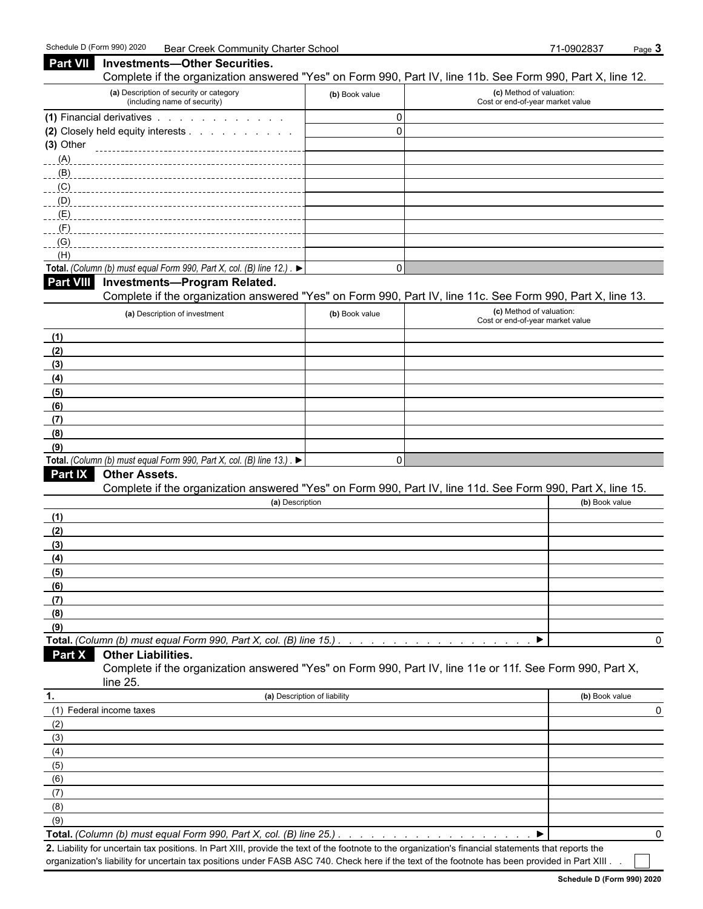| Part VII         | <b>Investments-Other Securities.</b>                                                                                 |                              |                                                              |                |
|------------------|----------------------------------------------------------------------------------------------------------------------|------------------------------|--------------------------------------------------------------|----------------|
|                  | Complete if the organization answered "Yes" on Form 990, Part IV, line 11b. See Form 990, Part X, line 12.           |                              |                                                              |                |
|                  | (a) Description of security or category<br>(including name of security)                                              | (b) Book value               | (c) Method of valuation:<br>Cost or end-of-year market value |                |
|                  | (1) Financial derivatives                                                                                            | $\mathbf 0$                  |                                                              |                |
|                  | (2) Closely held equity interests                                                                                    | $\mathbf 0$                  |                                                              |                |
| (3) Other        |                                                                                                                      |                              |                                                              |                |
| (A)              |                                                                                                                      |                              |                                                              |                |
| (B)              |                                                                                                                      |                              |                                                              |                |
| (C)              |                                                                                                                      |                              |                                                              |                |
| (D)              |                                                                                                                      |                              |                                                              |                |
| (E)<br>(F)       |                                                                                                                      |                              |                                                              |                |
| (G)              |                                                                                                                      |                              |                                                              |                |
| (H)              |                                                                                                                      |                              |                                                              |                |
|                  | Total. (Column (b) must equal Form 990, Part X, col. (B) line 12.). $\blacktriangleright$                            | $\Omega$                     |                                                              |                |
| <b>Part VIII</b> | <b>Investments-Program Related.</b>                                                                                  |                              |                                                              |                |
|                  | Complete if the organization answered "Yes" on Form 990, Part IV, line 11c. See Form 990, Part X, line 13.           |                              |                                                              |                |
|                  | (a) Description of investment                                                                                        | (b) Book value               | (c) Method of valuation:                                     |                |
|                  |                                                                                                                      |                              | Cost or end-of-year market value                             |                |
| (1)              |                                                                                                                      |                              |                                                              |                |
| (2)              |                                                                                                                      |                              |                                                              |                |
| (3)              |                                                                                                                      |                              |                                                              |                |
| (4)              |                                                                                                                      |                              |                                                              |                |
| (5)              |                                                                                                                      |                              |                                                              |                |
| (6)              |                                                                                                                      |                              |                                                              |                |
| (7)              |                                                                                                                      |                              |                                                              |                |
| (8)<br>(9)       |                                                                                                                      |                              |                                                              |                |
|                  | Total. (Column (b) must equal Form 990, Part X, col. (B) line 13.). $\blacktriangleright$                            | $\mathbf 0$                  |                                                              |                |
| Part IX          | <b>Other Assets.</b>                                                                                                 |                              |                                                              |                |
|                  | Complete if the organization answered "Yes" on Form 990, Part IV, line 11d. See Form 990, Part X, line 15.           |                              |                                                              |                |
|                  | (a) Description                                                                                                      |                              |                                                              | (b) Book value |
| (1)              |                                                                                                                      |                              |                                                              |                |
| (2)              |                                                                                                                      |                              |                                                              |                |
| (3)              |                                                                                                                      |                              |                                                              |                |
| (4)              |                                                                                                                      |                              |                                                              |                |
| (5)              |                                                                                                                      |                              |                                                              |                |
| (6)              |                                                                                                                      |                              |                                                              |                |
| (7)              |                                                                                                                      |                              |                                                              |                |
| (8)              |                                                                                                                      |                              |                                                              |                |
| (9)              |                                                                                                                      |                              |                                                              |                |
|                  | Total. (Column (b) must equal Form 990, Part X, col. (B) line 15.)                                                   |                              |                                                              |                |
| Part X           | <b>Other Liabilities.</b>                                                                                            |                              |                                                              |                |
|                  | Complete if the organization answered "Yes" on Form 990, Part IV, line 11e or 11f. See Form 990, Part X,<br>line 25. |                              |                                                              |                |
| 1.               |                                                                                                                      | (a) Description of liability |                                                              | (b) Book value |
|                  | (1) Federal income taxes                                                                                             |                              |                                                              |                |
| (2)              |                                                                                                                      |                              |                                                              |                |
| (3)              |                                                                                                                      |                              |                                                              |                |
| (4)              |                                                                                                                      |                              |                                                              |                |
| (5)              |                                                                                                                      |                              |                                                              |                |
| (6)              |                                                                                                                      |                              |                                                              |                |
| (7)              |                                                                                                                      |                              |                                                              |                |
| (8)              |                                                                                                                      |                              |                                                              |                |
| (9)              |                                                                                                                      |                              |                                                              |                |
|                  | Total. (Column (b) must equal Form 990, Part X, col. (B) line 25.)                                                   |                              |                                                              |                |

**2.** Liability for uncertain tax positions. In Part XIII, provide the text of the footnote to the organization's financial statements that reports the organization's liability for uncertain tax positions under FASB ASC 740. Check here if the text of the footnote has been provided in Part XIII . .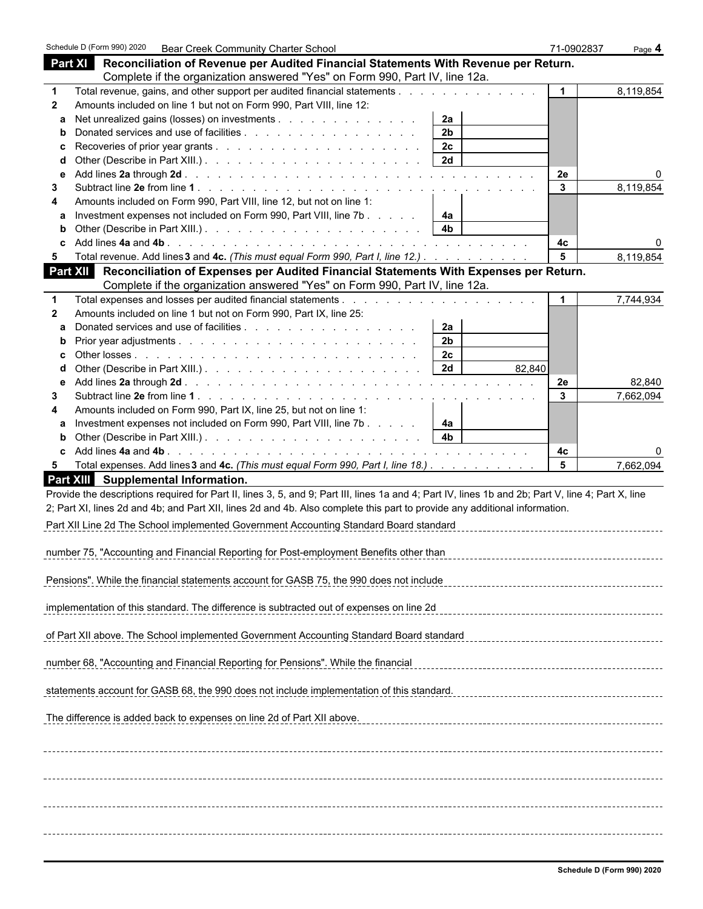|              |                                     | Schedule D (Form 990) 2020  Bear Creek Community Charter School                   |                                                                                                                                                                            |                |        | 71-0902837           | Page 4    |
|--------------|-------------------------------------|-----------------------------------------------------------------------------------|----------------------------------------------------------------------------------------------------------------------------------------------------------------------------|----------------|--------|----------------------|-----------|
|              |                                     |                                                                                   | Part XI Reconciliation of Revenue per Audited Financial Statements With Revenue per Return.<br>Complete if the organization answered "Yes" on Form 990, Part IV, line 12a. |                |        |                      |           |
| 1            |                                     |                                                                                   | Total revenue, gains, and other support per audited financial statements                                                                                                   |                |        | $\blacktriangleleft$ | 8,119,854 |
| $\mathbf{2}$ |                                     | Amounts included on line 1 but not on Form 990, Part VIII, line 12:               |                                                                                                                                                                            |                |        |                      |           |
|              |                                     | Net unrealized gains (losses) on investments                                      |                                                                                                                                                                            | 2a             |        |                      |           |
| b            |                                     |                                                                                   |                                                                                                                                                                            | 2 <sub>b</sub> |        |                      |           |
| c            |                                     |                                                                                   |                                                                                                                                                                            | 2c             |        |                      |           |
| d            |                                     |                                                                                   |                                                                                                                                                                            | 2d             |        |                      |           |
|              |                                     |                                                                                   |                                                                                                                                                                            |                |        | 2e                   |           |
| 3            |                                     |                                                                                   |                                                                                                                                                                            |                |        | 3                    | 8,119,854 |
|              |                                     | Amounts included on Form 990, Part VIII, line 12, but not on line 1:              |                                                                                                                                                                            |                |        |                      |           |
|              |                                     |                                                                                   | Investment expenses not included on Form 990, Part VIII, line 7b                                                                                                           | 4а             |        |                      |           |
|              |                                     |                                                                                   |                                                                                                                                                                            | 4b             |        |                      |           |
|              |                                     |                                                                                   |                                                                                                                                                                            |                |        | 4с                   |           |
| 5            |                                     |                                                                                   | Total revenue. Add lines 3 and 4c. (This must equal Form 990, Part I, line 12.)                                                                                            |                |        | 5                    | 8,119,854 |
|              |                                     |                                                                                   | Part XII Reconciliation of Expenses per Audited Financial Statements With Expenses per Return.                                                                             |                |        |                      |           |
|              |                                     |                                                                                   | Complete if the organization answered "Yes" on Form 990, Part IV, line 12a.                                                                                                |                |        |                      |           |
| 1            |                                     |                                                                                   |                                                                                                                                                                            |                |        | $\mathbf{1}$         | 7,744,934 |
| $\mathbf{2}$ |                                     | Amounts included on line 1 but not on Form 990, Part IX, line 25:                 |                                                                                                                                                                            |                |        |                      |           |
| a            |                                     |                                                                                   |                                                                                                                                                                            | 2a             |        |                      |           |
| b            |                                     |                                                                                   |                                                                                                                                                                            | 2 <sub>b</sub> |        |                      |           |
|              |                                     |                                                                                   |                                                                                                                                                                            | 2c             |        |                      |           |
|              |                                     |                                                                                   |                                                                                                                                                                            | 2d             | 82,840 |                      |           |
| е            |                                     |                                                                                   |                                                                                                                                                                            |                |        | 2e<br>$\mathbf{3}$   | 82,840    |
| 3            |                                     | Amounts included on Form 990, Part IX, line 25, but not on line 1:                |                                                                                                                                                                            |                |        |                      | 7,662,094 |
|              |                                     |                                                                                   | Investment expenses not included on Form 990, Part VIII, line 7b                                                                                                           | 4а             |        |                      |           |
| b            |                                     |                                                                                   |                                                                                                                                                                            | 4 <sub>b</sub> |        |                      |           |
|              |                                     |                                                                                   |                                                                                                                                                                            |                |        | 4с                   |           |
| 5            |                                     |                                                                                   | Total expenses. Add lines 3 and 4c. (This must equal Form 990, Part I, line 18.)                                                                                           |                |        | $5\phantom{1}$       | 7,662,094 |
|              | Part XIII Supplemental Information. |                                                                                   |                                                                                                                                                                            |                |        |                      |           |
|              |                                     |                                                                                   | Provide the descriptions required for Part II, lines 3, 5, and 9; Part III, lines 1a and 4; Part IV, lines 1b and 2b; Part V, line 4; Part X, line                         |                |        |                      |           |
|              |                                     |                                                                                   | 2; Part XI, lines 2d and 4b; and Part XII, lines 2d and 4b. Also complete this part to provide any additional information.                                                 |                |        |                      |           |
|              |                                     |                                                                                   | Part XII Line 2d The School implemented Government Accounting Standard Board standard                                                                                      |                |        |                      |           |
|              |                                     |                                                                                   |                                                                                                                                                                            |                |        |                      |           |
|              |                                     |                                                                                   | number 75, "Accounting and Financial Reporting for Post-employment Benefits other than                                                                                     |                |        |                      |           |
|              |                                     |                                                                                   |                                                                                                                                                                            |                |        |                      |           |
|              |                                     |                                                                                   | Pensions". While the financial statements account for GASB 75, the 990 does not include                                                                                    |                |        |                      |           |
|              |                                     |                                                                                   |                                                                                                                                                                            |                |        |                      |           |
|              |                                     |                                                                                   | implementation of this standard. The difference is subtracted out of expenses on line 2d                                                                                   |                |        |                      |           |
|              |                                     |                                                                                   | of Part XII above. The School implemented Government Accounting Standard Board standard                                                                                    |                |        |                      |           |
|              |                                     |                                                                                   |                                                                                                                                                                            |                |        |                      |           |
|              |                                     | number 68, "Accounting and Financial Reporting for Pensions". While the financial |                                                                                                                                                                            |                |        |                      |           |
|              |                                     |                                                                                   | statements account for GASB 68, the 990 does not include implementation of this standard.                                                                                  |                |        |                      |           |
|              |                                     |                                                                                   |                                                                                                                                                                            |                |        |                      |           |
|              |                                     | The difference is added back to expenses on line 2d of Part XII above.            |                                                                                                                                                                            |                |        |                      |           |
|              |                                     |                                                                                   |                                                                                                                                                                            |                |        |                      |           |
|              |                                     |                                                                                   |                                                                                                                                                                            |                |        |                      |           |
|              |                                     |                                                                                   |                                                                                                                                                                            |                |        |                      |           |
|              |                                     |                                                                                   |                                                                                                                                                                            |                |        |                      |           |
|              |                                     |                                                                                   |                                                                                                                                                                            |                |        |                      |           |
|              |                                     |                                                                                   |                                                                                                                                                                            |                |        |                      |           |
|              |                                     |                                                                                   |                                                                                                                                                                            |                |        |                      |           |
|              |                                     |                                                                                   |                                                                                                                                                                            |                |        |                      |           |
|              |                                     |                                                                                   |                                                                                                                                                                            |                |        |                      |           |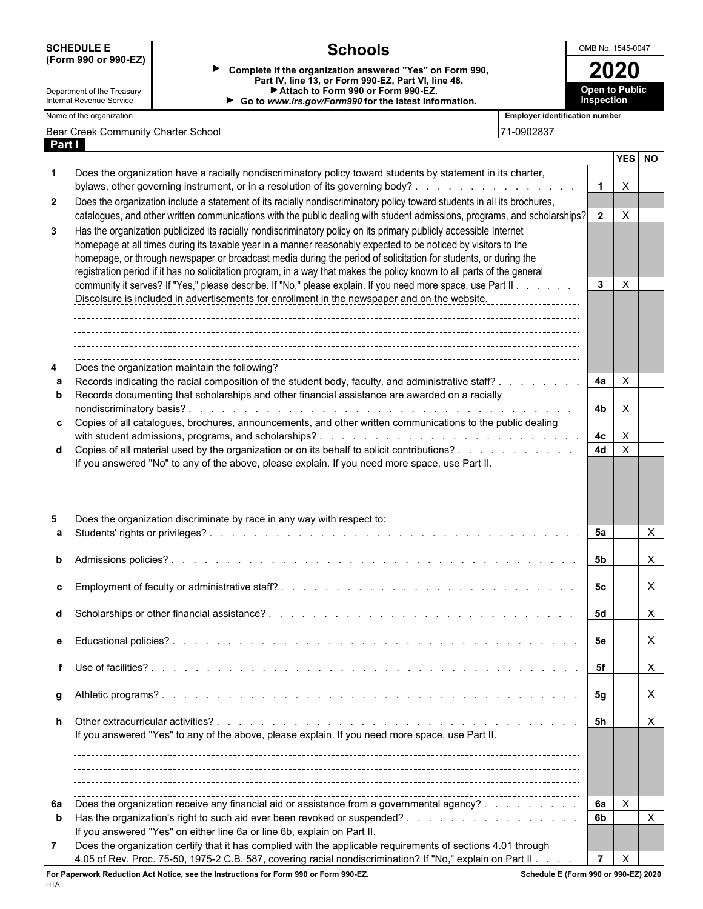|              | (Form 990 or 990-EZ)                                   |                                                                                                                                                                                                                                                                                                                                                                                                                                                                                   |                                       |                       |                           |  |  |  |  |
|--------------|--------------------------------------------------------|-----------------------------------------------------------------------------------------------------------------------------------------------------------------------------------------------------------------------------------------------------------------------------------------------------------------------------------------------------------------------------------------------------------------------------------------------------------------------------------|---------------------------------------|-----------------------|---------------------------|--|--|--|--|
|              |                                                        | Complete if the organization answered "Yes" on Form 990,                                                                                                                                                                                                                                                                                                                                                                                                                          |                                       | 2020                  |                           |  |  |  |  |
|              |                                                        | Part IV, line 13, or Form 990-EZ, Part VI, line 48.<br>Attach to Form 990 or Form 990-EZ.                                                                                                                                                                                                                                                                                                                                                                                         |                                       | <b>Open to Public</b> |                           |  |  |  |  |
|              | Department of the Treasury<br>Internal Revenue Service | Go to www.irs.gov/Form990 for the latest information.                                                                                                                                                                                                                                                                                                                                                                                                                             |                                       | Inspection            |                           |  |  |  |  |
|              | Name of the organization                               |                                                                                                                                                                                                                                                                                                                                                                                                                                                                                   | <b>Employer identification number</b> |                       |                           |  |  |  |  |
|              | Bear Creek Community Charter School                    |                                                                                                                                                                                                                                                                                                                                                                                                                                                                                   | 71-0902837                            |                       |                           |  |  |  |  |
| Part I       |                                                        |                                                                                                                                                                                                                                                                                                                                                                                                                                                                                   |                                       |                       | YES NO                    |  |  |  |  |
|              |                                                        | Does the organization have a racially nondiscriminatory policy toward students by statement in its charter,<br>bylaws, other governing instrument, or in a resolution of its governing body?                                                                                                                                                                                                                                                                                      |                                       | $\overline{1}$        | $\times$                  |  |  |  |  |
| $\mathbf{2}$ |                                                        | Does the organization include a statement of its racially nondiscriminatory policy toward students in all its brochures,<br>catalogues, and other written communications with the public dealing with student admissions, programs, and scholarships? 2                                                                                                                                                                                                                           |                                       |                       | $\times$                  |  |  |  |  |
| 3            |                                                        | Has the organization publicized its racially nondiscriminatory policy on its primary publicly accessible Internet<br>homepage at all times during its taxable year in a manner reasonably expected to be noticed by visitors to the<br>homepage, or through newspaper or broadcast media during the period of solicitation for students, or during the<br>registration period if it has no solicitation program, in a way that makes the policy known to all parts of the general |                                       |                       | $\times$                  |  |  |  |  |
|              |                                                        | community it serves? If "Yes," please describe. If "No," please explain. If you need more space, use Part II<br>Discolsure is included in advertisements for enrollment in the newspaper and on the website.                                                                                                                                                                                                                                                                      |                                       | $\mathbf{3}$          |                           |  |  |  |  |
|              |                                                        | Does the organization maintain the following?<br>Records indicating the racial composition of the student body, faculty, and administrative staff?                                                                                                                                                                                                                                                                                                                                |                                       | 4a                    | $\boldsymbol{\mathsf{X}}$ |  |  |  |  |
|              |                                                        | Records documenting that scholarships and other financial assistance are awarded on a racially                                                                                                                                                                                                                                                                                                                                                                                    |                                       | 4b                    | $\times$                  |  |  |  |  |
|              |                                                        | c Copies of all catalogues, brochures, announcements, and other written communications to the public dealing                                                                                                                                                                                                                                                                                                                                                                      |                                       | 4с                    | X                         |  |  |  |  |
|              |                                                        | d Copies of all material used by the organization or on its behalf to solicit contributions?<br>If you answered "No" to any of the above, please explain. If you need more space, use Part II.                                                                                                                                                                                                                                                                                    |                                       | <b>4d</b>             | $\boldsymbol{\mathsf{X}}$ |  |  |  |  |
|              |                                                        | Does the organization discriminate by race in any way with respect to:                                                                                                                                                                                                                                                                                                                                                                                                            |                                       | 5а                    | X                         |  |  |  |  |
|              | Admissions policies?                                   | and a constitution of the constitution of the constitution of the constitution of the constitution of the constitution of the constitution of the constitution of the constitution of the constitution of the constitution of                                                                                                                                                                                                                                                     |                                       | 5b                    | X                         |  |  |  |  |
|              |                                                        |                                                                                                                                                                                                                                                                                                                                                                                                                                                                                   |                                       | 5с                    | X                         |  |  |  |  |
|              |                                                        |                                                                                                                                                                                                                                                                                                                                                                                                                                                                                   |                                       | 5d                    | X                         |  |  |  |  |
|              |                                                        |                                                                                                                                                                                                                                                                                                                                                                                                                                                                                   |                                       | 5е                    | X                         |  |  |  |  |
|              |                                                        |                                                                                                                                                                                                                                                                                                                                                                                                                                                                                   |                                       | 5f                    | X                         |  |  |  |  |
|              |                                                        |                                                                                                                                                                                                                                                                                                                                                                                                                                                                                   |                                       | 5g                    | $\mathsf{X}$              |  |  |  |  |
|              |                                                        | If you answered "Yes" to any of the above, please explain. If you need more space, use Part II.                                                                                                                                                                                                                                                                                                                                                                                   |                                       | - 5h                  | X                         |  |  |  |  |
|              |                                                        |                                                                                                                                                                                                                                                                                                                                                                                                                                                                                   |                                       |                       |                           |  |  |  |  |
| 6а<br>b      |                                                        | Does the organization receive any financial aid or assistance from a governmental agency?                                                                                                                                                                                                                                                                                                                                                                                         |                                       | 6а<br>6b              | $\mathsf{X}$<br>$\times$  |  |  |  |  |
| 7            |                                                        | If you answered "Yes" on either line 6a or line 6b, explain on Part II.<br>Does the organization certify that it has complied with the applicable requirements of sections 4.01 through<br>4.05 of Rev. Proc. 75-50, 1975-2 C.B. 587, covering racial nondiscrimination? If "No," explain on Part II                                                                                                                                                                              |                                       | $\overline{7}$        | $\boldsymbol{\mathsf{X}}$ |  |  |  |  |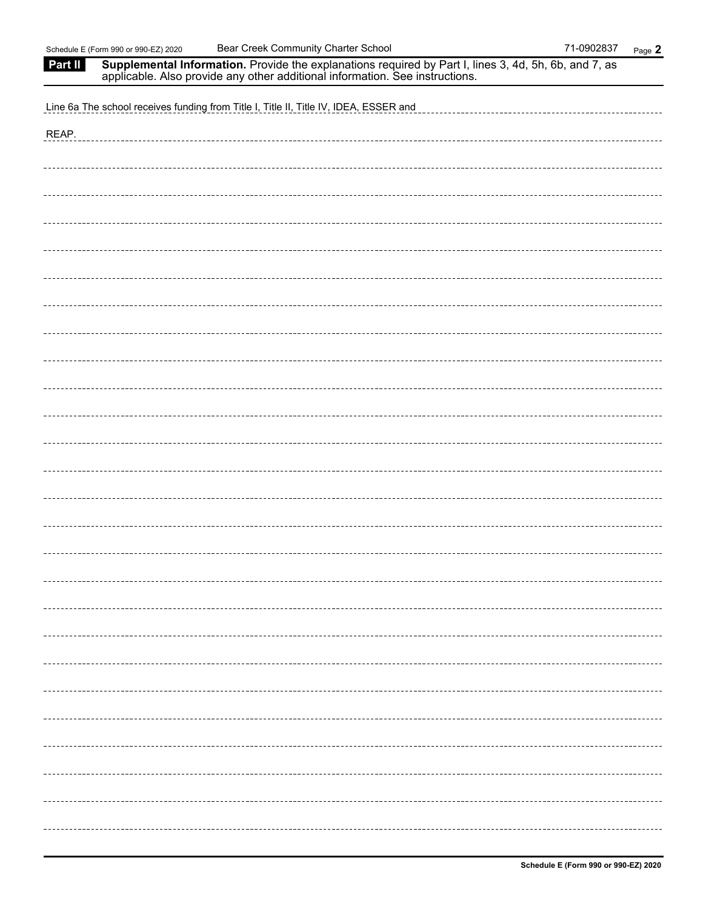| Part II | Supplemental Information. Provide the explanations required by Part I, lines 3, 4d, 5h, 6b, and 7, as applicable. Also provide any other additional information. See instructions. |
|---------|------------------------------------------------------------------------------------------------------------------------------------------------------------------------------------|
|         | Line 6a The school receives funding from Title I, Title II, Title IV, IDEA, ESSER and                                                                                              |
| REAP.   |                                                                                                                                                                                    |
|         |                                                                                                                                                                                    |
|         |                                                                                                                                                                                    |
|         |                                                                                                                                                                                    |
|         |                                                                                                                                                                                    |
|         |                                                                                                                                                                                    |
|         |                                                                                                                                                                                    |
|         |                                                                                                                                                                                    |
|         |                                                                                                                                                                                    |
|         |                                                                                                                                                                                    |
|         |                                                                                                                                                                                    |
|         |                                                                                                                                                                                    |
|         |                                                                                                                                                                                    |
|         |                                                                                                                                                                                    |
|         |                                                                                                                                                                                    |
|         |                                                                                                                                                                                    |
|         |                                                                                                                                                                                    |
|         |                                                                                                                                                                                    |
|         |                                                                                                                                                                                    |
|         |                                                                                                                                                                                    |
|         |                                                                                                                                                                                    |
|         |                                                                                                                                                                                    |
|         |                                                                                                                                                                                    |
|         |                                                                                                                                                                                    |
|         |                                                                                                                                                                                    |
|         |                                                                                                                                                                                    |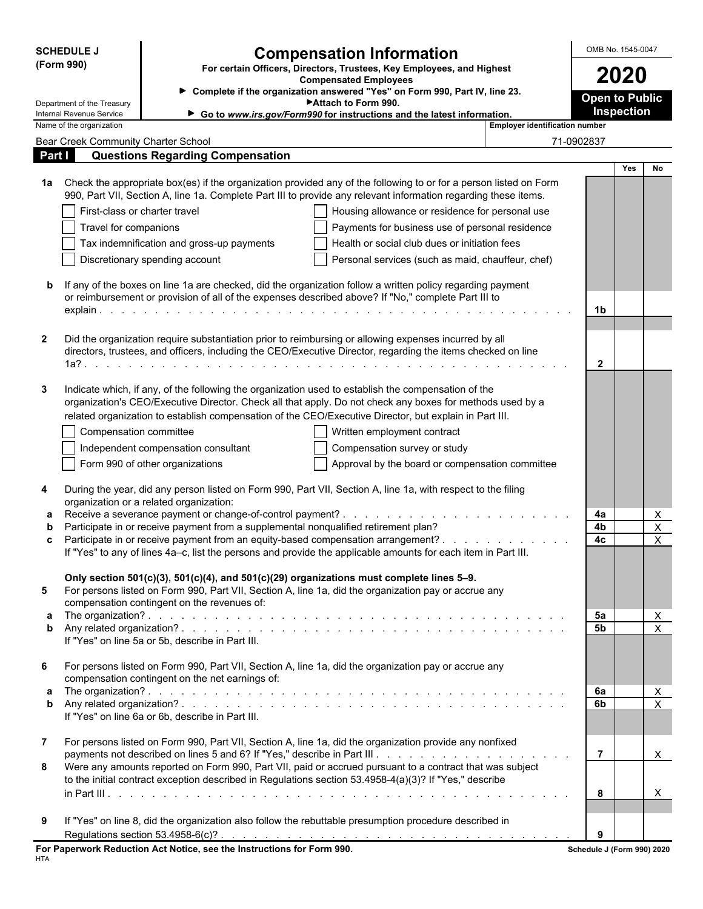| <b>SCHEDULE J</b>                                      |                                                                                     | <b>Compensation Information</b>                                                                                                                                                                                                                                                                                            |                                       | OMB No. 1545-0047                   |                                                        |  |  |
|--------------------------------------------------------|-------------------------------------------------------------------------------------|----------------------------------------------------------------------------------------------------------------------------------------------------------------------------------------------------------------------------------------------------------------------------------------------------------------------------|---------------------------------------|-------------------------------------|--------------------------------------------------------|--|--|
| (Form 990)                                             | For certain Officers, Directors, Trustees, Key Employees, and Highest               | 2020                                                                                                                                                                                                                                                                                                                       |                                       |                                     |                                                        |  |  |
|                                                        |                                                                                     | <b>Compensated Employees</b><br>> Complete if the organization answered "Yes" on Form 990, Part IV, line 23.                                                                                                                                                                                                               |                                       |                                     |                                                        |  |  |
| Department of the Treasury<br>Internal Revenue Service |                                                                                     | Attach to Form 990.<br>Go to www.irs.gov/Form990 for instructions and the latest information.                                                                                                                                                                                                                              |                                       | <b>Open to Public</b><br>Inspection |                                                        |  |  |
| Name of the organization                               |                                                                                     |                                                                                                                                                                                                                                                                                                                            | <b>Employer identification number</b> |                                     |                                                        |  |  |
| <b>Bear Creek Community Charter School</b>             |                                                                                     |                                                                                                                                                                                                                                                                                                                            |                                       | 71-0902837                          |                                                        |  |  |
| Part I                                                 | <b>Questions Regarding Compensation</b>                                             |                                                                                                                                                                                                                                                                                                                            |                                       |                                     | Yes<br>No                                              |  |  |
| 1a                                                     |                                                                                     | Check the appropriate box(es) if the organization provided any of the following to or for a person listed on Form<br>990, Part VII, Section A, line 1a. Complete Part III to provide any relevant information regarding these items.                                                                                       |                                       |                                     |                                                        |  |  |
|                                                        | First-class or charter travel                                                       | Housing allowance or residence for personal use                                                                                                                                                                                                                                                                            |                                       |                                     |                                                        |  |  |
| Travel for companions                                  |                                                                                     | Payments for business use of personal residence                                                                                                                                                                                                                                                                            |                                       |                                     |                                                        |  |  |
|                                                        | Tax indemnification and gross-up payments                                           | Health or social club dues or initiation fees                                                                                                                                                                                                                                                                              |                                       |                                     |                                                        |  |  |
|                                                        | Discretionary spending account                                                      | Personal services (such as maid, chauffeur, chef)                                                                                                                                                                                                                                                                          |                                       |                                     |                                                        |  |  |
| b                                                      |                                                                                     | If any of the boxes on line 1a are checked, did the organization follow a written policy regarding payment<br>or reimbursement or provision of all of the expenses described above? If "No," complete Part III to                                                                                                          |                                       |                                     |                                                        |  |  |
|                                                        |                                                                                     |                                                                                                                                                                                                                                                                                                                            |                                       | 1b                                  |                                                        |  |  |
| $\mathbf{2}$                                           |                                                                                     | Did the organization require substantiation prior to reimbursing or allowing expenses incurred by all<br>directors, trustees, and officers, including the CEO/Executive Director, regarding the items checked on line                                                                                                      |                                       | $\mathbf{2}$                        |                                                        |  |  |
| 3                                                      |                                                                                     | Indicate which, if any, of the following the organization used to establish the compensation of the<br>organization's CEO/Executive Director. Check all that apply. Do not check any boxes for methods used by a<br>related organization to establish compensation of the CEO/Executive Director, but explain in Part III. |                                       |                                     |                                                        |  |  |
|                                                        | Compensation committee                                                              | Written employment contract                                                                                                                                                                                                                                                                                                |                                       |                                     |                                                        |  |  |
|                                                        | Independent compensation consultant                                                 | Compensation survey or study                                                                                                                                                                                                                                                                                               |                                       |                                     |                                                        |  |  |
|                                                        | Form 990 of other organizations                                                     | Approval by the board or compensation committee                                                                                                                                                                                                                                                                            |                                       |                                     |                                                        |  |  |
|                                                        |                                                                                     |                                                                                                                                                                                                                                                                                                                            |                                       |                                     |                                                        |  |  |
| 4                                                      | organization or a related organization:                                             | During the year, did any person listed on Form 990, Part VII, Section A, line 1a, with respect to the filing                                                                                                                                                                                                               |                                       |                                     |                                                        |  |  |
| a                                                      |                                                                                     |                                                                                                                                                                                                                                                                                                                            |                                       | 4a                                  | X                                                      |  |  |
| b                                                      | Participate in or receive payment from a supplemental nonqualified retirement plan? | Participate in or receive payment from an equity-based compensation arrangement?                                                                                                                                                                                                                                           |                                       | 4b<br>4c                            | X<br>$\mathsf X$                                       |  |  |
| c                                                      |                                                                                     | If "Yes" to any of lines 4a-c, list the persons and provide the applicable amounts for each item in Part III.                                                                                                                                                                                                              |                                       |                                     |                                                        |  |  |
|                                                        |                                                                                     | Only section 501(c)(3), 501(c)(4), and 501(c)(29) organizations must complete lines 5-9.                                                                                                                                                                                                                                   |                                       |                                     |                                                        |  |  |
| 5                                                      |                                                                                     | For persons listed on Form 990, Part VII, Section A, line 1a, did the organization pay or accrue any                                                                                                                                                                                                                       |                                       |                                     |                                                        |  |  |
| a                                                      | compensation contingent on the revenues of:                                         |                                                                                                                                                                                                                                                                                                                            |                                       | 5a                                  | $\overline{X}$                                         |  |  |
| b                                                      |                                                                                     |                                                                                                                                                                                                                                                                                                                            |                                       | 5b                                  | $\sf X$                                                |  |  |
|                                                        | If "Yes" on line 5a or 5b, describe in Part III.                                    |                                                                                                                                                                                                                                                                                                                            |                                       |                                     |                                                        |  |  |
| 6                                                      | compensation contingent on the net earnings of:                                     | For persons listed on Form 990, Part VII, Section A, line 1a, did the organization pay or accrue any                                                                                                                                                                                                                       |                                       |                                     |                                                        |  |  |
| a<br>b                                                 |                                                                                     |                                                                                                                                                                                                                                                                                                                            |                                       | 6a<br>6b                            | $\boldsymbol{\mathsf{X}}$<br>$\boldsymbol{\mathsf{X}}$ |  |  |
|                                                        | If "Yes" on line 6a or 6b, describe in Part III.                                    |                                                                                                                                                                                                                                                                                                                            |                                       |                                     |                                                        |  |  |
| $\mathbf{7}$                                           |                                                                                     | For persons listed on Form 990, Part VII, Section A, line 1a, did the organization provide any nonfixed                                                                                                                                                                                                                    |                                       |                                     |                                                        |  |  |
|                                                        |                                                                                     |                                                                                                                                                                                                                                                                                                                            |                                       | $\overline{7}$                      | X                                                      |  |  |
| 8                                                      |                                                                                     | Were any amounts reported on Form 990, Part VII, paid or accrued pursuant to a contract that was subject<br>to the initial contract exception described in Regulations section 53.4958-4(a)(3)? If "Yes," describe                                                                                                         |                                       | 8                                   | X                                                      |  |  |
|                                                        |                                                                                     |                                                                                                                                                                                                                                                                                                                            |                                       |                                     |                                                        |  |  |
| 9                                                      |                                                                                     | If "Yes" on line 8, did the organization also follow the rebuttable presumption procedure described in                                                                                                                                                                                                                     |                                       | 9                                   |                                                        |  |  |
|                                                        | For Paperwork Reduction Act Notice, see the Instructions for Form 990.              |                                                                                                                                                                                                                                                                                                                            |                                       | Schedule J (Form 990) 2020          |                                                        |  |  |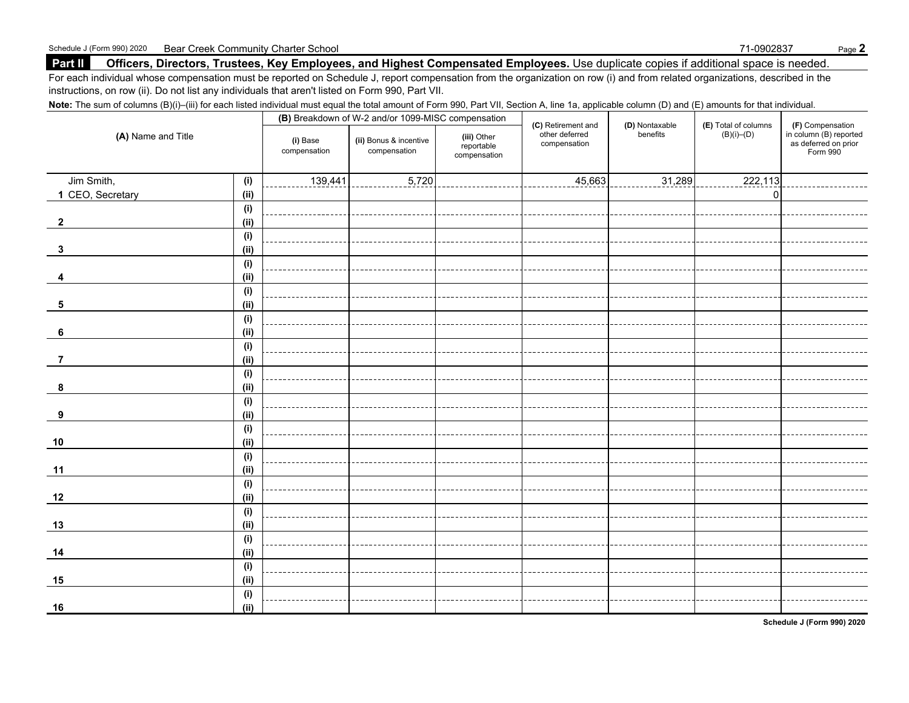### **Part II Officers, Directors, Trustees, Key Employees, and Highest Compensated Employees.** Use duplicate copies if additional space is needed.

For each individual whose compensation must be reported on Schedule J, report compensation from the organization on row (i) and from related organizations, described in the instructions, on row (ii). Do not list any individuals that aren't listed on Form 990, Part VII.

Note: The sum of columns (B)(i)–(iii) for each listed individual must equal the total amount of Form 990, Part VII, Section A, line 1a, applicable column (D) and (E) amounts for that individual.

| (A) Name and Title |      |                          | (B) Breakdown of W-2 and/or 1099-MISC compensation |                                           |                                                      |                            |                                              |                                                                                    |
|--------------------|------|--------------------------|----------------------------------------------------|-------------------------------------------|------------------------------------------------------|----------------------------|----------------------------------------------|------------------------------------------------------------------------------------|
|                    |      | (i) Base<br>compensation | (ii) Bonus & incentive<br>compensation             | (iii) Other<br>reportable<br>compensation | (C) Retirement and<br>other deferred<br>compensation | (D) Nontaxable<br>benefits | <b>(E)</b> Total of columns $(B)(i)$ – $(D)$ | $(F)$ Compensation<br>in column $(B)$ reported<br>as deferred on prior<br>Form 990 |
| Jim Smith,         | (i)  | 139,441                  | 5,720                                              |                                           | 45,663                                               | 31,289                     | 222,113                                      |                                                                                    |
| 1 CEO, Secretary   | (ii) |                          |                                                    |                                           |                                                      |                            | $\mathbf 0$                                  |                                                                                    |
|                    | (i)  |                          |                                                    |                                           |                                                      |                            |                                              |                                                                                    |
| $\mathbf{2}$       | (ii) |                          |                                                    |                                           |                                                      |                            |                                              |                                                                                    |
|                    | (i)  |                          |                                                    |                                           |                                                      |                            |                                              |                                                                                    |
| 3                  | (ii) |                          |                                                    |                                           |                                                      |                            |                                              |                                                                                    |
|                    | (i)  |                          |                                                    |                                           |                                                      |                            |                                              |                                                                                    |
|                    | (ii) |                          |                                                    |                                           |                                                      |                            |                                              |                                                                                    |
|                    | (i)  |                          |                                                    |                                           |                                                      |                            |                                              |                                                                                    |
| 5                  | (ii) |                          |                                                    |                                           |                                                      |                            |                                              |                                                                                    |
|                    | (i)  |                          |                                                    |                                           |                                                      |                            |                                              |                                                                                    |
| 6                  | (ii) |                          |                                                    |                                           |                                                      |                            |                                              |                                                                                    |
|                    | (i)  |                          |                                                    |                                           |                                                      |                            |                                              |                                                                                    |
| $\overline{7}$     | (ii) |                          |                                                    |                                           |                                                      |                            |                                              |                                                                                    |
|                    | (i)  |                          |                                                    |                                           |                                                      |                            |                                              |                                                                                    |
| 8                  | (ii) |                          |                                                    |                                           |                                                      |                            |                                              |                                                                                    |
|                    | (i)  |                          |                                                    |                                           |                                                      |                            |                                              |                                                                                    |
| 9                  | (i)  |                          |                                                    |                                           |                                                      |                            |                                              |                                                                                    |
|                    | (i)  |                          |                                                    |                                           |                                                      |                            |                                              |                                                                                    |
| 10                 | (i)  |                          |                                                    |                                           |                                                      |                            |                                              |                                                                                    |
|                    | (i)  |                          |                                                    |                                           |                                                      |                            |                                              |                                                                                    |
| 11                 | (i)  |                          |                                                    |                                           |                                                      |                            |                                              |                                                                                    |
|                    | (i)  |                          |                                                    |                                           |                                                      |                            |                                              |                                                                                    |
| 12                 | (ii) |                          |                                                    |                                           |                                                      |                            |                                              |                                                                                    |
|                    | (i)  |                          |                                                    |                                           |                                                      |                            |                                              |                                                                                    |
| 13                 | (ii) |                          |                                                    |                                           |                                                      |                            |                                              |                                                                                    |
|                    | (i)  |                          |                                                    |                                           |                                                      |                            |                                              |                                                                                    |
| 14                 | (ii) |                          |                                                    |                                           |                                                      |                            |                                              |                                                                                    |
|                    | (i)  |                          |                                                    |                                           |                                                      |                            |                                              |                                                                                    |
| 15                 | (i)  |                          |                                                    |                                           |                                                      |                            |                                              |                                                                                    |
|                    | (i)  |                          |                                                    |                                           |                                                      |                            |                                              |                                                                                    |
| 16                 | (ii) |                          |                                                    |                                           |                                                      |                            |                                              |                                                                                    |

**Schedule J (Form 990) 2020**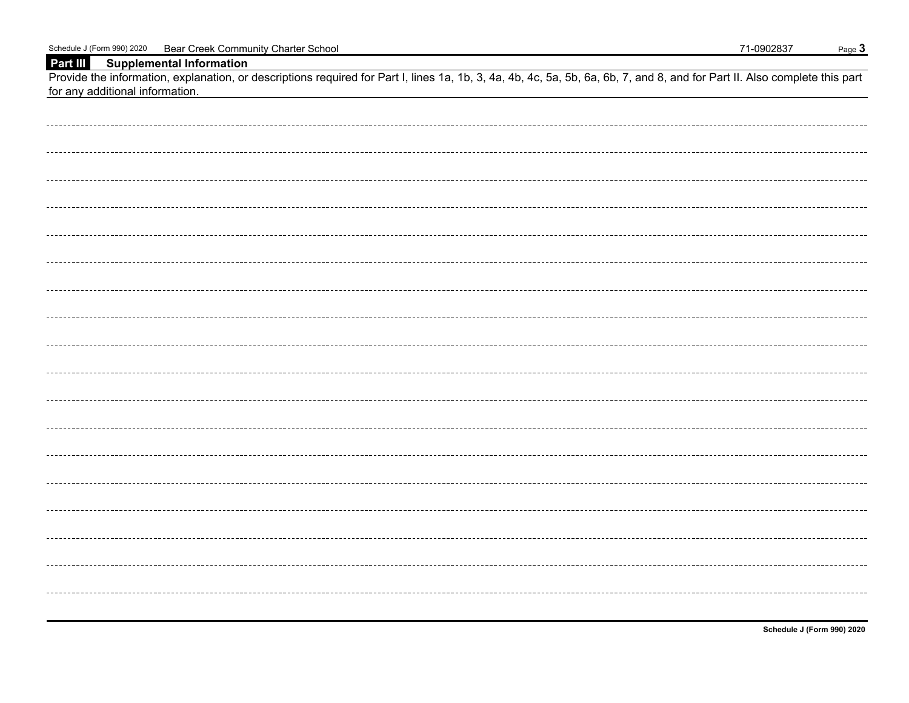### **Part III Supplemental Information**

Provide the information, explanation, or descriptions required for Part I, lines 1a, 1b, 3, 4a, 4b, 4c, 5a, 5b, 6a, 6b, 7, and 8, and for Part II. Also complete this part for any additional information.

**Schedule J (Form 990) 2020**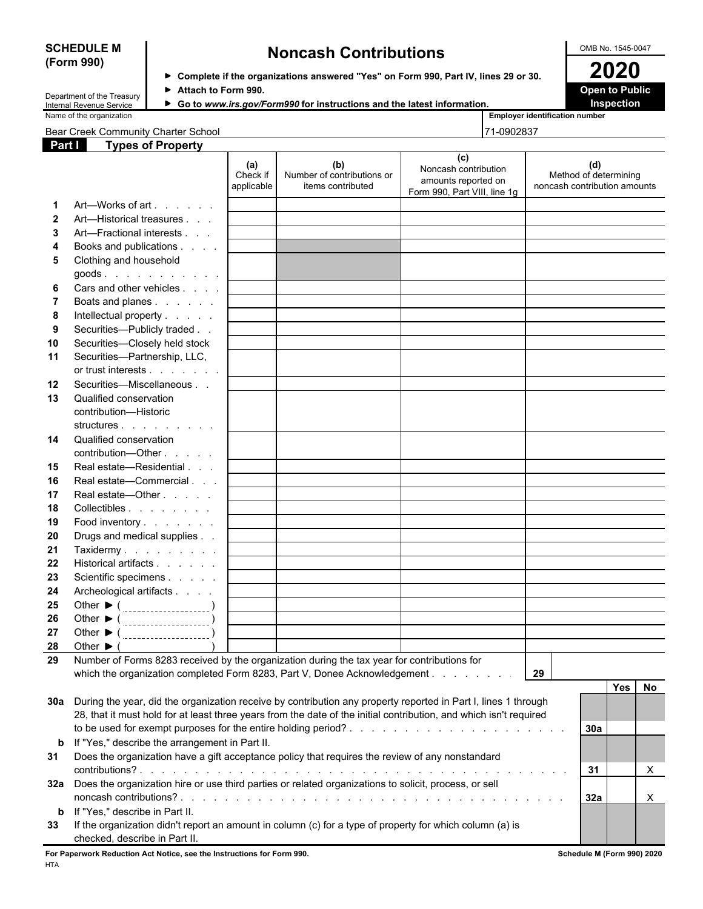## **(Form 990)**

## **SCHEDULE M Noncash Contributions OMB No. 1545-0047**

| Department of the Treasury |
|----------------------------|
| Internal Revenue Service   |
| Massa of the conceivation  |

**Complete if the organizations answered "Yes" on Form 990, Part IV, lines 29 or 30. 2020** ■ **Attach to Form 990. Department of Attach to Public** 

▶ Go to www.irs.gov/Form990 for instructions and the latest information. **Inspection** 

| Name of the<br>_mplover_<br>, organization<br>. . | $-$<br>r identification number |
|---------------------------------------------------|--------------------------------|

Bear Creek Community Charter School 71-0902837

| Employer id |  |
|-------------|--|
|             |  |

| Part I      | <b>Types of Property</b>                                                                                           |                               |                                                        |                                                                                    |                                                              |
|-------------|--------------------------------------------------------------------------------------------------------------------|-------------------------------|--------------------------------------------------------|------------------------------------------------------------------------------------|--------------------------------------------------------------|
|             |                                                                                                                    | (a)<br>Check if<br>applicable | (b)<br>Number of contributions or<br>items contributed | (c)<br>Noncash contribution<br>amounts reported on<br>Form 990, Part VIII, line 1g | (d)<br>Method of determining<br>noncash contribution amounts |
| 1           | Art-Works of art                                                                                                   |                               |                                                        |                                                                                    |                                                              |
| 2           | Art—Historical treasures                                                                                           |                               |                                                        |                                                                                    |                                                              |
| 3           | Art-Fractional interests                                                                                           |                               |                                                        |                                                                                    |                                                              |
| 4           | Books and publications                                                                                             |                               |                                                        |                                                                                    |                                                              |
| 5           | Clothing and household                                                                                             |                               |                                                        |                                                                                    |                                                              |
|             | $goods.$ $\dots$ $\dots$ $\dots$                                                                                   |                               |                                                        |                                                                                    |                                                              |
| 6           | Cars and other vehicles                                                                                            |                               |                                                        |                                                                                    |                                                              |
|             | Boats and planes                                                                                                   |                               |                                                        |                                                                                    |                                                              |
| 8           | Intellectual property                                                                                              |                               |                                                        |                                                                                    |                                                              |
| 9           | Securities-Publicly traded                                                                                         |                               |                                                        |                                                                                    |                                                              |
| 10          | Securities-Closely held stock                                                                                      |                               |                                                        |                                                                                    |                                                              |
| 11          | Securities-Partnership, LLC,                                                                                       |                               |                                                        |                                                                                    |                                                              |
|             | or trust interests                                                                                                 |                               |                                                        |                                                                                    |                                                              |
| 12          | Securities-Miscellaneous                                                                                           |                               |                                                        |                                                                                    |                                                              |
| 13          | Qualified conservation                                                                                             |                               |                                                        |                                                                                    |                                                              |
|             | contribution-Historic                                                                                              |                               |                                                        |                                                                                    |                                                              |
|             | structures                                                                                                         |                               |                                                        |                                                                                    |                                                              |
| 14          | Qualified conservation                                                                                             |                               |                                                        |                                                                                    |                                                              |
|             | contribution-Other                                                                                                 |                               |                                                        |                                                                                    |                                                              |
| 15          | Real estate-Residential                                                                                            |                               |                                                        |                                                                                    |                                                              |
| 16          | Real estate-Commercial                                                                                             |                               |                                                        |                                                                                    |                                                              |
| 17          | Real estate-Other                                                                                                  |                               |                                                        |                                                                                    |                                                              |
| 18          | Collectibles                                                                                                       |                               |                                                        |                                                                                    |                                                              |
| 19          | Food inventory                                                                                                     |                               |                                                        |                                                                                    |                                                              |
| 20          | Drugs and medical supplies                                                                                         |                               |                                                        |                                                                                    |                                                              |
| 21          | Taxidermy                                                                                                          |                               |                                                        |                                                                                    |                                                              |
| 22          | Historical artifacts                                                                                               |                               |                                                        |                                                                                    |                                                              |
| 23          | Scientific specimens                                                                                               |                               |                                                        |                                                                                    |                                                              |
| 24          | Archeological artifacts                                                                                            |                               |                                                        |                                                                                    |                                                              |
| 25          | Other $\triangleright$ ( $\_$                                                                                      |                               |                                                        |                                                                                    |                                                              |
| 26          | Other ▶ ( ___________________)                                                                                     |                               |                                                        |                                                                                    |                                                              |
| 27          |                                                                                                                    |                               |                                                        |                                                                                    |                                                              |
| 28          | Other $\blacktriangleright$ (                                                                                      |                               |                                                        |                                                                                    |                                                              |
| 29          | Number of Forms 8283 received by the organization during the tax year for contributions for                        |                               |                                                        |                                                                                    |                                                              |
|             | which the organization completed Form 8283, Part V, Donee Acknowledgement                                          |                               |                                                        |                                                                                    | 29                                                           |
|             |                                                                                                                    |                               |                                                        |                                                                                    | <b>Yes</b><br>No                                             |
| 30a         | During the year, did the organization receive by contribution any property reported in Part I, lines 1 through     |                               |                                                        |                                                                                    |                                                              |
|             | 28, that it must hold for at least three years from the date of the initial contribution, and which isn't required |                               |                                                        |                                                                                    |                                                              |
|             |                                                                                                                    |                               |                                                        |                                                                                    | 30a                                                          |
|             |                                                                                                                    |                               |                                                        |                                                                                    |                                                              |
| $\mathbf b$ | If "Yes," describe the arrangement in Part II.                                                                     |                               |                                                        |                                                                                    |                                                              |
| 31          | Does the organization have a gift acceptance policy that requires the review of any nonstandard                    |                               |                                                        |                                                                                    |                                                              |
|             |                                                                                                                    |                               |                                                        |                                                                                    | X<br>31                                                      |
|             | 32a Does the organization hire or use third parties or related organizations to solicit, process, or sell          |                               |                                                        |                                                                                    |                                                              |
|             |                                                                                                                    |                               |                                                        |                                                                                    | 32a<br>X                                                     |
| b           | If "Yes," describe in Part II.                                                                                     |                               |                                                        |                                                                                    |                                                              |
| 33          | If the organization didn't report an amount in column (c) for a type of property for which column (a) is           |                               |                                                        |                                                                                    |                                                              |

checked, describe in Part II. **For Paperwork Reduction Act Notice, see the Instructions for Form 990. Schedule M (Form 990) 2020**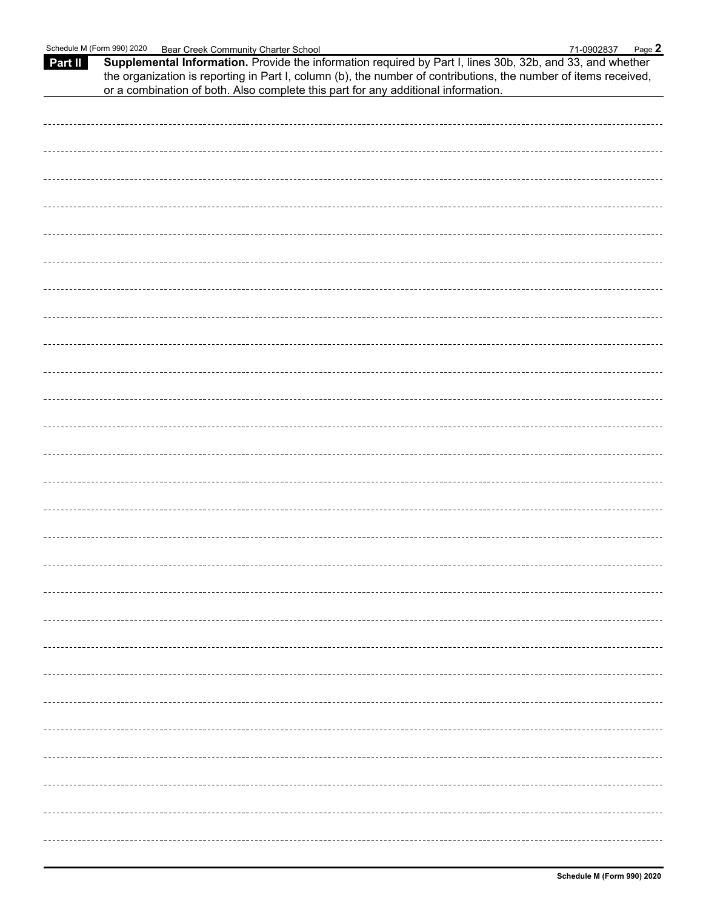| Part II | Supplemental Information. Provide the information required by Part I, lines 30b, 32b, and 33, and whether<br>the organization is reporting in Part I, column (b), the number of contributions, the number of items received,<br>or a combination of both. Also complete this part for any additional information. |
|---------|-------------------------------------------------------------------------------------------------------------------------------------------------------------------------------------------------------------------------------------------------------------------------------------------------------------------|
|         |                                                                                                                                                                                                                                                                                                                   |
|         |                                                                                                                                                                                                                                                                                                                   |
|         |                                                                                                                                                                                                                                                                                                                   |
|         |                                                                                                                                                                                                                                                                                                                   |
|         |                                                                                                                                                                                                                                                                                                                   |
|         |                                                                                                                                                                                                                                                                                                                   |
|         |                                                                                                                                                                                                                                                                                                                   |
|         |                                                                                                                                                                                                                                                                                                                   |
|         |                                                                                                                                                                                                                                                                                                                   |
|         |                                                                                                                                                                                                                                                                                                                   |
|         |                                                                                                                                                                                                                                                                                                                   |
|         |                                                                                                                                                                                                                                                                                                                   |
|         |                                                                                                                                                                                                                                                                                                                   |
|         |                                                                                                                                                                                                                                                                                                                   |
|         |                                                                                                                                                                                                                                                                                                                   |
|         |                                                                                                                                                                                                                                                                                                                   |
|         |                                                                                                                                                                                                                                                                                                                   |
|         |                                                                                                                                                                                                                                                                                                                   |
|         |                                                                                                                                                                                                                                                                                                                   |
|         |                                                                                                                                                                                                                                                                                                                   |
|         |                                                                                                                                                                                                                                                                                                                   |
|         |                                                                                                                                                                                                                                                                                                                   |
|         |                                                                                                                                                                                                                                                                                                                   |
|         |                                                                                                                                                                                                                                                                                                                   |
|         |                                                                                                                                                                                                                                                                                                                   |
|         |                                                                                                                                                                                                                                                                                                                   |
|         |                                                                                                                                                                                                                                                                                                                   |
|         |                                                                                                                                                                                                                                                                                                                   |
|         |                                                                                                                                                                                                                                                                                                                   |
|         |                                                                                                                                                                                                                                                                                                                   |
|         |                                                                                                                                                                                                                                                                                                                   |
|         |                                                                                                                                                                                                                                                                                                                   |
|         |                                                                                                                                                                                                                                                                                                                   |
|         |                                                                                                                                                                                                                                                                                                                   |
|         |                                                                                                                                                                                                                                                                                                                   |
|         |                                                                                                                                                                                                                                                                                                                   |
|         |                                                                                                                                                                                                                                                                                                                   |
|         |                                                                                                                                                                                                                                                                                                                   |
|         |                                                                                                                                                                                                                                                                                                                   |
|         |                                                                                                                                                                                                                                                                                                                   |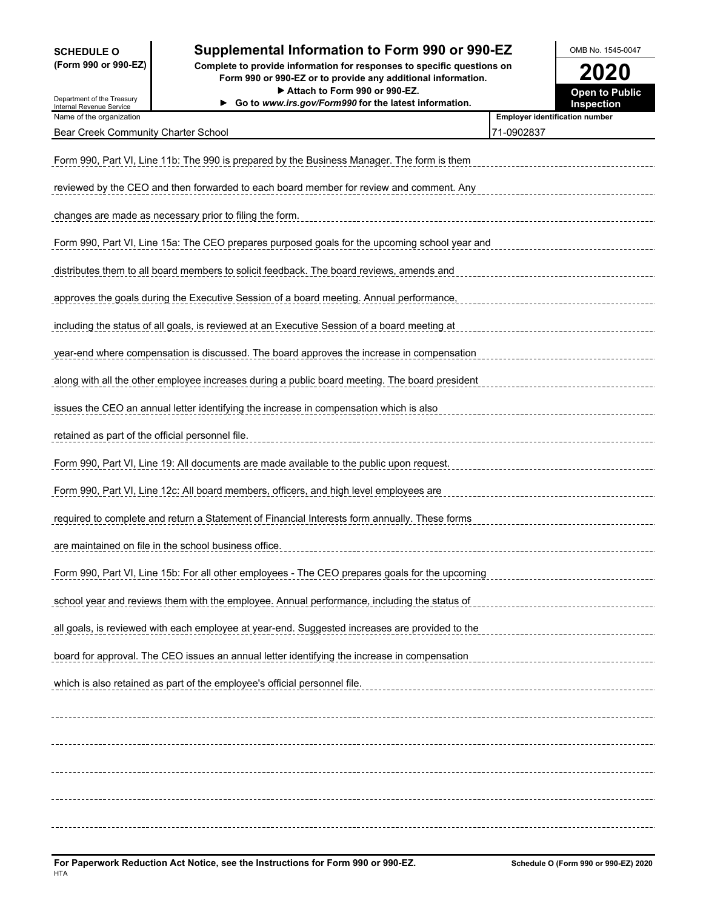# **SCHEDULE O Supplemental Information to Form 990 or 990-EZ** OMB No. 1545-0047<br>
(Form 990 or 990-EZ) Complete to provide information for responses to specific questions on

**(Form 990 or 990-EZ) Complete to provide information for responses to specific questions on Form 990 or 990-EZ or to provide any additional information. 2020**

| Department of the Treasury                           | Attach to Form 990 or 990-EZ.<br>Go to www.irs.gov/Form990 for the latest information.         | <b>Open to Public</b><br>Inspection   |
|------------------------------------------------------|------------------------------------------------------------------------------------------------|---------------------------------------|
| Internal Revenue Service<br>Name of the organization |                                                                                                | <b>Employer identification number</b> |
| Bear Creek Community Charter School                  |                                                                                                | 71-0902837                            |
|                                                      | Form 990, Part VI, Line 11b: The 990 is prepared by the Business Manager. The form is them     |                                       |
|                                                      | reviewed by the CEO and then forwarded to each board member for review and comment. Any        |                                       |
|                                                      | changes are made as necessary prior to filing the form.                                        |                                       |
|                                                      | Form 990, Part VI, Line 15a: The CEO prepares purposed goals for the upcoming school year and  |                                       |
|                                                      | distributes them to all board members to solicit feedback. The board reviews, amends and       |                                       |
|                                                      | approves the goals during the Executive Session of a board meeting. Annual performance,        |                                       |
|                                                      | including the status of all goals, is reviewed at an Executive Session of a board meeting at   |                                       |
|                                                      | year-end where compensation is discussed. The board approves the increase in compensation      |                                       |
|                                                      | along with all the other employee increases during a public board meeting. The board president |                                       |
|                                                      | issues the CEO an annual letter identifying the increase in compensation which is also         |                                       |
| retained as part of the official personnel file.     |                                                                                                |                                       |
|                                                      | Form 990, Part VI, Line 19: All documents are made available to the public upon request.       |                                       |
|                                                      | Form 990, Part VI, Line 12c: All board members, officers, and high level employees are         |                                       |
|                                                      | required to complete and return a Statement of Financial Interests form annually. These forms  |                                       |
|                                                      | are maintained on file in the school business office.                                          |                                       |
|                                                      | Form 990, Part VI, Line 15b: For all other employees - The CEO prepares goals for the upcoming |                                       |
|                                                      | school year and reviews them with the employee. Annual performance, including the status of    |                                       |
|                                                      | all goals, is reviewed with each employee at year-end. Suggested increases are provided to the |                                       |
|                                                      | board for approval. The CEO issues an annual letter identifying the increase in compensation   |                                       |
|                                                      | which is also retained as part of the employee's official personnel file.                      |                                       |
|                                                      |                                                                                                |                                       |
|                                                      |                                                                                                |                                       |
|                                                      |                                                                                                |                                       |
|                                                      |                                                                                                |                                       |
|                                                      |                                                                                                |                                       |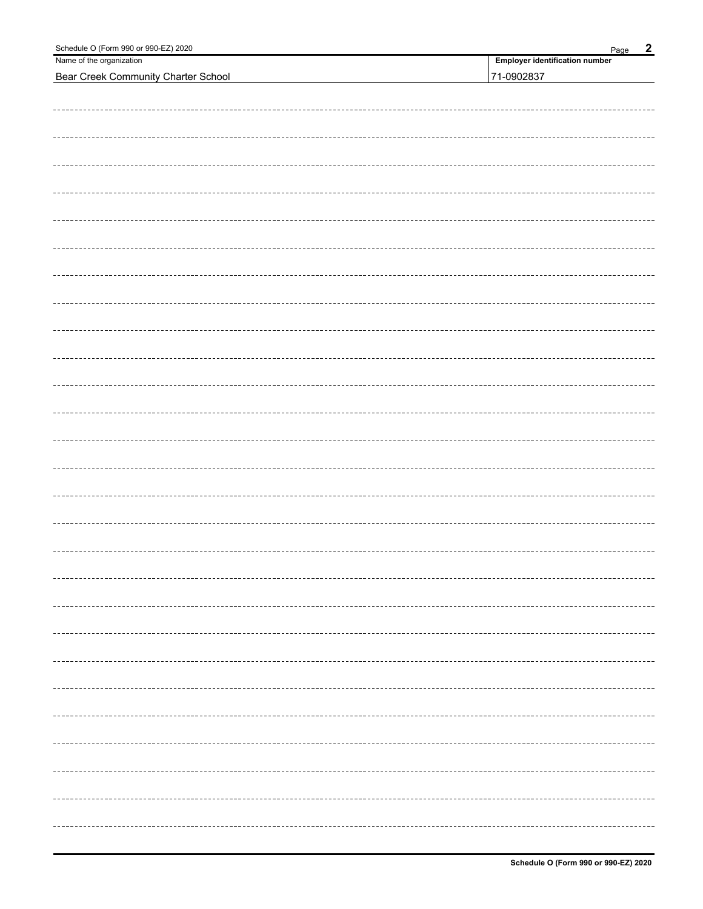| Schedule O (Form 990 or 990-EZ) 2020       | $\overline{2}$<br>Page                |
|--------------------------------------------|---------------------------------------|
| Name of the organization                   | <b>Employer identification number</b> |
| <b>Bear Creek Community Charter School</b> | 71-0902837                            |
|                                            |                                       |
|                                            |                                       |
|                                            |                                       |
|                                            |                                       |
|                                            |                                       |
|                                            |                                       |
|                                            |                                       |
|                                            |                                       |
|                                            |                                       |
|                                            |                                       |
|                                            |                                       |
|                                            |                                       |
|                                            |                                       |
|                                            |                                       |
|                                            |                                       |
|                                            |                                       |
|                                            |                                       |
|                                            |                                       |
|                                            |                                       |
|                                            |                                       |
|                                            |                                       |
|                                            |                                       |
|                                            |                                       |
|                                            |                                       |
|                                            |                                       |
|                                            |                                       |
|                                            |                                       |
|                                            |                                       |
|                                            |                                       |
|                                            |                                       |
|                                            |                                       |
|                                            |                                       |
|                                            |                                       |
|                                            |                                       |
|                                            |                                       |
|                                            |                                       |
|                                            |                                       |
|                                            |                                       |
|                                            |                                       |
|                                            |                                       |
|                                            |                                       |
|                                            |                                       |
|                                            |                                       |
|                                            |                                       |
|                                            |                                       |
|                                            |                                       |
|                                            |                                       |
|                                            |                                       |
|                                            |                                       |
|                                            |                                       |
|                                            |                                       |
|                                            |                                       |
|                                            |                                       |
|                                            |                                       |